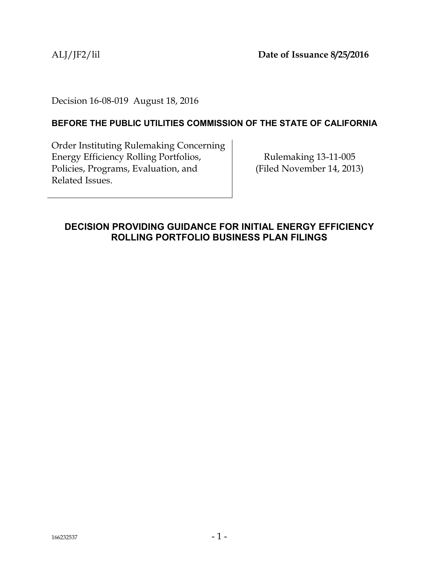ALJ/JF2/lil **Date of Issuance 8/25/2016**

Decision 16-08-019 August 18, 2016

## **BEFORE THE PUBLIC UTILITIES COMMISSION OF THE STATE OF CALIFORNIA**

Order Instituting Rulemaking Concerning Energy Efficiency Rolling Portfolios, Policies, Programs, Evaluation, and Related Issues.

Rulemaking 13-11-005 (Filed November 14, 2013)

## <span id="page-0-0"></span>**DECISION PROVIDING GUIDANCE FOR INITIAL ENERGY EFFICIENCY ROLLING PORTFOLIO BUSINESS PLAN FILINGS**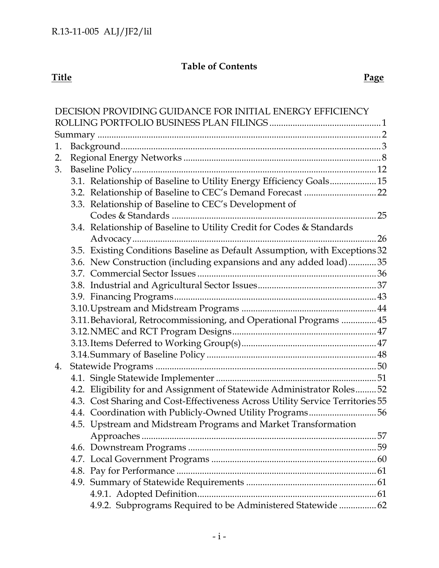## **Table of Contents**

#### **Title Page**

| DECISION PROVIDING GUIDANCE FOR INITIAL ENERGY EFFICIENCY |  |                                                                                |  |  |  |  |
|-----------------------------------------------------------|--|--------------------------------------------------------------------------------|--|--|--|--|
|                                                           |  |                                                                                |  |  |  |  |
|                                                           |  |                                                                                |  |  |  |  |
| 1.                                                        |  |                                                                                |  |  |  |  |
| 2.                                                        |  |                                                                                |  |  |  |  |
| 3.                                                        |  |                                                                                |  |  |  |  |
|                                                           |  | 3.1. Relationship of Baseline to Utility Energy Efficiency Goals 15            |  |  |  |  |
|                                                           |  | 3.2. Relationship of Baseline to CEC's Demand Forecast  22                     |  |  |  |  |
|                                                           |  | 3.3. Relationship of Baseline to CEC's Development of                          |  |  |  |  |
|                                                           |  |                                                                                |  |  |  |  |
|                                                           |  | 3.4. Relationship of Baseline to Utility Credit for Codes & Standards          |  |  |  |  |
|                                                           |  |                                                                                |  |  |  |  |
|                                                           |  | 3.5. Existing Conditions Baseline as Default Assumption, with Exceptions 32    |  |  |  |  |
|                                                           |  | 3.6. New Construction (including expansions and any added load)35              |  |  |  |  |
|                                                           |  |                                                                                |  |  |  |  |
|                                                           |  |                                                                                |  |  |  |  |
|                                                           |  |                                                                                |  |  |  |  |
|                                                           |  |                                                                                |  |  |  |  |
|                                                           |  | 3.11. Behavioral, Retrocommissioning, and Operational Programs  45             |  |  |  |  |
|                                                           |  |                                                                                |  |  |  |  |
|                                                           |  |                                                                                |  |  |  |  |
|                                                           |  |                                                                                |  |  |  |  |
| 4.                                                        |  |                                                                                |  |  |  |  |
|                                                           |  |                                                                                |  |  |  |  |
|                                                           |  | 4.2. Eligibility for and Assignment of Statewide Administrator Roles 52        |  |  |  |  |
|                                                           |  | 4.3. Cost Sharing and Cost-Effectiveness Across Utility Service Territories 55 |  |  |  |  |
|                                                           |  | 4.4. Coordination with Publicly-Owned Utility Programs56                       |  |  |  |  |
|                                                           |  | 4.5. Upstream and Midstream Programs and Market Transformation                 |  |  |  |  |
|                                                           |  |                                                                                |  |  |  |  |
|                                                           |  |                                                                                |  |  |  |  |
|                                                           |  |                                                                                |  |  |  |  |
|                                                           |  |                                                                                |  |  |  |  |
|                                                           |  |                                                                                |  |  |  |  |
|                                                           |  |                                                                                |  |  |  |  |
|                                                           |  | 4.9.2. Subprograms Required to be Administered Statewide  62                   |  |  |  |  |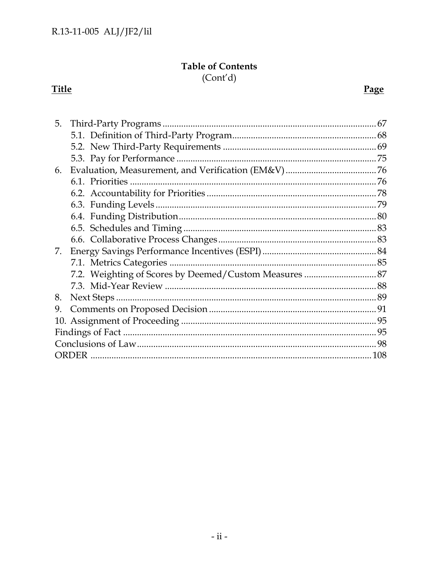## **Table of Contents**

 $(Cont'd)$ 

# **Title**

# Page

| 5. |                                                        |  |  |
|----|--------------------------------------------------------|--|--|
|    |                                                        |  |  |
|    |                                                        |  |  |
|    |                                                        |  |  |
| 6. |                                                        |  |  |
|    |                                                        |  |  |
|    |                                                        |  |  |
|    |                                                        |  |  |
|    |                                                        |  |  |
|    |                                                        |  |  |
|    |                                                        |  |  |
| 7. |                                                        |  |  |
|    |                                                        |  |  |
|    | 7.2. Weighting of Scores by Deemed/Custom Measures  87 |  |  |
|    |                                                        |  |  |
| 8. |                                                        |  |  |
| 9. |                                                        |  |  |
|    |                                                        |  |  |
|    |                                                        |  |  |
|    |                                                        |  |  |
|    |                                                        |  |  |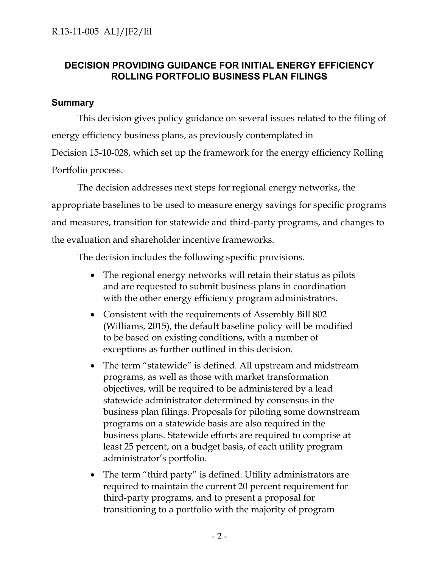## **DECISION PROVIDING GUIDANCE FOR INITIAL ENERGY EFFICIENCY ROLLING PORTFOLIO BUSINESS PLAN FILINGS**

## <span id="page-3-0"></span>**Summary**

This decision gives policy guidance on several issues related to the filing of energy efficiency business plans, as previously contemplated in Decision 15-10-028, which set up the framework for the energy efficiency Rolling Portfolio process.

The decision addresses next steps for regional energy networks, the appropriate baselines to be used to measure energy savings for specific programs and measures, transition for statewide and third-party programs, and changes to the evaluation and shareholder incentive frameworks.

The decision includes the following specific provisions.

- The regional energy networks will retain their status as pilots and are requested to submit business plans in coordination with the other energy efficiency program administrators.
- Consistent with the requirements of Assembly Bill 802 (Williams, 2015), the default baseline policy will be modified to be based on existing conditions, with a number of exceptions as further outlined in this decision.
- The term "statewide" is defined. All upstream and midstream programs, as well as those with market transformation objectives, will be required to be administered by a lead statewide administrator determined by consensus in the business plan filings. Proposals for piloting some downstream programs on a statewide basis are also required in the business plans. Statewide efforts are required to comprise at least 25 percent, on a budget basis, of each utility program administrator's portfolio.
- The term "third party" is defined. Utility administrators are required to maintain the current 20 percent requirement for third-party programs, and to present a proposal for transitioning to a portfolio with the majority of program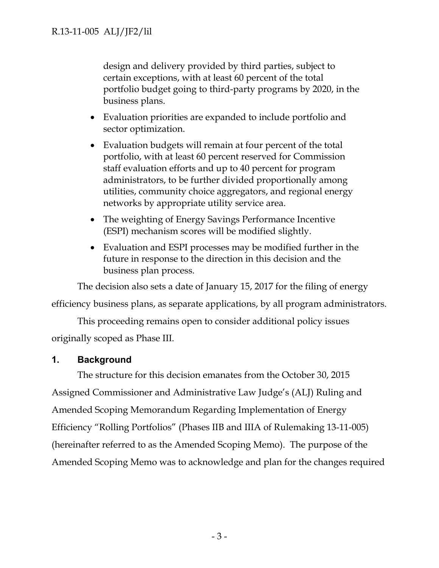design and delivery provided by third parties, subject to certain exceptions, with at least 60 percent of the total portfolio budget going to third-party programs by 2020, in the business plans.

- Evaluation priorities are expanded to include portfolio and sector optimization.
- Evaluation budgets will remain at four percent of the total portfolio, with at least 60 percent reserved for Commission staff evaluation efforts and up to 40 percent for program administrators, to be further divided proportionally among utilities, community choice aggregators, and regional energy networks by appropriate utility service area.
- The weighting of Energy Savings Performance Incentive (ESPI) mechanism scores will be modified slightly.
- Evaluation and ESPI processes may be modified further in the future in response to the direction in this decision and the business plan process.

The decision also sets a date of January 15, 2017 for the filing of energy

efficiency business plans, as separate applications, by all program administrators.

This proceeding remains open to consider additional policy issues originally scoped as Phase III.

## <span id="page-4-0"></span>**1. Background**

The structure for this decision emanates from the October 30, 2015 Assigned Commissioner and Administrative Law Judge's (ALJ) Ruling and Amended Scoping Memorandum Regarding Implementation of Energy Efficiency "Rolling Portfolios" (Phases IIB and IIIA of Rulemaking 13-11-005) (hereinafter referred to as the Amended Scoping Memo). The purpose of the Amended Scoping Memo was to acknowledge and plan for the changes required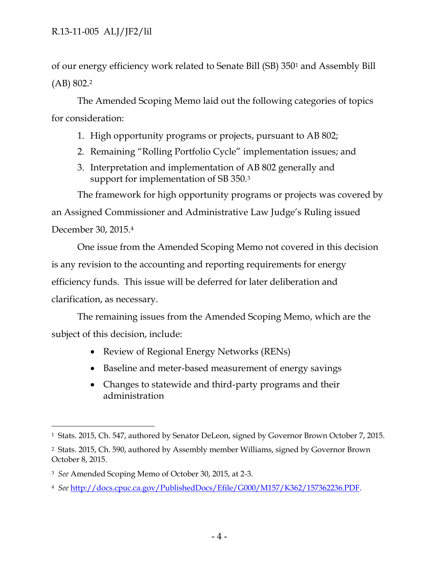of our energy efficiency work related to Senate Bill (SB) 350<sup>1</sup> and Assembly Bill (AB) 802.<sup>2</sup>

The Amended Scoping Memo laid out the following categories of topics for consideration:

- 1. High opportunity programs or projects, pursuant to AB 802;
- 2. Remaining "Rolling Portfolio Cycle" implementation issues; and
- 3. Interpretation and implementation of AB 802 generally and support for implementation of SB 350.<sup>3</sup>

The framework for high opportunity programs or projects was covered by an Assigned Commissioner and Administrative Law Judge's Ruling issued December 30, 2015.<sup>4</sup>

One issue from the Amended Scoping Memo not covered in this decision is any revision to the accounting and reporting requirements for energy efficiency funds. This issue will be deferred for later deliberation and clarification, as necessary.

The remaining issues from the Amended Scoping Memo, which are the subject of this decision, include:

- Review of Regional Energy Networks (RENs)
- Baseline and meter-based measurement of energy savings
- Changes to statewide and third-party programs and their administration

 $\overline{a}$ <sup>1</sup> Stats. 2015, Ch. 547, authored by Senator DeLeon, signed by Governor Brown October 7, 2015.

<sup>2</sup> Stats. 2015, Ch. 590, authored by Assembly member Williams, signed by Governor Brown October 8, 2015.

<sup>3</sup> *See* Amended Scoping Memo of October 30, 2015, at 2-3.

<sup>4</sup> *See* [http://docs.cpuc.ca.gov/PublishedDocs/Efile/G000/M157/K362/157362236.PDF.](http://docs.cpuc.ca.gov/PublishedDocs/Efile/G000/M157/K362/157362236.PDF)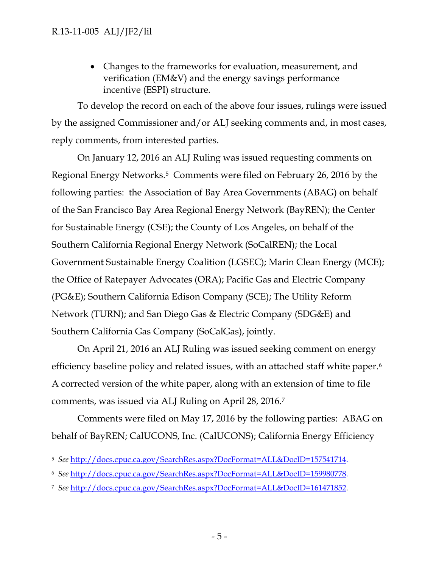Changes to the frameworks for evaluation, measurement, and verification (EM&V) and the energy savings performance incentive (ESPI) structure.

To develop the record on each of the above four issues, rulings were issued by the assigned Commissioner and/or ALJ seeking comments and, in most cases, reply comments, from interested parties.

On January 12, 2016 an ALJ Ruling was issued requesting comments on Regional Energy Networks.<sup>5</sup> Comments were filed on February 26, 2016 by the following parties: the Association of Bay Area Governments (ABAG) on behalf of the San Francisco Bay Area Regional Energy Network (BayREN); the Center for Sustainable Energy (CSE); the County of Los Angeles, on behalf of the Southern California Regional Energy Network (SoCalREN); the Local Government Sustainable Energy Coalition (LGSEC); Marin Clean Energy (MCE); the Office of Ratepayer Advocates (ORA); Pacific Gas and Electric Company (PG&E); Southern California Edison Company (SCE); The Utility Reform Network (TURN); and San Diego Gas & Electric Company (SDG&E) and Southern California Gas Company (SoCalGas), jointly.

On April 21, 2016 an ALJ Ruling was issued seeking comment on energy efficiency baseline policy and related issues, with an attached staff white paper.<sup>6</sup> A corrected version of the white paper, along with an extension of time to file comments, was issued via ALJ Ruling on April 28, 2016.<sup>7</sup>

Comments were filed on May 17, 2016 by the following parties: ABAG on behalf of BayREN; CalUCONS, Inc. (CalUCONS); California Energy Efficiency

 $\overline{a}$ <sup>5</sup> *See* [http://docs.cpuc.ca.gov/SearchRes.aspx?DocFormat=ALL&DocID=157541714.](http://docs.cpuc.ca.gov/SearchRes.aspx?DocFormat=ALL&DocID=157541714)

<sup>6</sup> *See* [http://docs.cpuc.ca.gov/SearchRes.aspx?DocFormat=ALL&DocID=159980778.](http://docs.cpuc.ca.gov/SearchRes.aspx?DocFormat=ALL&DocID=159980778)

<sup>7</sup> *See* [http://docs.cpuc.ca.gov/SearchRes.aspx?DocFormat=ALL&DocID=161471852.](http://docs.cpuc.ca.gov/SearchRes.aspx?DocFormat=ALL&DocID=161471852)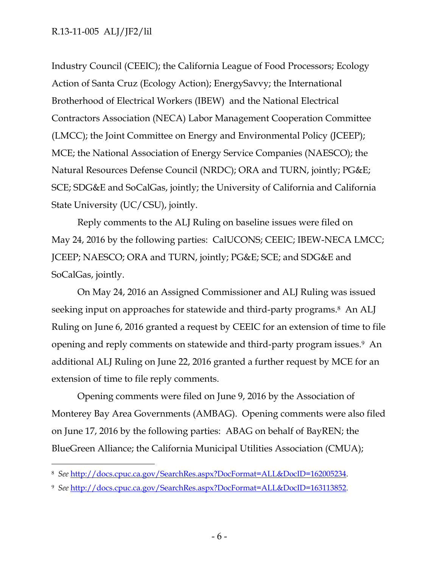$\overline{a}$ 

Industry Council (CEEIC); the California League of Food Processors; Ecology Action of Santa Cruz (Ecology Action); EnergySavvy; the International Brotherhood of Electrical Workers (IBEW) and the National Electrical Contractors Association (NECA) Labor Management Cooperation Committee (LMCC); the Joint Committee on Energy and Environmental Policy (JCEEP); MCE; the National Association of Energy Service Companies (NAESCO); the Natural Resources Defense Council (NRDC); ORA and TURN, jointly; PG&E; SCE; SDG&E and SoCalGas, jointly; the University of California and California State University (UC/CSU), jointly.

Reply comments to the ALJ Ruling on baseline issues were filed on May 24, 2016 by the following parties: CalUCONS; CEEIC; IBEW-NECA LMCC; JCEEP; NAESCO; ORA and TURN, jointly; PG&E; SCE; and SDG&E and SoCalGas, jointly.

On May 24, 2016 an Assigned Commissioner and ALJ Ruling was issued seeking input on approaches for statewide and third-party programs.<sup>8</sup> An ALJ Ruling on June 6, 2016 granted a request by CEEIC for an extension of time to file opening and reply comments on statewide and third-party program issues.<sup>9</sup> An additional ALJ Ruling on June 22, 2016 granted a further request by MCE for an extension of time to file reply comments.

Opening comments were filed on June 9, 2016 by the Association of Monterey Bay Area Governments (AMBAG). Opening comments were also filed on June 17, 2016 by the following parties: ABAG on behalf of BayREN; the BlueGreen Alliance; the California Municipal Utilities Association (CMUA);

<sup>8</sup> *See* [http://docs.cpuc.ca.gov/SearchRes.aspx?DocFormat=ALL&DocID=162005234.](http://docs.cpuc.ca.gov/SearchRes.aspx?DocFormat=ALL&DocID=162005234)

<sup>9</sup> *See* [http://docs.cpuc.ca.gov/SearchRes.aspx?DocFormat=ALL&DocID=163113852.](http://docs.cpuc.ca.gov/SearchRes.aspx?DocFormat=ALL&DocID=163113852)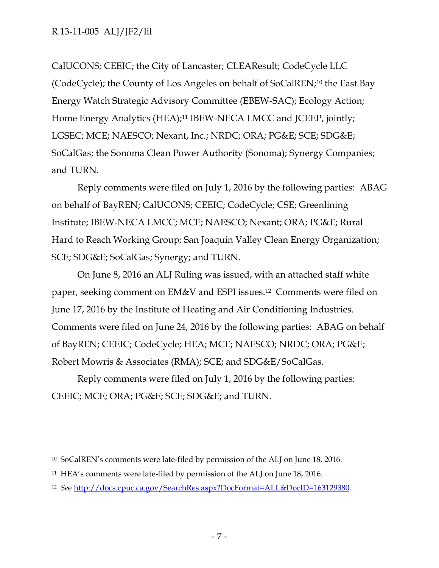CalUCONS; CEEIC; the City of Lancaster; CLEAResult; CodeCycle LLC (CodeCycle); the County of Los Angeles on behalf of SoCalREN;<sup>10</sup> the East Bay Energy Watch Strategic Advisory Committee (EBEW-SAC); Ecology Action; Home Energy Analytics (HEA);<sup>11</sup> IBEW-NECA LMCC and JCEEP, jointly; LGSEC; MCE; NAESCO; Nexant, Inc.; NRDC; ORA; PG&E; SCE; SDG&E; SoCalGas; the Sonoma Clean Power Authority (Sonoma); Synergy Companies; and TURN.

Reply comments were filed on July 1, 2016 by the following parties: ABAG on behalf of BayREN; CalUCONS; CEEIC; CodeCycle; CSE; Greenlining Institute; IBEW-NECA LMCC; MCE; NAESCO; Nexant; ORA; PG&E; Rural Hard to Reach Working Group; San Joaquin Valley Clean Energy Organization; SCE; SDG&E; SoCalGas; Synergy; and TURN.

On June 8, 2016 an ALJ Ruling was issued, with an attached staff white paper, seeking comment on EM&V and ESPI issues.<sup>12</sup> Comments were filed on June 17, 2016 by the Institute of Heating and Air Conditioning Industries. Comments were filed on June 24, 2016 by the following parties: ABAG on behalf of BayREN; CEEIC; CodeCycle; HEA; MCE; NAESCO; NRDC; ORA; PG&E; Robert Mowris & Associates (RMA); SCE; and SDG&E/SoCalGas.

Reply comments were filed on July 1, 2016 by the following parties: CEEIC; MCE; ORA; PG&E; SCE; SDG&E; and TURN.

 $\overline{a}$ <sup>10</sup> SoCalREN's comments were late-filed by permission of the ALJ on June 18, 2016.

<sup>11</sup> HEA's comments were late-filed by permission of the ALJ on June 18, 2016.

<sup>12</sup> *Se*e [http://docs.cpuc.ca.gov/SearchRes.aspx?DocFormat=ALL&DocID=163129380.](http://docs.cpuc.ca.gov/SearchRes.aspx?DocFormat=ALL&DocID=163129380)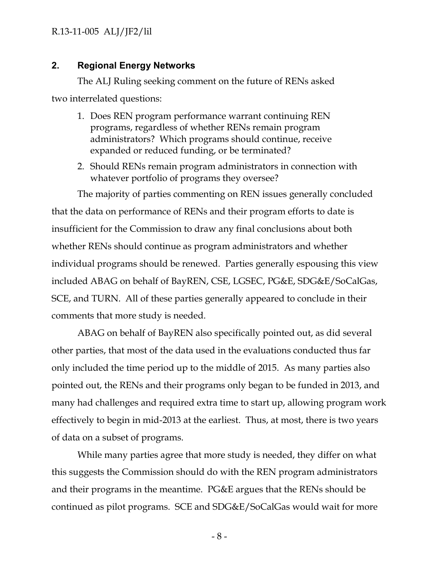## <span id="page-9-0"></span>**2. Regional Energy Networks**

The ALJ Ruling seeking comment on the future of RENs asked two interrelated questions:

- 1. Does REN program performance warrant continuing REN programs, regardless of whether RENs remain program administrators? Which programs should continue, receive expanded or reduced funding, or be terminated?
- 2. Should RENs remain program administrators in connection with whatever portfolio of programs they oversee?

The majority of parties commenting on REN issues generally concluded that the data on performance of RENs and their program efforts to date is insufficient for the Commission to draw any final conclusions about both whether RENs should continue as program administrators and whether individual programs should be renewed. Parties generally espousing this view included ABAG on behalf of BayREN, CSE, LGSEC, PG&E, SDG&E/SoCalGas, SCE, and TURN. All of these parties generally appeared to conclude in their comments that more study is needed.

ABAG on behalf of BayREN also specifically pointed out, as did several other parties, that most of the data used in the evaluations conducted thus far only included the time period up to the middle of 2015. As many parties also pointed out, the RENs and their programs only began to be funded in 2013, and many had challenges and required extra time to start up, allowing program work effectively to begin in mid-2013 at the earliest. Thus, at most, there is two years of data on a subset of programs.

While many parties agree that more study is needed, they differ on what this suggests the Commission should do with the REN program administrators and their programs in the meantime. PG&E argues that the RENs should be continued as pilot programs. SCE and SDG&E/SoCalGas would wait for more

- 8 -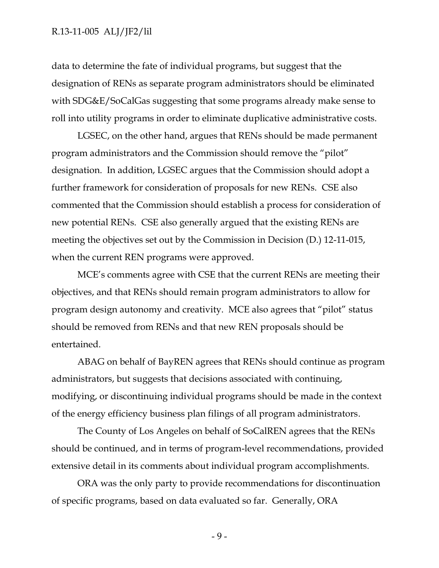data to determine the fate of individual programs, but suggest that the designation of RENs as separate program administrators should be eliminated with SDG&E/SoCalGas suggesting that some programs already make sense to roll into utility programs in order to eliminate duplicative administrative costs.

LGSEC, on the other hand, argues that RENs should be made permanent program administrators and the Commission should remove the "pilot" designation. In addition, LGSEC argues that the Commission should adopt a further framework for consideration of proposals for new RENs. CSE also commented that the Commission should establish a process for consideration of new potential RENs. CSE also generally argued that the existing RENs are meeting the objectives set out by the Commission in Decision (D.) 12-11-015, when the current REN programs were approved.

MCE's comments agree with CSE that the current RENs are meeting their objectives, and that RENs should remain program administrators to allow for program design autonomy and creativity. MCE also agrees that "pilot" status should be removed from RENs and that new REN proposals should be entertained.

ABAG on behalf of BayREN agrees that RENs should continue as program administrators, but suggests that decisions associated with continuing, modifying, or discontinuing individual programs should be made in the context of the energy efficiency business plan filings of all program administrators.

The County of Los Angeles on behalf of SoCalREN agrees that the RENs should be continued, and in terms of program-level recommendations, provided extensive detail in its comments about individual program accomplishments.

ORA was the only party to provide recommendations for discontinuation of specific programs, based on data evaluated so far. Generally, ORA

- 9 -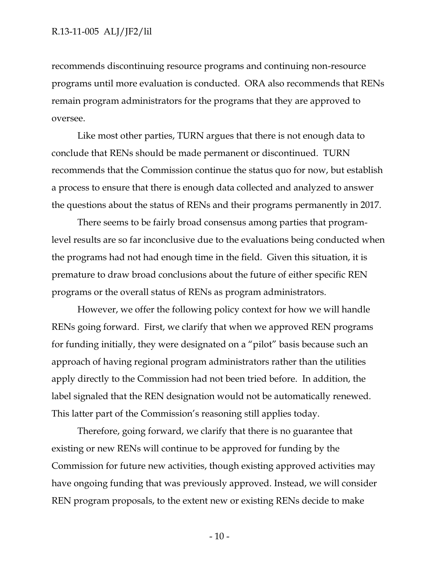recommends discontinuing resource programs and continuing non-resource programs until more evaluation is conducted. ORA also recommends that RENs remain program administrators for the programs that they are approved to oversee.

Like most other parties, TURN argues that there is not enough data to conclude that RENs should be made permanent or discontinued. TURN recommends that the Commission continue the status quo for now, but establish a process to ensure that there is enough data collected and analyzed to answer the questions about the status of RENs and their programs permanently in 2017.

There seems to be fairly broad consensus among parties that programlevel results are so far inconclusive due to the evaluations being conducted when the programs had not had enough time in the field. Given this situation, it is premature to draw broad conclusions about the future of either specific REN programs or the overall status of RENs as program administrators.

However, we offer the following policy context for how we will handle RENs going forward. First, we clarify that when we approved REN programs for funding initially, they were designated on a "pilot" basis because such an approach of having regional program administrators rather than the utilities apply directly to the Commission had not been tried before. In addition, the label signaled that the REN designation would not be automatically renewed. This latter part of the Commission's reasoning still applies today.

Therefore, going forward, we clarify that there is no guarantee that existing or new RENs will continue to be approved for funding by the Commission for future new activities, though existing approved activities may have ongoing funding that was previously approved. Instead, we will consider REN program proposals, to the extent new or existing RENs decide to make

 $-10-$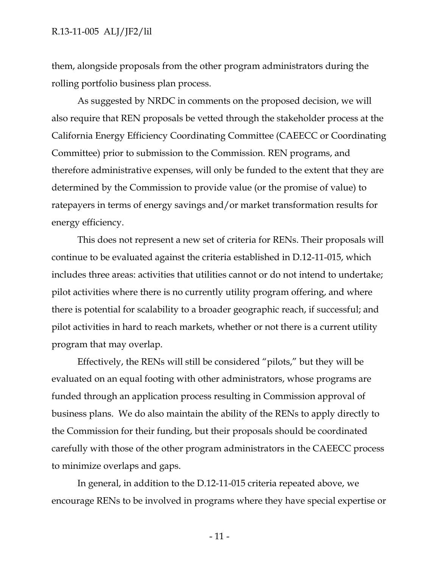#### R.13-11-005 ALJ/JF2/lil

them, alongside proposals from the other program administrators during the rolling portfolio business plan process.

As suggested by NRDC in comments on the proposed decision, we will also require that REN proposals be vetted through the stakeholder process at the California Energy Efficiency Coordinating Committee (CAEECC or Coordinating Committee) prior to submission to the Commission. REN programs, and therefore administrative expenses, will only be funded to the extent that they are determined by the Commission to provide value (or the promise of value) to ratepayers in terms of energy savings and/or market transformation results for energy efficiency.

This does not represent a new set of criteria for RENs. Their proposals will continue to be evaluated against the criteria established in D.12-11-015, which includes three areas: activities that utilities cannot or do not intend to undertake; pilot activities where there is no currently utility program offering, and where there is potential for scalability to a broader geographic reach, if successful; and pilot activities in hard to reach markets, whether or not there is a current utility program that may overlap.

Effectively, the RENs will still be considered "pilots," but they will be evaluated on an equal footing with other administrators, whose programs are funded through an application process resulting in Commission approval of business plans. We do also maintain the ability of the RENs to apply directly to the Commission for their funding, but their proposals should be coordinated carefully with those of the other program administrators in the CAEECC process to minimize overlaps and gaps.

In general, in addition to the D.12-11-015 criteria repeated above, we encourage RENs to be involved in programs where they have special expertise or

- 11 -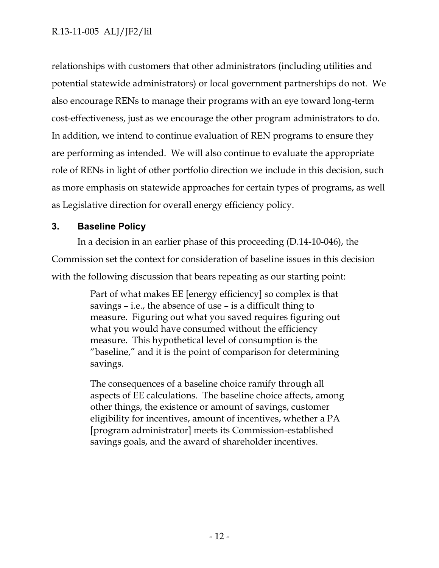relationships with customers that other administrators (including utilities and potential statewide administrators) or local government partnerships do not. We also encourage RENs to manage their programs with an eye toward long-term cost-effectiveness, just as we encourage the other program administrators to do. In addition, we intend to continue evaluation of REN programs to ensure they are performing as intended. We will also continue to evaluate the appropriate role of RENs in light of other portfolio direction we include in this decision, such as more emphasis on statewide approaches for certain types of programs, as well as Legislative direction for overall energy efficiency policy.

## <span id="page-13-0"></span>**3. Baseline Policy**

In a decision in an earlier phase of this proceeding (D.14-10-046), the Commission set the context for consideration of baseline issues in this decision with the following discussion that bears repeating as our starting point:

> Part of what makes EE [energy efficiency] so complex is that savings – i.e., the absence of use – is a difficult thing to measure. Figuring out what you saved requires figuring out what you would have consumed without the efficiency measure. This hypothetical level of consumption is the "baseline," and it is the point of comparison for determining savings.

The consequences of a baseline choice ramify through all aspects of EE calculations. The baseline choice affects, among other things, the existence or amount of savings, customer eligibility for incentives, amount of incentives, whether a PA [program administrator] meets its Commission-established savings goals, and the award of shareholder incentives.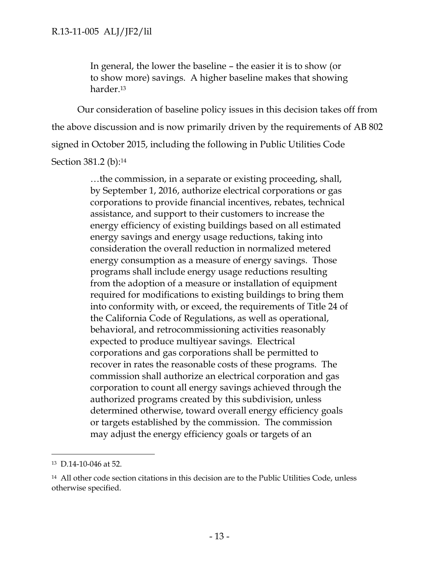In general, the lower the baseline – the easier it is to show (or to show more) savings. A higher baseline makes that showing harder.<sup>13</sup>

Our consideration of baseline policy issues in this decision takes off from the above discussion and is now primarily driven by the requirements of AB 802 signed in October 2015, including the following in Public Utilities Code Section 381.2 (b):<sup>14</sup>

> …the commission, in a separate or existing proceeding, shall, by September 1, 2016, authorize electrical corporations or gas corporations to provide financial incentives, rebates, technical assistance, and support to their customers to increase the energy efficiency of existing buildings based on all estimated energy savings and energy usage reductions, taking into consideration the overall reduction in normalized metered energy consumption as a measure of energy savings. Those programs shall include energy usage reductions resulting from the adoption of a measure or installation of equipment required for modifications to existing buildings to bring them into conformity with, or exceed, the requirements of Title 24 of the California Code of Regulations, as well as operational, behavioral, and retrocommissioning activities reasonably expected to produce multiyear savings. Electrical corporations and gas corporations shall be permitted to recover in rates the reasonable costs of these programs. The commission shall authorize an electrical corporation and gas corporation to count all energy savings achieved through the authorized programs created by this subdivision, unless determined otherwise, toward overall energy efficiency goals or targets established by the commission. The commission may adjust the energy efficiency goals or targets of an

 $\overline{a}$ 

<sup>13</sup> D.14-10-046 at 52.

<sup>14</sup> All other code section citations in this decision are to the Public Utilities Code, unless otherwise specified.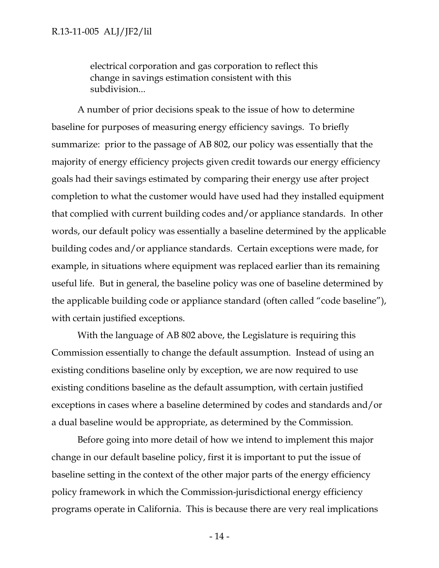electrical corporation and gas corporation to reflect this change in savings estimation consistent with this subdivision...

A number of prior decisions speak to the issue of how to determine baseline for purposes of measuring energy efficiency savings. To briefly summarize: prior to the passage of AB 802, our policy was essentially that the majority of energy efficiency projects given credit towards our energy efficiency goals had their savings estimated by comparing their energy use after project completion to what the customer would have used had they installed equipment that complied with current building codes and/or appliance standards. In other words, our default policy was essentially a baseline determined by the applicable building codes and/or appliance standards. Certain exceptions were made, for example, in situations where equipment was replaced earlier than its remaining useful life. But in general, the baseline policy was one of baseline determined by the applicable building code or appliance standard (often called "code baseline"), with certain justified exceptions.

With the language of AB 802 above, the Legislature is requiring this Commission essentially to change the default assumption. Instead of using an existing conditions baseline only by exception, we are now required to use existing conditions baseline as the default assumption, with certain justified exceptions in cases where a baseline determined by codes and standards and/or a dual baseline would be appropriate, as determined by the Commission.

Before going into more detail of how we intend to implement this major change in our default baseline policy, first it is important to put the issue of baseline setting in the context of the other major parts of the energy efficiency policy framework in which the Commission-jurisdictional energy efficiency programs operate in California. This is because there are very real implications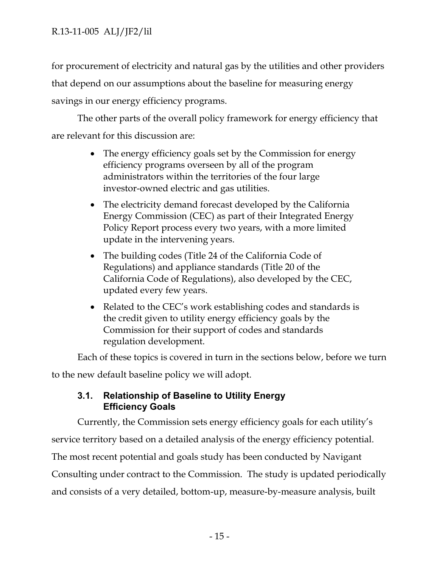for procurement of electricity and natural gas by the utilities and other providers that depend on our assumptions about the baseline for measuring energy savings in our energy efficiency programs.

The other parts of the overall policy framework for energy efficiency that are relevant for this discussion are:

- The energy efficiency goals set by the Commission for energy efficiency programs overseen by all of the program administrators within the territories of the four large investor-owned electric and gas utilities.
- The electricity demand forecast developed by the California Energy Commission (CEC) as part of their Integrated Energy Policy Report process every two years, with a more limited update in the intervening years.
- The building codes (Title 24 of the California Code of Regulations) and appliance standards (Title 20 of the California Code of Regulations), also developed by the CEC, updated every few years.
- Related to the CEC's work establishing codes and standards is the credit given to utility energy efficiency goals by the Commission for their support of codes and standards regulation development.

Each of these topics is covered in turn in the sections below, before we turn

<span id="page-16-0"></span>to the new default baseline policy we will adopt.

## **3.1. Relationship of Baseline to Utility Energy Efficiency Goals**

Currently, the Commission sets energy efficiency goals for each utility's service territory based on a detailed analysis of the energy efficiency potential. The most recent potential and goals study has been conducted by Navigant Consulting under contract to the Commission. The study is updated periodically and consists of a very detailed, bottom-up, measure-by-measure analysis, built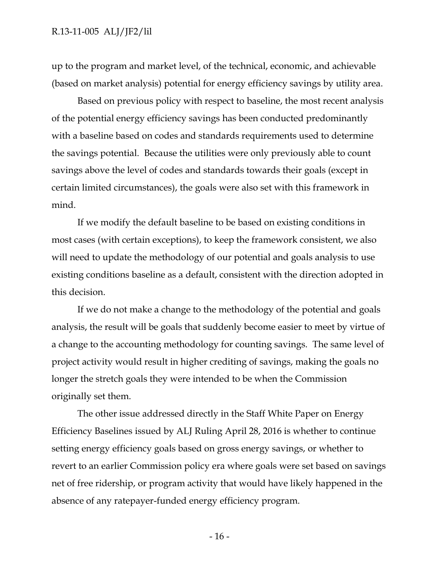up to the program and market level, of the technical, economic, and achievable (based on market analysis) potential for energy efficiency savings by utility area.

Based on previous policy with respect to baseline, the most recent analysis of the potential energy efficiency savings has been conducted predominantly with a baseline based on codes and standards requirements used to determine the savings potential. Because the utilities were only previously able to count savings above the level of codes and standards towards their goals (except in certain limited circumstances), the goals were also set with this framework in mind.

If we modify the default baseline to be based on existing conditions in most cases (with certain exceptions), to keep the framework consistent, we also will need to update the methodology of our potential and goals analysis to use existing conditions baseline as a default, consistent with the direction adopted in this decision.

If we do not make a change to the methodology of the potential and goals analysis, the result will be goals that suddenly become easier to meet by virtue of a change to the accounting methodology for counting savings. The same level of project activity would result in higher crediting of savings, making the goals no longer the stretch goals they were intended to be when the Commission originally set them.

The other issue addressed directly in the Staff White Paper on Energy Efficiency Baselines issued by ALJ Ruling April 28, 2016 is whether to continue setting energy efficiency goals based on gross energy savings, or whether to revert to an earlier Commission policy era where goals were set based on savings net of free ridership, or program activity that would have likely happened in the absence of any ratepayer-funded energy efficiency program.

- 16 -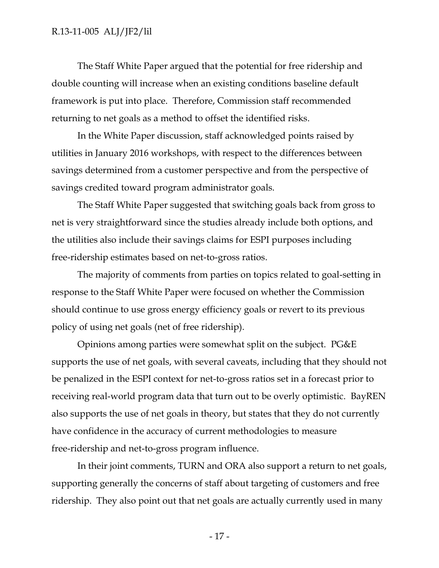The Staff White Paper argued that the potential for free ridership and double counting will increase when an existing conditions baseline default framework is put into place. Therefore, Commission staff recommended returning to net goals as a method to offset the identified risks.

In the White Paper discussion, staff acknowledged points raised by utilities in January 2016 workshops, with respect to the differences between savings determined from a customer perspective and from the perspective of savings credited toward program administrator goals.

The Staff White Paper suggested that switching goals back from gross to net is very straightforward since the studies already include both options, and the utilities also include their savings claims for ESPI purposes including free-ridership estimates based on net-to-gross ratios.

The majority of comments from parties on topics related to goal-setting in response to the Staff White Paper were focused on whether the Commission should continue to use gross energy efficiency goals or revert to its previous policy of using net goals (net of free ridership).

Opinions among parties were somewhat split on the subject. PG&E supports the use of net goals, with several caveats, including that they should not be penalized in the ESPI context for net-to-gross ratios set in a forecast prior to receiving real-world program data that turn out to be overly optimistic. BayREN also supports the use of net goals in theory, but states that they do not currently have confidence in the accuracy of current methodologies to measure free-ridership and net-to-gross program influence.

In their joint comments, TURN and ORA also support a return to net goals, supporting generally the concerns of staff about targeting of customers and free ridership. They also point out that net goals are actually currently used in many

- 17 -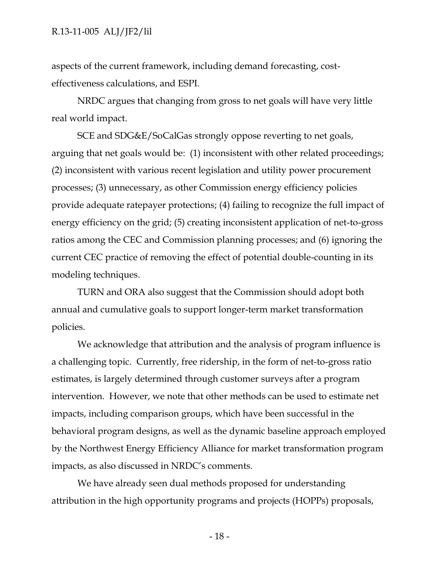aspects of the current framework, including demand forecasting, costeffectiveness calculations, and ESPI.

NRDC argues that changing from gross to net goals will have very little real world impact.

SCE and SDG&E/SoCalGas strongly oppose reverting to net goals, arguing that net goals would be: (1) inconsistent with other related proceedings; (2) inconsistent with various recent legislation and utility power procurement processes; (3) unnecessary, as other Commission energy efficiency policies provide adequate ratepayer protections; (4) failing to recognize the full impact of energy efficiency on the grid; (5) creating inconsistent application of net-to-gross ratios among the CEC and Commission planning processes; and (6) ignoring the current CEC practice of removing the effect of potential double-counting in its modeling techniques.

TURN and ORA also suggest that the Commission should adopt both annual and cumulative goals to support longer-term market transformation policies.

We acknowledge that attribution and the analysis of program influence is a challenging topic. Currently, free ridership, in the form of net-to-gross ratio estimates, is largely determined through customer surveys after a program intervention. However, we note that other methods can be used to estimate net impacts, including comparison groups, which have been successful in the behavioral program designs, as well as the dynamic baseline approach employed by the Northwest Energy Efficiency Alliance for market transformation program impacts, as also discussed in NRDC's comments.

We have already seen dual methods proposed for understanding attribution in the high opportunity programs and projects (HOPPs) proposals,

- 18 -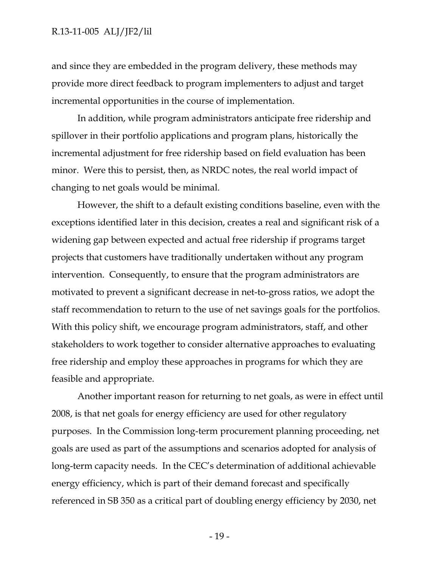and since they are embedded in the program delivery, these methods may provide more direct feedback to program implementers to adjust and target incremental opportunities in the course of implementation.

In addition, while program administrators anticipate free ridership and spillover in their portfolio applications and program plans, historically the incremental adjustment for free ridership based on field evaluation has been minor. Were this to persist, then, as NRDC notes, the real world impact of changing to net goals would be minimal.

However, the shift to a default existing conditions baseline, even with the exceptions identified later in this decision, creates a real and significant risk of a widening gap between expected and actual free ridership if programs target projects that customers have traditionally undertaken without any program intervention. Consequently, to ensure that the program administrators are motivated to prevent a significant decrease in net-to-gross ratios, we adopt the staff recommendation to return to the use of net savings goals for the portfolios. With this policy shift, we encourage program administrators, staff, and other stakeholders to work together to consider alternative approaches to evaluating free ridership and employ these approaches in programs for which they are feasible and appropriate.

Another important reason for returning to net goals, as were in effect until 2008, is that net goals for energy efficiency are used for other regulatory purposes. In the Commission long-term procurement planning proceeding, net goals are used as part of the assumptions and scenarios adopted for analysis of long-term capacity needs. In the CEC's determination of additional achievable energy efficiency, which is part of their demand forecast and specifically referenced in SB 350 as a critical part of doubling energy efficiency by 2030, net

- 19 -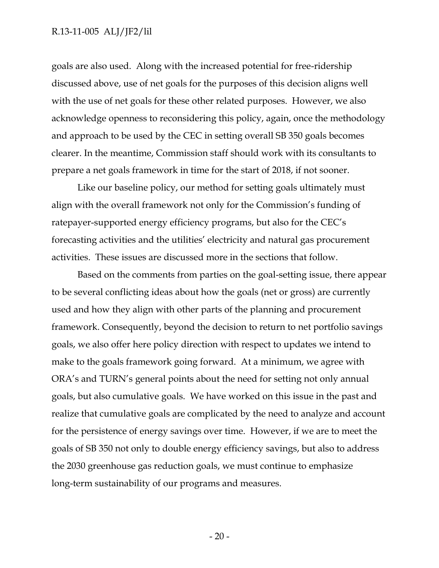#### R.13-11-005 ALJ/JF2/lil

goals are also used. Along with the increased potential for free-ridership discussed above, use of net goals for the purposes of this decision aligns well with the use of net goals for these other related purposes. However, we also acknowledge openness to reconsidering this policy, again, once the methodology and approach to be used by the CEC in setting overall SB 350 goals becomes clearer. In the meantime, Commission staff should work with its consultants to prepare a net goals framework in time for the start of 2018, if not sooner.

Like our baseline policy, our method for setting goals ultimately must align with the overall framework not only for the Commission's funding of ratepayer-supported energy efficiency programs, but also for the CEC's forecasting activities and the utilities' electricity and natural gas procurement activities. These issues are discussed more in the sections that follow.

Based on the comments from parties on the goal-setting issue, there appear to be several conflicting ideas about how the goals (net or gross) are currently used and how they align with other parts of the planning and procurement framework. Consequently, beyond the decision to return to net portfolio savings goals, we also offer here policy direction with respect to updates we intend to make to the goals framework going forward. At a minimum, we agree with ORA's and TURN's general points about the need for setting not only annual goals, but also cumulative goals. We have worked on this issue in the past and realize that cumulative goals are complicated by the need to analyze and account for the persistence of energy savings over time. However, if we are to meet the goals of SB 350 not only to double energy efficiency savings, but also to address the 2030 greenhouse gas reduction goals, we must continue to emphasize long-term sustainability of our programs and measures.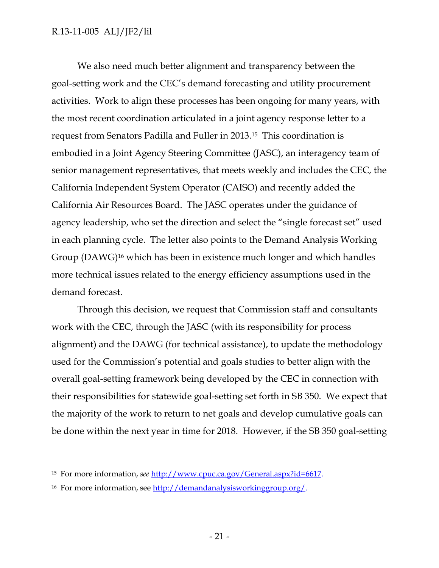We also need much better alignment and transparency between the goal-setting work and the CEC's demand forecasting and utility procurement activities. Work to align these processes has been ongoing for many years, with the most recent coordination articulated in a joint agency response letter to a request from Senators Padilla and Fuller in 2013.<sup>15</sup> This coordination is embodied in a Joint Agency Steering Committee (JASC), an interagency team of senior management representatives, that meets weekly and includes the CEC, the California Independent System Operator (CAISO) and recently added the California Air Resources Board. The JASC operates under the guidance of agency leadership, who set the direction and select the "single forecast set" used in each planning cycle. The letter also points to the Demand Analysis Working Group (DAWG)<sup>16</sup> which has been in existence much longer and which handles more technical issues related to the energy efficiency assumptions used in the demand forecast.

Through this decision, we request that Commission staff and consultants work with the CEC, through the JASC (with its responsibility for process alignment) and the DAWG (for technical assistance), to update the methodology used for the Commission's potential and goals studies to better align with the overall goal-setting framework being developed by the CEC in connection with their responsibilities for statewide goal-setting set forth in SB 350. We expect that the majority of the work to return to net goals and develop cumulative goals can be done within the next year in time for 2018. However, if the SB 350 goal-setting

 $\overline{a}$ 

<sup>15</sup> For more information, *see* [http://www.cpuc.ca.gov/General.aspx?id=6617.](http://www.cpuc.ca.gov/General.aspx?id=6617)

<sup>16</sup> For more information, see [http://demandanalysisworkinggroup.org/.](http://demandanalysisworkinggroup.org/)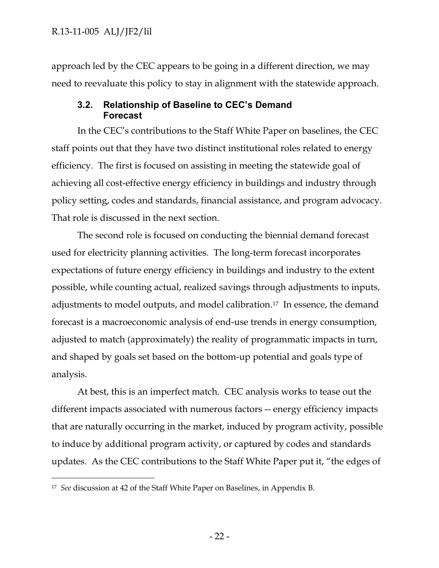approach led by the CEC appears to be going in a different direction, we may need to reevaluate this policy to stay in alignment with the statewide approach.

## <span id="page-23-0"></span>**3.2. Relationship of Baseline to CEC's Demand Forecast**

In the CEC's contributions to the Staff White Paper on baselines, the CEC staff points out that they have two distinct institutional roles related to energy efficiency. The first is focused on assisting in meeting the statewide goal of achieving all cost-effective energy efficiency in buildings and industry through policy setting, codes and standards, financial assistance, and program advocacy. That role is discussed in the next section.

The second role is focused on conducting the biennial demand forecast used for electricity planning activities. The long-term forecast incorporates expectations of future energy efficiency in buildings and industry to the extent possible, while counting actual, realized savings through adjustments to inputs, adjustments to model outputs, and model calibration.<sup>17</sup> In essence, the demand forecast is a macroeconomic analysis of end-use trends in energy consumption, adjusted to match (approximately) the reality of programmatic impacts in turn, and shaped by goals set based on the bottom-up potential and goals type of analysis.

At best, this is an imperfect match. CEC analysis works to tease out the different impacts associated with numerous factors -- energy efficiency impacts that are naturally occurring in the market, induced by program activity, possible to induce by additional program activity, or captured by codes and standards updates. As the CEC contributions to the Staff White Paper put it, "the edges of

 $\overline{a}$ 

<sup>17</sup> *See* discussion at 42 of the Staff White Paper on Baselines, in Appendix B.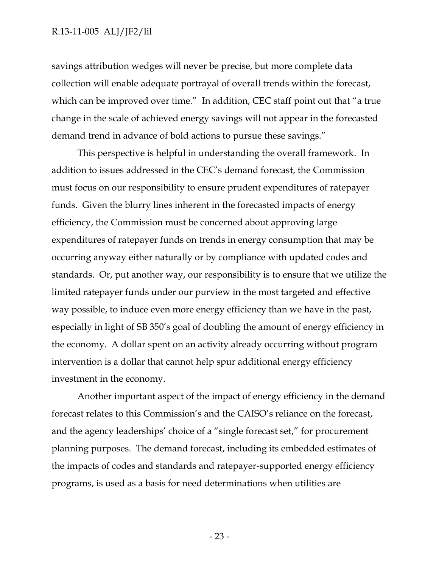#### R.13-11-005 ALJ/JF2/lil

savings attribution wedges will never be precise, but more complete data collection will enable adequate portrayal of overall trends within the forecast, which can be improved over time." In addition, CEC staff point out that "a true change in the scale of achieved energy savings will not appear in the forecasted demand trend in advance of bold actions to pursue these savings."

This perspective is helpful in understanding the overall framework. In addition to issues addressed in the CEC's demand forecast, the Commission must focus on our responsibility to ensure prudent expenditures of ratepayer funds. Given the blurry lines inherent in the forecasted impacts of energy efficiency, the Commission must be concerned about approving large expenditures of ratepayer funds on trends in energy consumption that may be occurring anyway either naturally or by compliance with updated codes and standards. Or, put another way, our responsibility is to ensure that we utilize the limited ratepayer funds under our purview in the most targeted and effective way possible, to induce even more energy efficiency than we have in the past, especially in light of SB 350's goal of doubling the amount of energy efficiency in the economy. A dollar spent on an activity already occurring without program intervention is a dollar that cannot help spur additional energy efficiency investment in the economy.

Another important aspect of the impact of energy efficiency in the demand forecast relates to this Commission's and the CAISO's reliance on the forecast, and the agency leaderships' choice of a "single forecast set," for procurement planning purposes. The demand forecast, including its embedded estimates of the impacts of codes and standards and ratepayer-supported energy efficiency programs, is used as a basis for need determinations when utilities are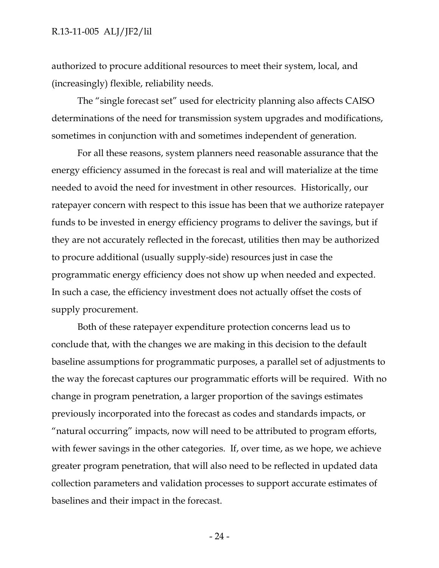authorized to procure additional resources to meet their system, local, and (increasingly) flexible, reliability needs.

The "single forecast set" used for electricity planning also affects CAISO determinations of the need for transmission system upgrades and modifications, sometimes in conjunction with and sometimes independent of generation.

For all these reasons, system planners need reasonable assurance that the energy efficiency assumed in the forecast is real and will materialize at the time needed to avoid the need for investment in other resources. Historically, our ratepayer concern with respect to this issue has been that we authorize ratepayer funds to be invested in energy efficiency programs to deliver the savings, but if they are not accurately reflected in the forecast, utilities then may be authorized to procure additional (usually supply-side) resources just in case the programmatic energy efficiency does not show up when needed and expected. In such a case, the efficiency investment does not actually offset the costs of supply procurement.

Both of these ratepayer expenditure protection concerns lead us to conclude that, with the changes we are making in this decision to the default baseline assumptions for programmatic purposes, a parallel set of adjustments to the way the forecast captures our programmatic efforts will be required. With no change in program penetration, a larger proportion of the savings estimates previously incorporated into the forecast as codes and standards impacts, or "natural occurring" impacts, now will need to be attributed to program efforts, with fewer savings in the other categories. If, over time, as we hope, we achieve greater program penetration, that will also need to be reflected in updated data collection parameters and validation processes to support accurate estimates of baselines and their impact in the forecast.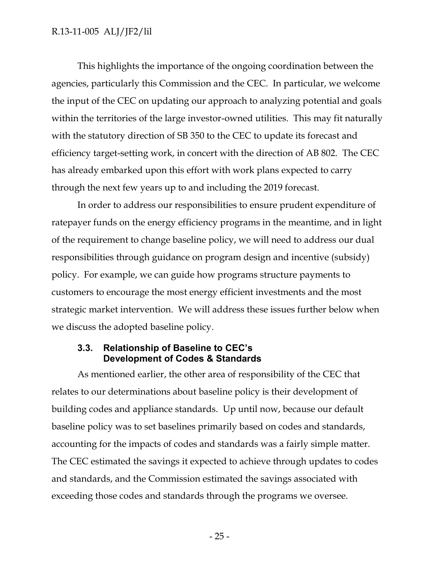This highlights the importance of the ongoing coordination between the agencies, particularly this Commission and the CEC. In particular, we welcome the input of the CEC on updating our approach to analyzing potential and goals within the territories of the large investor-owned utilities. This may fit naturally with the statutory direction of SB 350 to the CEC to update its forecast and efficiency target-setting work, in concert with the direction of AB 802. The CEC has already embarked upon this effort with work plans expected to carry through the next few years up to and including the 2019 forecast.

In order to address our responsibilities to ensure prudent expenditure of ratepayer funds on the energy efficiency programs in the meantime, and in light of the requirement to change baseline policy, we will need to address our dual responsibilities through guidance on program design and incentive (subsidy) policy. For example, we can guide how programs structure payments to customers to encourage the most energy efficient investments and the most strategic market intervention. We will address these issues further below when we discuss the adopted baseline policy.

#### <span id="page-26-0"></span>**3.3. Relationship of Baseline to CEC's Development of Codes & Standards**

As mentioned earlier, the other area of responsibility of the CEC that relates to our determinations about baseline policy is their development of building codes and appliance standards. Up until now, because our default baseline policy was to set baselines primarily based on codes and standards, accounting for the impacts of codes and standards was a fairly simple matter. The CEC estimated the savings it expected to achieve through updates to codes and standards, and the Commission estimated the savings associated with exceeding those codes and standards through the programs we oversee.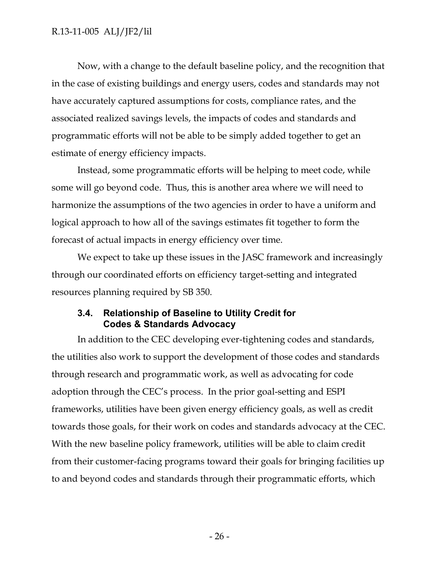Now, with a change to the default baseline policy, and the recognition that in the case of existing buildings and energy users, codes and standards may not have accurately captured assumptions for costs, compliance rates, and the associated realized savings levels, the impacts of codes and standards and programmatic efforts will not be able to be simply added together to get an estimate of energy efficiency impacts.

Instead, some programmatic efforts will be helping to meet code, while some will go beyond code. Thus, this is another area where we will need to harmonize the assumptions of the two agencies in order to have a uniform and logical approach to how all of the savings estimates fit together to form the forecast of actual impacts in energy efficiency over time.

We expect to take up these issues in the JASC framework and increasingly through our coordinated efforts on efficiency target-setting and integrated resources planning required by SB 350.

### <span id="page-27-0"></span>**3.4. Relationship of Baseline to Utility Credit for Codes & Standards Advocacy**

In addition to the CEC developing ever-tightening codes and standards, the utilities also work to support the development of those codes and standards through research and programmatic work, as well as advocating for code adoption through the CEC's process. In the prior goal-setting and ESPI frameworks, utilities have been given energy efficiency goals, as well as credit towards those goals, for their work on codes and standards advocacy at the CEC. With the new baseline policy framework, utilities will be able to claim credit from their customer-facing programs toward their goals for bringing facilities up to and beyond codes and standards through their programmatic efforts, which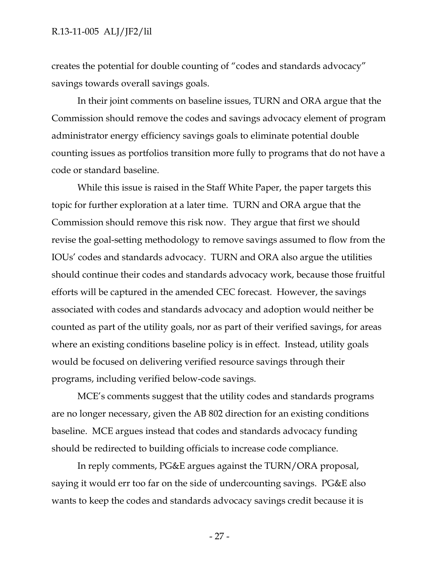#### R.13-11-005 ALJ/JF2/lil

creates the potential for double counting of "codes and standards advocacy" savings towards overall savings goals.

In their joint comments on baseline issues, TURN and ORA argue that the Commission should remove the codes and savings advocacy element of program administrator energy efficiency savings goals to eliminate potential double counting issues as portfolios transition more fully to programs that do not have a code or standard baseline.

While this issue is raised in the Staff White Paper, the paper targets this topic for further exploration at a later time. TURN and ORA argue that the Commission should remove this risk now. They argue that first we should revise the goal-setting methodology to remove savings assumed to flow from the IOUs' codes and standards advocacy. TURN and ORA also argue the utilities should continue their codes and standards advocacy work, because those fruitful efforts will be captured in the amended CEC forecast. However, the savings associated with codes and standards advocacy and adoption would neither be counted as part of the utility goals, nor as part of their verified savings, for areas where an existing conditions baseline policy is in effect. Instead, utility goals would be focused on delivering verified resource savings through their programs, including verified below-code savings.

MCE's comments suggest that the utility codes and standards programs are no longer necessary, given the AB 802 direction for an existing conditions baseline. MCE argues instead that codes and standards advocacy funding should be redirected to building officials to increase code compliance.

In reply comments, PG&E argues against the TURN/ORA proposal, saying it would err too far on the side of undercounting savings. PG&E also wants to keep the codes and standards advocacy savings credit because it is

- 27 -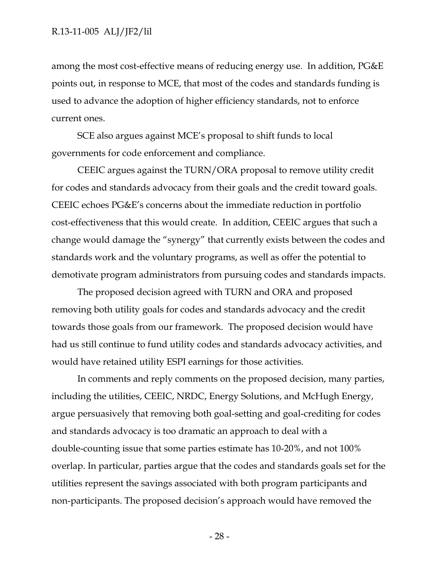among the most cost-effective means of reducing energy use. In addition, PG&E points out, in response to MCE, that most of the codes and standards funding is used to advance the adoption of higher efficiency standards, not to enforce current ones.

SCE also argues against MCE's proposal to shift funds to local governments for code enforcement and compliance.

CEEIC argues against the TURN/ORA proposal to remove utility credit for codes and standards advocacy from their goals and the credit toward goals. CEEIC echoes PG&E's concerns about the immediate reduction in portfolio cost-effectiveness that this would create. In addition, CEEIC argues that such a change would damage the "synergy" that currently exists between the codes and standards work and the voluntary programs, as well as offer the potential to demotivate program administrators from pursuing codes and standards impacts.

The proposed decision agreed with TURN and ORA and proposed removing both utility goals for codes and standards advocacy and the credit towards those goals from our framework. The proposed decision would have had us still continue to fund utility codes and standards advocacy activities, and would have retained utility ESPI earnings for those activities.

In comments and reply comments on the proposed decision, many parties, including the utilities, CEEIC, NRDC, Energy Solutions, and McHugh Energy, argue persuasively that removing both goal-setting and goal-crediting for codes and standards advocacy is too dramatic an approach to deal with a double-counting issue that some parties estimate has 10-20%, and not 100% overlap. In particular, parties argue that the codes and standards goals set for the utilities represent the savings associated with both program participants and non-participants. The proposed decision's approach would have removed the

- 28 -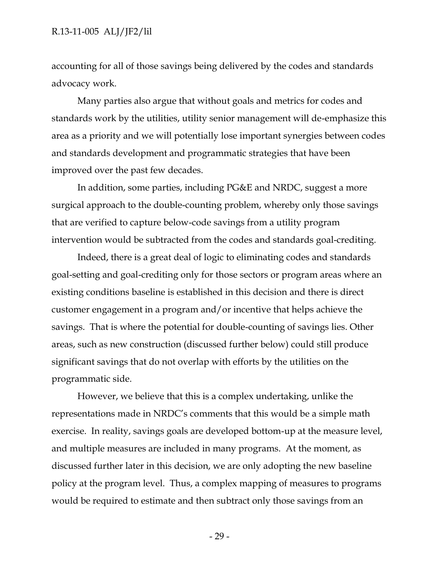#### R.13-11-005 ALJ/JF2/lil

accounting for all of those savings being delivered by the codes and standards advocacy work.

Many parties also argue that without goals and metrics for codes and standards work by the utilities, utility senior management will de-emphasize this area as a priority and we will potentially lose important synergies between codes and standards development and programmatic strategies that have been improved over the past few decades.

In addition, some parties, including PG&E and NRDC, suggest a more surgical approach to the double-counting problem, whereby only those savings that are verified to capture below-code savings from a utility program intervention would be subtracted from the codes and standards goal-crediting.

Indeed, there is a great deal of logic to eliminating codes and standards goal-setting and goal-crediting only for those sectors or program areas where an existing conditions baseline is established in this decision and there is direct customer engagement in a program and/or incentive that helps achieve the savings. That is where the potential for double-counting of savings lies. Other areas, such as new construction (discussed further below) could still produce significant savings that do not overlap with efforts by the utilities on the programmatic side.

However, we believe that this is a complex undertaking, unlike the representations made in NRDC's comments that this would be a simple math exercise. In reality, savings goals are developed bottom-up at the measure level, and multiple measures are included in many programs. At the moment, as discussed further later in this decision, we are only adopting the new baseline policy at the program level. Thus, a complex mapping of measures to programs would be required to estimate and then subtract only those savings from an

- 29 -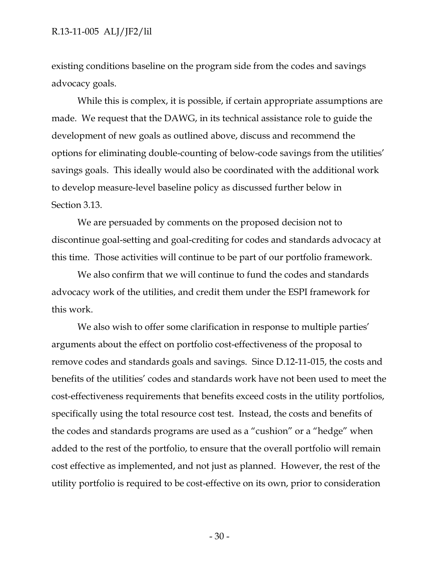#### R.13-11-005 ALJ/JF2/lil

existing conditions baseline on the program side from the codes and savings advocacy goals.

While this is complex, it is possible, if certain appropriate assumptions are made. We request that the DAWG, in its technical assistance role to guide the development of new goals as outlined above, discuss and recommend the options for eliminating double-counting of below-code savings from the utilities' savings goals. This ideally would also be coordinated with the additional work to develop measure-level baseline policy as discussed further below in Section 3.13.

We are persuaded by comments on the proposed decision not to discontinue goal-setting and goal-crediting for codes and standards advocacy at this time. Those activities will continue to be part of our portfolio framework.

We also confirm that we will continue to fund the codes and standards advocacy work of the utilities, and credit them under the ESPI framework for this work.

We also wish to offer some clarification in response to multiple parties' arguments about the effect on portfolio cost-effectiveness of the proposal to remove codes and standards goals and savings. Since D.12-11-015, the costs and benefits of the utilities' codes and standards work have not been used to meet the cost-effectiveness requirements that benefits exceed costs in the utility portfolios, specifically using the total resource cost test. Instead, the costs and benefits of the codes and standards programs are used as a "cushion" or a "hedge" when added to the rest of the portfolio, to ensure that the overall portfolio will remain cost effective as implemented, and not just as planned. However, the rest of the utility portfolio is required to be cost-effective on its own, prior to consideration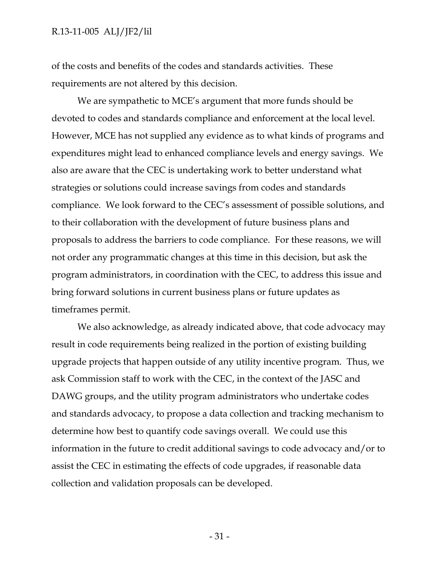of the costs and benefits of the codes and standards activities. These requirements are not altered by this decision.

We are sympathetic to MCE's argument that more funds should be devoted to codes and standards compliance and enforcement at the local level. However, MCE has not supplied any evidence as to what kinds of programs and expenditures might lead to enhanced compliance levels and energy savings. We also are aware that the CEC is undertaking work to better understand what strategies or solutions could increase savings from codes and standards compliance. We look forward to the CEC's assessment of possible solutions, and to their collaboration with the development of future business plans and proposals to address the barriers to code compliance. For these reasons, we will not order any programmatic changes at this time in this decision, but ask the program administrators, in coordination with the CEC, to address this issue and bring forward solutions in current business plans or future updates as timeframes permit.

We also acknowledge, as already indicated above, that code advocacy may result in code requirements being realized in the portion of existing building upgrade projects that happen outside of any utility incentive program. Thus, we ask Commission staff to work with the CEC, in the context of the JASC and DAWG groups, and the utility program administrators who undertake codes and standards advocacy, to propose a data collection and tracking mechanism to determine how best to quantify code savings overall. We could use this information in the future to credit additional savings to code advocacy and/or to assist the CEC in estimating the effects of code upgrades, if reasonable data collection and validation proposals can be developed.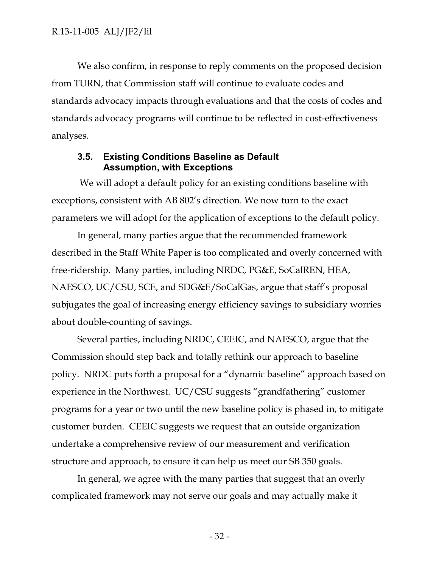We also confirm, in response to reply comments on the proposed decision from TURN, that Commission staff will continue to evaluate codes and standards advocacy impacts through evaluations and that the costs of codes and standards advocacy programs will continue to be reflected in cost-effectiveness analyses.

#### <span id="page-33-0"></span>**3.5. Existing Conditions Baseline as Default Assumption, with Exceptions**

We will adopt a default policy for an existing conditions baseline with exceptions, consistent with AB 802's direction. We now turn to the exact parameters we will adopt for the application of exceptions to the default policy.

In general, many parties argue that the recommended framework described in the Staff White Paper is too complicated and overly concerned with free-ridership. Many parties, including NRDC, PG&E, SoCalREN, HEA, NAESCO, UC/CSU, SCE, and SDG&E/SoCalGas, argue that staff's proposal subjugates the goal of increasing energy efficiency savings to subsidiary worries about double-counting of savings.

Several parties, including NRDC, CEEIC, and NAESCO, argue that the Commission should step back and totally rethink our approach to baseline policy. NRDC puts forth a proposal for a "dynamic baseline" approach based on experience in the Northwest. UC/CSU suggests "grandfathering" customer programs for a year or two until the new baseline policy is phased in, to mitigate customer burden. CEEIC suggests we request that an outside organization undertake a comprehensive review of our measurement and verification structure and approach, to ensure it can help us meet our SB 350 goals.

In general, we agree with the many parties that suggest that an overly complicated framework may not serve our goals and may actually make it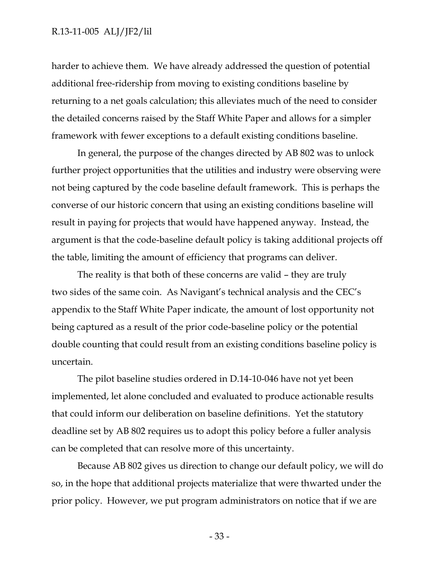#### R.13-11-005 ALJ/JF2/lil

harder to achieve them. We have already addressed the question of potential additional free-ridership from moving to existing conditions baseline by returning to a net goals calculation; this alleviates much of the need to consider the detailed concerns raised by the Staff White Paper and allows for a simpler framework with fewer exceptions to a default existing conditions baseline.

In general, the purpose of the changes directed by AB 802 was to unlock further project opportunities that the utilities and industry were observing were not being captured by the code baseline default framework. This is perhaps the converse of our historic concern that using an existing conditions baseline will result in paying for projects that would have happened anyway. Instead, the argument is that the code-baseline default policy is taking additional projects off the table, limiting the amount of efficiency that programs can deliver.

The reality is that both of these concerns are valid – they are truly two sides of the same coin. As Navigant's technical analysis and the CEC's appendix to the Staff White Paper indicate, the amount of lost opportunity not being captured as a result of the prior code-baseline policy or the potential double counting that could result from an existing conditions baseline policy is uncertain.

The pilot baseline studies ordered in D.14-10-046 have not yet been implemented, let alone concluded and evaluated to produce actionable results that could inform our deliberation on baseline definitions. Yet the statutory deadline set by AB 802 requires us to adopt this policy before a fuller analysis can be completed that can resolve more of this uncertainty.

Because AB 802 gives us direction to change our default policy, we will do so, in the hope that additional projects materialize that were thwarted under the prior policy. However, we put program administrators on notice that if we are

- 33 -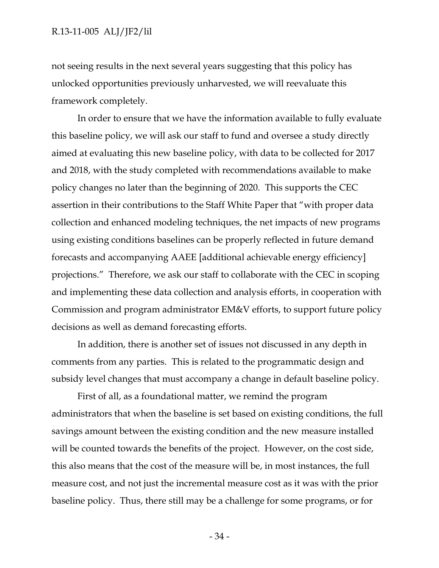not seeing results in the next several years suggesting that this policy has unlocked opportunities previously unharvested, we will reevaluate this framework completely.

In order to ensure that we have the information available to fully evaluate this baseline policy, we will ask our staff to fund and oversee a study directly aimed at evaluating this new baseline policy, with data to be collected for 2017 and 2018, with the study completed with recommendations available to make policy changes no later than the beginning of 2020. This supports the CEC assertion in their contributions to the Staff White Paper that "with proper data collection and enhanced modeling techniques, the net impacts of new programs using existing conditions baselines can be properly reflected in future demand forecasts and accompanying AAEE [additional achievable energy efficiency] projections." Therefore, we ask our staff to collaborate with the CEC in scoping and implementing these data collection and analysis efforts, in cooperation with Commission and program administrator EM&V efforts, to support future policy decisions as well as demand forecasting efforts.

In addition, there is another set of issues not discussed in any depth in comments from any parties. This is related to the programmatic design and subsidy level changes that must accompany a change in default baseline policy.

First of all, as a foundational matter, we remind the program administrators that when the baseline is set based on existing conditions, the full savings amount between the existing condition and the new measure installed will be counted towards the benefits of the project. However, on the cost side, this also means that the cost of the measure will be, in most instances, the full measure cost, and not just the incremental measure cost as it was with the prior baseline policy. Thus, there still may be a challenge for some programs, or for

- 34 -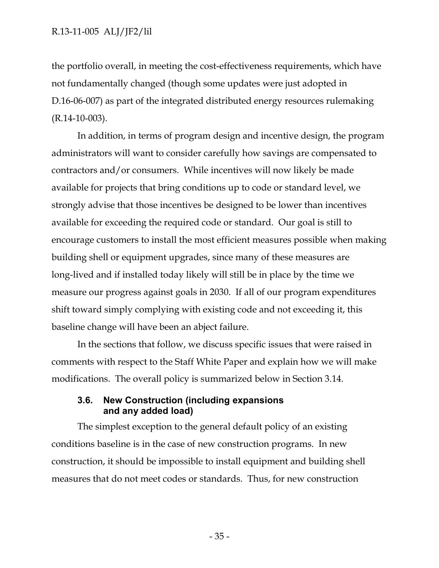the portfolio overall, in meeting the cost-effectiveness requirements, which have not fundamentally changed (though some updates were just adopted in D.16-06-007) as part of the integrated distributed energy resources rulemaking (R.14-10-003).

In addition, in terms of program design and incentive design, the program administrators will want to consider carefully how savings are compensated to contractors and/or consumers. While incentives will now likely be made available for projects that bring conditions up to code or standard level, we strongly advise that those incentives be designed to be lower than incentives available for exceeding the required code or standard. Our goal is still to encourage customers to install the most efficient measures possible when making building shell or equipment upgrades, since many of these measures are long-lived and if installed today likely will still be in place by the time we measure our progress against goals in 2030. If all of our program expenditures shift toward simply complying with existing code and not exceeding it, this baseline change will have been an abject failure.

In the sections that follow, we discuss specific issues that were raised in comments with respect to the Staff White Paper and explain how we will make modifications. The overall policy is summarized below in Section 3.14.

# **3.6. New Construction (including expansions and any added load)**

The simplest exception to the general default policy of an existing conditions baseline is in the case of new construction programs. In new construction, it should be impossible to install equipment and building shell measures that do not meet codes or standards. Thus, for new construction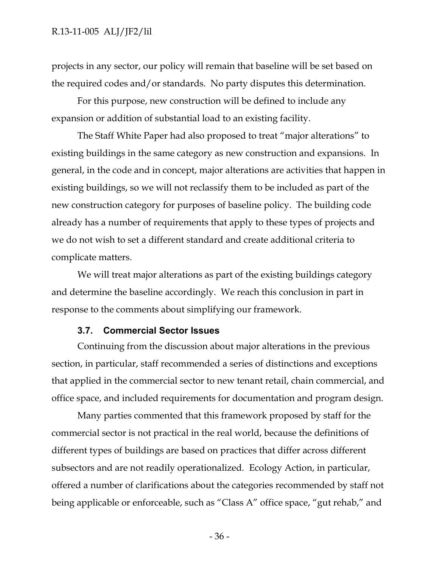projects in any sector, our policy will remain that baseline will be set based on the required codes and/or standards. No party disputes this determination.

For this purpose, new construction will be defined to include any expansion or addition of substantial load to an existing facility.

The Staff White Paper had also proposed to treat "major alterations" to existing buildings in the same category as new construction and expansions. In general, in the code and in concept, major alterations are activities that happen in existing buildings, so we will not reclassify them to be included as part of the new construction category for purposes of baseline policy. The building code already has a number of requirements that apply to these types of projects and we do not wish to set a different standard and create additional criteria to complicate matters.

We will treat major alterations as part of the existing buildings category and determine the baseline accordingly. We reach this conclusion in part in response to the comments about simplifying our framework.

#### **3.7. Commercial Sector Issues**

Continuing from the discussion about major alterations in the previous section, in particular, staff recommended a series of distinctions and exceptions that applied in the commercial sector to new tenant retail, chain commercial, and office space, and included requirements for documentation and program design.

Many parties commented that this framework proposed by staff for the commercial sector is not practical in the real world, because the definitions of different types of buildings are based on practices that differ across different subsectors and are not readily operationalized. Ecology Action, in particular, offered a number of clarifications about the categories recommended by staff not being applicable or enforceable, such as "Class A" office space, "gut rehab," and

- 36 -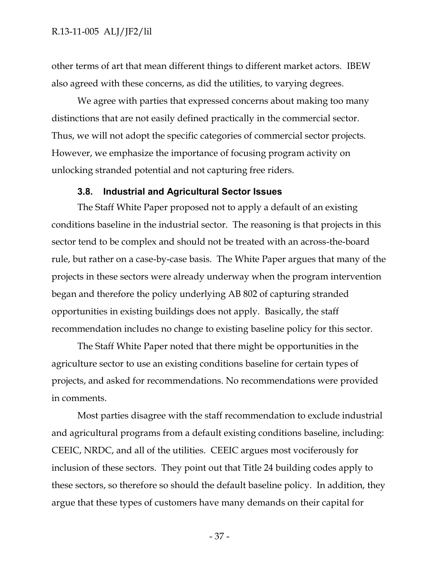other terms of art that mean different things to different market actors. IBEW also agreed with these concerns, as did the utilities, to varying degrees.

We agree with parties that expressed concerns about making too many distinctions that are not easily defined practically in the commercial sector. Thus, we will not adopt the specific categories of commercial sector projects. However, we emphasize the importance of focusing program activity on unlocking stranded potential and not capturing free riders.

#### **3.8. Industrial and Agricultural Sector Issues**

The Staff White Paper proposed not to apply a default of an existing conditions baseline in the industrial sector. The reasoning is that projects in this sector tend to be complex and should not be treated with an across-the-board rule, but rather on a case-by-case basis. The White Paper argues that many of the projects in these sectors were already underway when the program intervention began and therefore the policy underlying AB 802 of capturing stranded opportunities in existing buildings does not apply. Basically, the staff recommendation includes no change to existing baseline policy for this sector.

The Staff White Paper noted that there might be opportunities in the agriculture sector to use an existing conditions baseline for certain types of projects, and asked for recommendations. No recommendations were provided in comments.

Most parties disagree with the staff recommendation to exclude industrial and agricultural programs from a default existing conditions baseline, including: CEEIC, NRDC, and all of the utilities. CEEIC argues most vociferously for inclusion of these sectors. They point out that Title 24 building codes apply to these sectors, so therefore so should the default baseline policy. In addition, they argue that these types of customers have many demands on their capital for

- 37 -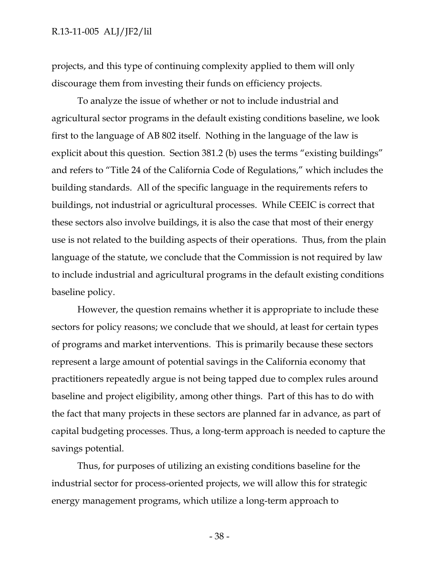projects, and this type of continuing complexity applied to them will only discourage them from investing their funds on efficiency projects.

To analyze the issue of whether or not to include industrial and agricultural sector programs in the default existing conditions baseline, we look first to the language of AB 802 itself. Nothing in the language of the law is explicit about this question. Section 381.2 (b) uses the terms "existing buildings" and refers to "Title 24 of the California Code of Regulations," which includes the building standards. All of the specific language in the requirements refers to buildings, not industrial or agricultural processes. While CEEIC is correct that these sectors also involve buildings, it is also the case that most of their energy use is not related to the building aspects of their operations. Thus, from the plain language of the statute, we conclude that the Commission is not required by law to include industrial and agricultural programs in the default existing conditions baseline policy.

However, the question remains whether it is appropriate to include these sectors for policy reasons; we conclude that we should, at least for certain types of programs and market interventions. This is primarily because these sectors represent a large amount of potential savings in the California economy that practitioners repeatedly argue is not being tapped due to complex rules around baseline and project eligibility, among other things. Part of this has to do with the fact that many projects in these sectors are planned far in advance, as part of capital budgeting processes. Thus, a long-term approach is needed to capture the savings potential.

Thus, for purposes of utilizing an existing conditions baseline for the industrial sector for process-oriented projects, we will allow this for strategic energy management programs, which utilize a long-term approach to

- 38 -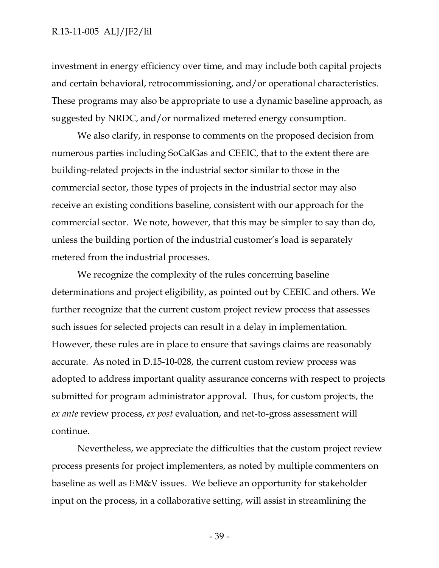investment in energy efficiency over time, and may include both capital projects and certain behavioral, retrocommissioning, and/or operational characteristics. These programs may also be appropriate to use a dynamic baseline approach, as suggested by NRDC, and/or normalized metered energy consumption.

We also clarify, in response to comments on the proposed decision from numerous parties including SoCalGas and CEEIC, that to the extent there are building-related projects in the industrial sector similar to those in the commercial sector, those types of projects in the industrial sector may also receive an existing conditions baseline, consistent with our approach for the commercial sector. We note, however, that this may be simpler to say than do, unless the building portion of the industrial customer's load is separately metered from the industrial processes.

We recognize the complexity of the rules concerning baseline determinations and project eligibility, as pointed out by CEEIC and others. We further recognize that the current custom project review process that assesses such issues for selected projects can result in a delay in implementation. However, these rules are in place to ensure that savings claims are reasonably accurate. As noted in D.15-10-028, the current custom review process was adopted to address important quality assurance concerns with respect to projects submitted for program administrator approval. Thus, for custom projects, the *ex ante* review process, *ex post* evaluation, and net-to-gross assessment will continue.

Nevertheless, we appreciate the difficulties that the custom project review process presents for project implementers, as noted by multiple commenters on baseline as well as EM&V issues. We believe an opportunity for stakeholder input on the process, in a collaborative setting, will assist in streamlining the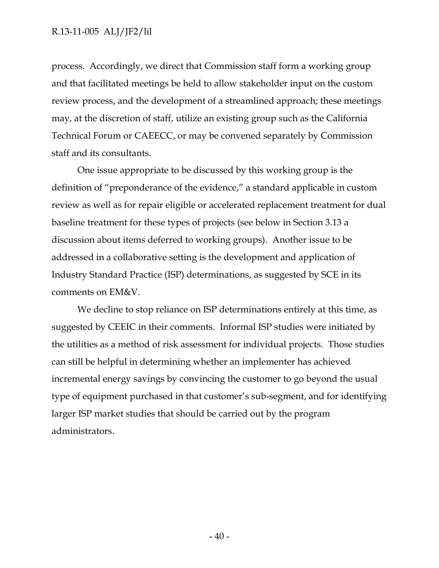process. Accordingly, we direct that Commission staff form a working group and that facilitated meetings be held to allow stakeholder input on the custom review process, and the development of a streamlined approach; these meetings may, at the discretion of staff, utilize an existing group such as the California Technical Forum or CAEECC, or may be convened separately by Commission staff and its consultants.

One issue appropriate to be discussed by this working group is the definition of "preponderance of the evidence," a standard applicable in custom review as well as for repair eligible or accelerated replacement treatment for dual baseline treatment for these types of projects (see below in Section 3.13 a discussion about items deferred to working groups). Another issue to be addressed in a collaborative setting is the development and application of Industry Standard Practice (ISP) determinations, as suggested by SCE in its comments on EM&V.

We decline to stop reliance on ISP determinations entirely at this time, as suggested by CEEIC in their comments. Informal ISP studies were initiated by the utilities as a method of risk assessment for individual projects. Those studies can still be helpful in determining whether an implementer has achieved incremental energy savings by convincing the customer to go beyond the usual type of equipment purchased in that customer's sub-segment, and for identifying larger ISP market studies that should be carried out by the program administrators.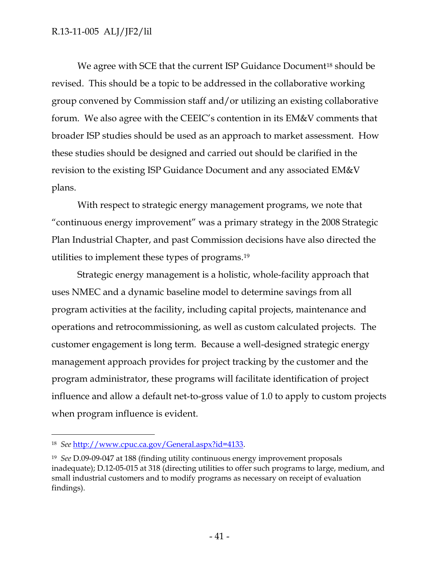We agree with SCE that the current ISP Guidance Document<sup>18</sup> should be revised. This should be a topic to be addressed in the collaborative working group convened by Commission staff and/or utilizing an existing collaborative forum. We also agree with the CEEIC's contention in its EM&V comments that broader ISP studies should be used as an approach to market assessment. How these studies should be designed and carried out should be clarified in the revision to the existing ISP Guidance Document and any associated EM&V plans.

With respect to strategic energy management programs, we note that "continuous energy improvement" was a primary strategy in the 2008 Strategic Plan Industrial Chapter, and past Commission decisions have also directed the utilities to implement these types of programs.<sup>19</sup>

Strategic energy management is a holistic, whole-facility approach that uses NMEC and a dynamic baseline model to determine savings from all program activities at the facility, including capital projects, maintenance and operations and retrocommissioning, as well as custom calculated projects. The customer engagement is long term. Because a well-designed strategic energy management approach provides for project tracking by the customer and the program administrator, these programs will facilitate identification of project influence and allow a default net-to-gross value of 1.0 to apply to custom projects when program influence is evident.

 $\overline{a}$ 

<sup>18</sup> *See* [http://www.cpuc.ca.gov/General.aspx?id=4133.](http://www.cpuc.ca.gov/General.aspx?id=4133)

<sup>19</sup> *See* D.09-09-047 at 188 (finding utility continuous energy improvement proposals inadequate); D.12-05-015 at 318 (directing utilities to offer such programs to large, medium, and small industrial customers and to modify programs as necessary on receipt of evaluation findings).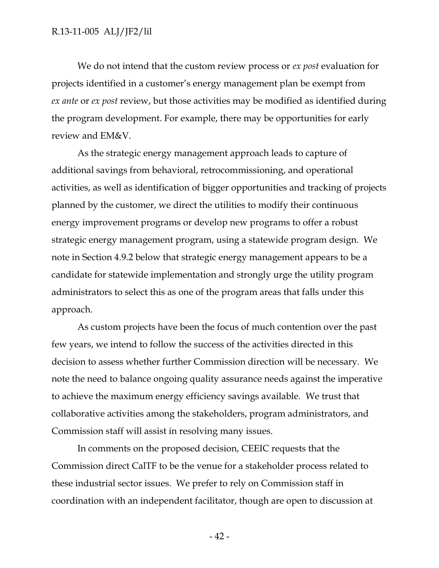We do not intend that the custom review process or *ex post* evaluation for projects identified in a customer's energy management plan be exempt from *ex ante* or *ex post* review, but those activities may be modified as identified during the program development. For example, there may be opportunities for early review and EM&V.

As the strategic energy management approach leads to capture of additional savings from behavioral, retrocommissioning, and operational activities, as well as identification of bigger opportunities and tracking of projects planned by the customer, we direct the utilities to modify their continuous energy improvement programs or develop new programs to offer a robust strategic energy management program, using a statewide program design. We note in Section 4.9.2 below that strategic energy management appears to be a candidate for statewide implementation and strongly urge the utility program administrators to select this as one of the program areas that falls under this approach.

As custom projects have been the focus of much contention over the past few years, we intend to follow the success of the activities directed in this decision to assess whether further Commission direction will be necessary. We note the need to balance ongoing quality assurance needs against the imperative to achieve the maximum energy efficiency savings available. We trust that collaborative activities among the stakeholders, program administrators, and Commission staff will assist in resolving many issues.

In comments on the proposed decision, CEEIC requests that the Commission direct CalTF to be the venue for a stakeholder process related to these industrial sector issues. We prefer to rely on Commission staff in coordination with an independent facilitator, though are open to discussion at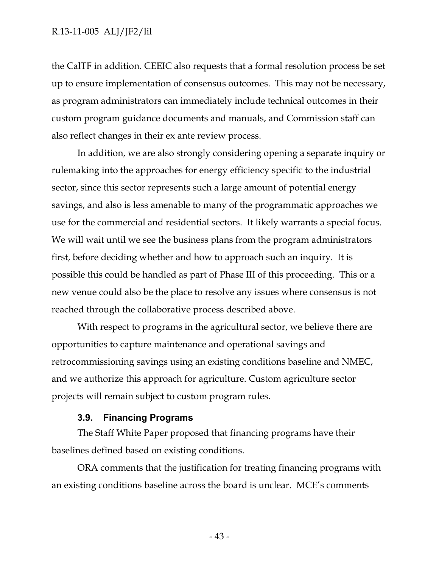the CalTF in addition. CEEIC also requests that a formal resolution process be set up to ensure implementation of consensus outcomes. This may not be necessary, as program administrators can immediately include technical outcomes in their custom program guidance documents and manuals, and Commission staff can also reflect changes in their ex ante review process.

In addition, we are also strongly considering opening a separate inquiry or rulemaking into the approaches for energy efficiency specific to the industrial sector, since this sector represents such a large amount of potential energy savings, and also is less amenable to many of the programmatic approaches we use for the commercial and residential sectors. It likely warrants a special focus. We will wait until we see the business plans from the program administrators first, before deciding whether and how to approach such an inquiry. It is possible this could be handled as part of Phase III of this proceeding. This or a new venue could also be the place to resolve any issues where consensus is not reached through the collaborative process described above.

With respect to programs in the agricultural sector, we believe there are opportunities to capture maintenance and operational savings and retrocommissioning savings using an existing conditions baseline and NMEC, and we authorize this approach for agriculture. Custom agriculture sector projects will remain subject to custom program rules.

#### **3.9. Financing Programs**

The Staff White Paper proposed that financing programs have their baselines defined based on existing conditions.

ORA comments that the justification for treating financing programs with an existing conditions baseline across the board is unclear. MCE's comments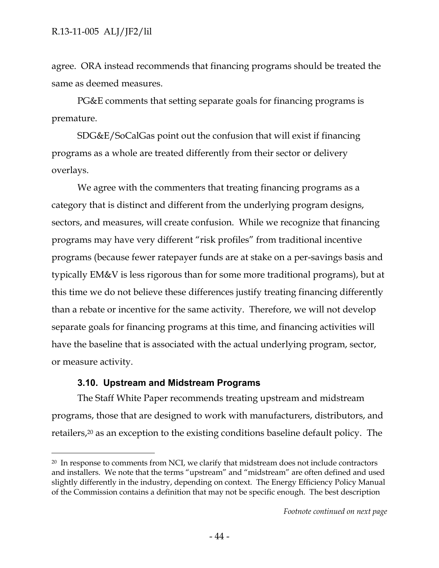agree. ORA instead recommends that financing programs should be treated the same as deemed measures.

PG&E comments that setting separate goals for financing programs is premature.

SDG&E/SoCalGas point out the confusion that will exist if financing programs as a whole are treated differently from their sector or delivery overlays.

We agree with the commenters that treating financing programs as a category that is distinct and different from the underlying program designs, sectors, and measures, will create confusion. While we recognize that financing programs may have very different "risk profiles" from traditional incentive programs (because fewer ratepayer funds are at stake on a per-savings basis and typically EM&V is less rigorous than for some more traditional programs), but at this time we do not believe these differences justify treating financing differently than a rebate or incentive for the same activity. Therefore, we will not develop separate goals for financing programs at this time, and financing activities will have the baseline that is associated with the actual underlying program, sector, or measure activity.

# **3.10. Upstream and Midstream Programs**

 $\overline{a}$ 

The Staff White Paper recommends treating upstream and midstream programs, those that are designed to work with manufacturers, distributors, and retailers,<sup>20</sup> as an exception to the existing conditions baseline default policy. The

<sup>&</sup>lt;sup>20</sup> In response to comments from NCI, we clarify that midstream does not include contractors and installers. We note that the terms "upstream" and "midstream" are often defined and used slightly differently in the industry, depending on context. The Energy Efficiency Policy Manual of the Commission contains a definition that may not be specific enough. The best description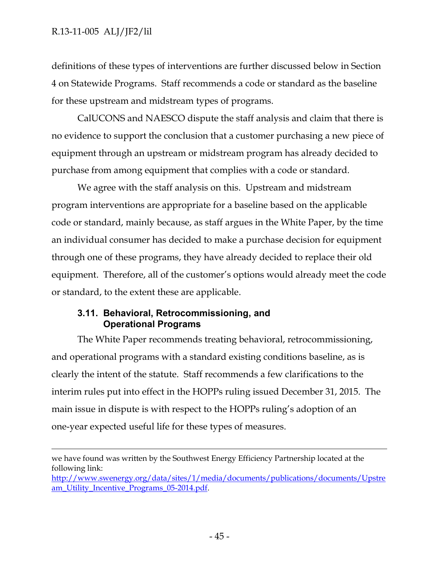$\overline{a}$ 

definitions of these types of interventions are further discussed below in Section 4 on Statewide Programs. Staff recommends a code or standard as the baseline for these upstream and midstream types of programs.

CalUCONS and NAESCO dispute the staff analysis and claim that there is no evidence to support the conclusion that a customer purchasing a new piece of equipment through an upstream or midstream program has already decided to purchase from among equipment that complies with a code or standard.

We agree with the staff analysis on this. Upstream and midstream program interventions are appropriate for a baseline based on the applicable code or standard, mainly because, as staff argues in the White Paper, by the time an individual consumer has decided to make a purchase decision for equipment through one of these programs, they have already decided to replace their old equipment. Therefore, all of the customer's options would already meet the code or standard, to the extent these are applicable.

## **3.11. Behavioral, Retrocommissioning, and Operational Programs**

The White Paper recommends treating behavioral, retrocommissioning, and operational programs with a standard existing conditions baseline, as is clearly the intent of the statute. Staff recommends a few clarifications to the interim rules put into effect in the HOPPs ruling issued December 31, 2015. The main issue in dispute is with respect to the HOPPs ruling's adoption of an one-year expected useful life for these types of measures.

we have found was written by the Southwest Energy Efficiency Partnership located at the following link:

[http://www.swenergy.org/data/sites/1/media/documents/publications/documents/Upstre](http://www.swenergy.org/data/sites/1/media/documents/publications/documents/Upstream_Utility_Incentive_Programs_05-2014.pdf) [am\\_Utility\\_Incentive\\_Programs\\_05-2014.pdf.](http://www.swenergy.org/data/sites/1/media/documents/publications/documents/Upstream_Utility_Incentive_Programs_05-2014.pdf)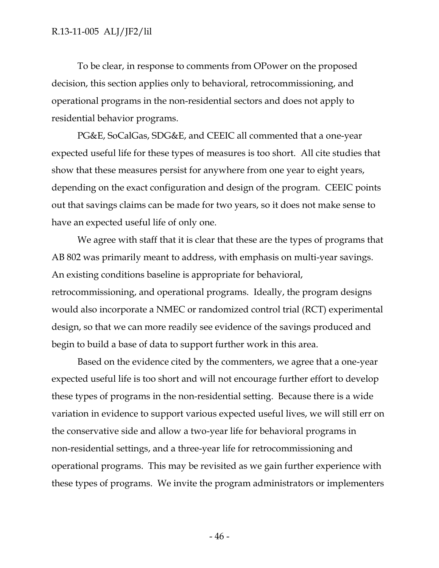To be clear, in response to comments from OPower on the proposed decision, this section applies only to behavioral, retrocommissioning, and operational programs in the non-residential sectors and does not apply to residential behavior programs.

PG&E, SoCalGas, SDG&E, and CEEIC all commented that a one-year expected useful life for these types of measures is too short. All cite studies that show that these measures persist for anywhere from one year to eight years, depending on the exact configuration and design of the program. CEEIC points out that savings claims can be made for two years, so it does not make sense to have an expected useful life of only one.

We agree with staff that it is clear that these are the types of programs that AB 802 was primarily meant to address, with emphasis on multi-year savings. An existing conditions baseline is appropriate for behavioral, retrocommissioning, and operational programs. Ideally, the program designs would also incorporate a NMEC or randomized control trial (RCT) experimental design, so that we can more readily see evidence of the savings produced and begin to build a base of data to support further work in this area.

Based on the evidence cited by the commenters, we agree that a one-year expected useful life is too short and will not encourage further effort to develop these types of programs in the non-residential setting. Because there is a wide variation in evidence to support various expected useful lives, we will still err on the conservative side and allow a two-year life for behavioral programs in non-residential settings, and a three-year life for retrocommissioning and operational programs. This may be revisited as we gain further experience with these types of programs. We invite the program administrators or implementers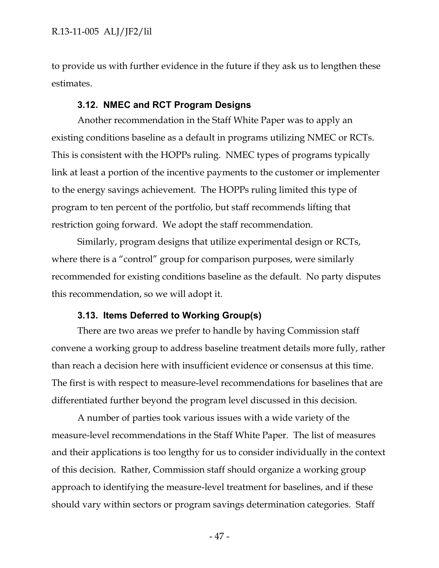to provide us with further evidence in the future if they ask us to lengthen these estimates.

#### **3.12. NMEC and RCT Program Designs**

Another recommendation in the Staff White Paper was to apply an existing conditions baseline as a default in programs utilizing NMEC or RCTs. This is consistent with the HOPPs ruling. NMEC types of programs typically link at least a portion of the incentive payments to the customer or implementer to the energy savings achievement. The HOPPs ruling limited this type of program to ten percent of the portfolio, but staff recommends lifting that restriction going forward. We adopt the staff recommendation.

Similarly, program designs that utilize experimental design or RCTs, where there is a "control" group for comparison purposes, were similarly recommended for existing conditions baseline as the default. No party disputes this recommendation, so we will adopt it.

#### **3.13. Items Deferred to Working Group(s)**

There are two areas we prefer to handle by having Commission staff convene a working group to address baseline treatment details more fully, rather than reach a decision here with insufficient evidence or consensus at this time. The first is with respect to measure-level recommendations for baselines that are differentiated further beyond the program level discussed in this decision.

A number of parties took various issues with a wide variety of the measure-level recommendations in the Staff White Paper. The list of measures and their applications is too lengthy for us to consider individually in the context of this decision. Rather, Commission staff should organize a working group approach to identifying the measure-level treatment for baselines, and if these should vary within sectors or program savings determination categories. Staff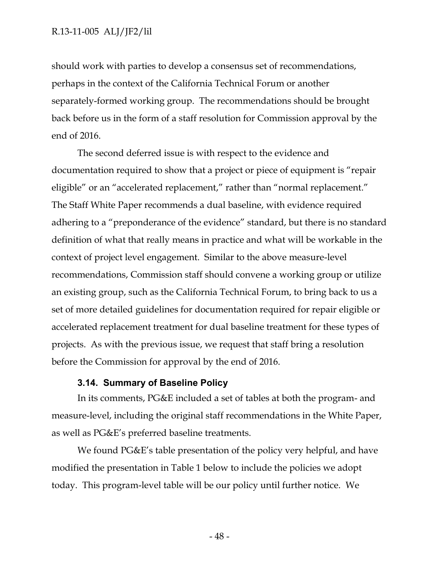should work with parties to develop a consensus set of recommendations, perhaps in the context of the California Technical Forum or another separately-formed working group. The recommendations should be brought back before us in the form of a staff resolution for Commission approval by the end of 2016.

The second deferred issue is with respect to the evidence and documentation required to show that a project or piece of equipment is "repair eligible" or an "accelerated replacement," rather than "normal replacement." The Staff White Paper recommends a dual baseline, with evidence required adhering to a "preponderance of the evidence" standard, but there is no standard definition of what that really means in practice and what will be workable in the context of project level engagement. Similar to the above measure-level recommendations, Commission staff should convene a working group or utilize an existing group, such as the California Technical Forum, to bring back to us a set of more detailed guidelines for documentation required for repair eligible or accelerated replacement treatment for dual baseline treatment for these types of projects. As with the previous issue, we request that staff bring a resolution before the Commission for approval by the end of 2016.

# **3.14. Summary of Baseline Policy**

In its comments, PG&E included a set of tables at both the program- and measure-level, including the original staff recommendations in the White Paper, as well as PG&E's preferred baseline treatments.

We found PG&E's table presentation of the policy very helpful, and have modified the presentation in Table 1 below to include the policies we adopt today. This program-level table will be our policy until further notice. We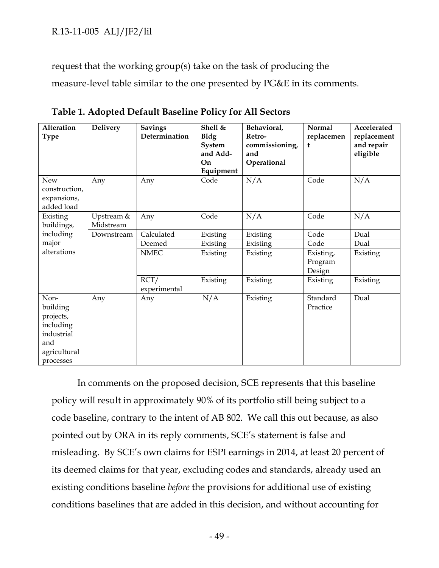request that the working group(s) take on the task of producing the

measure-level table similar to the one presented by PG&E in its comments.

| Alteration<br><b>Type</b>                                                                    | <b>Delivery</b>         | <b>Savings</b><br>Determination | Shell &<br><b>Bldg</b><br>System<br>and Add-<br>On<br>Equipment | Behavioral,<br>Retro-<br>commissioning,<br>and<br>Operational | <b>Normal</b><br>replacemen<br>t | Accelerated<br>replacement<br>and repair<br>eligible |
|----------------------------------------------------------------------------------------------|-------------------------|---------------------------------|-----------------------------------------------------------------|---------------------------------------------------------------|----------------------------------|------------------------------------------------------|
| New<br>construction,<br>expansions,<br>added load                                            | Any                     | Any                             | Code                                                            | N/A                                                           | Code                             | N/A                                                  |
| Existing<br>buildings,                                                                       | Upstream &<br>Midstream | Any                             | Code                                                            | N/A                                                           | Code                             | N/A                                                  |
| including                                                                                    | Downstream              | Calculated                      | Existing                                                        | Existing                                                      | Code                             | Dual                                                 |
| major                                                                                        |                         | Deemed                          | Existing                                                        | Existing                                                      | Code                             | Dual                                                 |
| alterations                                                                                  |                         | <b>NMEC</b>                     | Existing                                                        | Existing                                                      | Existing,<br>Program<br>Design   | Existing                                             |
|                                                                                              |                         | RCT/<br>experimental            | Existing                                                        | Existing                                                      | Existing                         | Existing                                             |
| Non-<br>building<br>projects,<br>including<br>industrial<br>and<br>agricultural<br>processes | Any                     | Any                             | N/A                                                             | Existing                                                      | Standard<br>Practice             | Dual                                                 |

**Table 1. Adopted Default Baseline Policy for All Sectors**

In comments on the proposed decision, SCE represents that this baseline policy will result in approximately 90% of its portfolio still being subject to a code baseline, contrary to the intent of AB 802. We call this out because, as also pointed out by ORA in its reply comments, SCE's statement is false and misleading. By SCE's own claims for ESPI earnings in 2014, at least 20 percent of its deemed claims for that year, excluding codes and standards, already used an existing conditions baseline *before* the provisions for additional use of existing conditions baselines that are added in this decision, and without accounting for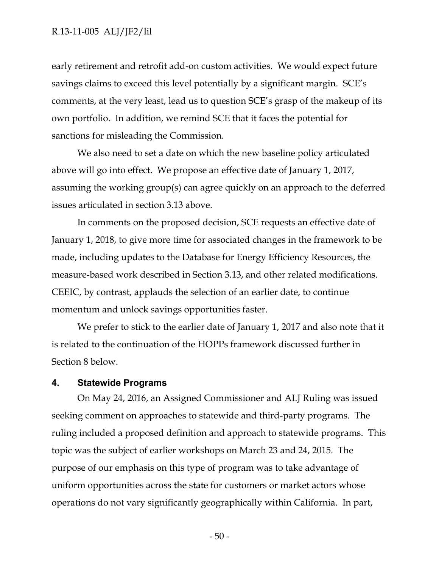early retirement and retrofit add-on custom activities. We would expect future savings claims to exceed this level potentially by a significant margin. SCE's comments, at the very least, lead us to question SCE's grasp of the makeup of its own portfolio. In addition, we remind SCE that it faces the potential for sanctions for misleading the Commission.

We also need to set a date on which the new baseline policy articulated above will go into effect. We propose an effective date of January 1, 2017, assuming the working group(s) can agree quickly on an approach to the deferred issues articulated in section 3.13 above.

In comments on the proposed decision, SCE requests an effective date of January 1, 2018, to give more time for associated changes in the framework to be made, including updates to the Database for Energy Efficiency Resources, the measure-based work described in Section 3.13, and other related modifications. CEEIC, by contrast, applauds the selection of an earlier date, to continue momentum and unlock savings opportunities faster.

We prefer to stick to the earlier date of January 1, 2017 and also note that it is related to the continuation of the HOPPs framework discussed further in Section 8 below.

## **4. Statewide Programs**

On May 24, 2016, an Assigned Commissioner and ALJ Ruling was issued seeking comment on approaches to statewide and third-party programs. The ruling included a proposed definition and approach to statewide programs. This topic was the subject of earlier workshops on March 23 and 24, 2015. The purpose of our emphasis on this type of program was to take advantage of uniform opportunities across the state for customers or market actors whose operations do not vary significantly geographically within California. In part,

- 50 -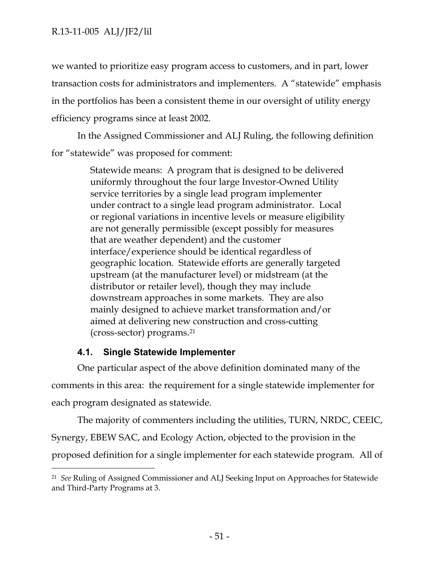we wanted to prioritize easy program access to customers, and in part, lower transaction costs for administrators and implementers. A "statewide" emphasis in the portfolios has been a consistent theme in our oversight of utility energy efficiency programs since at least 2002.

In the Assigned Commissioner and ALJ Ruling, the following definition for "statewide" was proposed for comment:

> Statewide means: A program that is designed to be delivered uniformly throughout the four large Investor-Owned Utility service territories by a single lead program implementer under contract to a single lead program administrator. Local or regional variations in incentive levels or measure eligibility are not generally permissible (except possibly for measures that are weather dependent) and the customer interface/experience should be identical regardless of geographic location. Statewide efforts are generally targeted upstream (at the manufacturer level) or midstream (at the distributor or retailer level), though they may include downstream approaches in some markets. They are also mainly designed to achieve market transformation and/or aimed at delivering new construction and cross-cutting (cross-sector) programs.<sup>21</sup>

# **4.1. Single Statewide Implementer**

 $\overline{a}$ 

One particular aspect of the above definition dominated many of the comments in this area: the requirement for a single statewide implementer for each program designated as statewide.

The majority of commenters including the utilities, TURN, NRDC, CEEIC, Synergy, EBEW SAC, and Ecology Action, objected to the provision in the proposed definition for a single implementer for each statewide program. All of

<sup>21</sup> *See* Ruling of Assigned Commissioner and ALJ Seeking Input on Approaches for Statewide and Third-Party Programs at 3.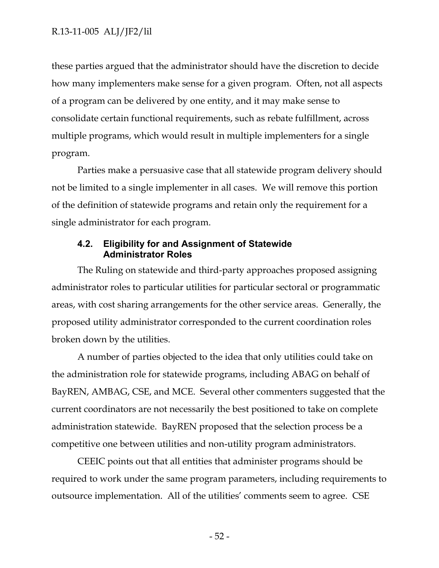these parties argued that the administrator should have the discretion to decide how many implementers make sense for a given program. Often, not all aspects of a program can be delivered by one entity, and it may make sense to consolidate certain functional requirements, such as rebate fulfillment, across multiple programs, which would result in multiple implementers for a single program.

Parties make a persuasive case that all statewide program delivery should not be limited to a single implementer in all cases. We will remove this portion of the definition of statewide programs and retain only the requirement for a single administrator for each program.

# **4.2. Eligibility for and Assignment of Statewide Administrator Roles**

The Ruling on statewide and third-party approaches proposed assigning administrator roles to particular utilities for particular sectoral or programmatic areas, with cost sharing arrangements for the other service areas. Generally, the proposed utility administrator corresponded to the current coordination roles broken down by the utilities.

A number of parties objected to the idea that only utilities could take on the administration role for statewide programs, including ABAG on behalf of BayREN, AMBAG, CSE, and MCE. Several other commenters suggested that the current coordinators are not necessarily the best positioned to take on complete administration statewide. BayREN proposed that the selection process be a competitive one between utilities and non-utility program administrators.

CEEIC points out that all entities that administer programs should be required to work under the same program parameters, including requirements to outsource implementation. All of the utilities' comments seem to agree. CSE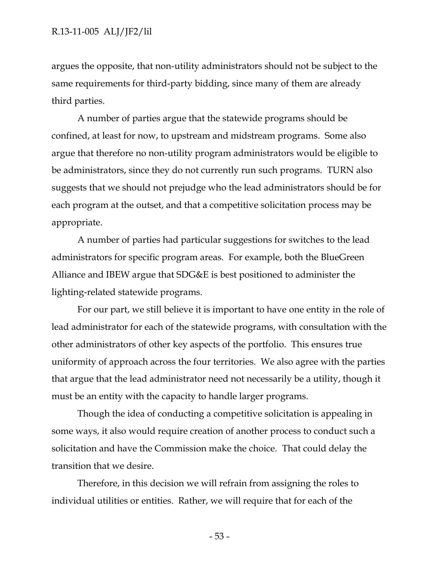argues the opposite, that non-utility administrators should not be subject to the same requirements for third-party bidding, since many of them are already third parties.

A number of parties argue that the statewide programs should be confined, at least for now, to upstream and midstream programs. Some also argue that therefore no non-utility program administrators would be eligible to be administrators, since they do not currently run such programs. TURN also suggests that we should not prejudge who the lead administrators should be for each program at the outset, and that a competitive solicitation process may be appropriate.

A number of parties had particular suggestions for switches to the lead administrators for specific program areas. For example, both the BlueGreen Alliance and IBEW argue that SDG&E is best positioned to administer the lighting-related statewide programs.

For our part, we still believe it is important to have one entity in the role of lead administrator for each of the statewide programs, with consultation with the other administrators of other key aspects of the portfolio. This ensures true uniformity of approach across the four territories. We also agree with the parties that argue that the lead administrator need not necessarily be a utility, though it must be an entity with the capacity to handle larger programs.

Though the idea of conducting a competitive solicitation is appealing in some ways, it also would require creation of another process to conduct such a solicitation and have the Commission make the choice. That could delay the transition that we desire.

Therefore, in this decision we will refrain from assigning the roles to individual utilities or entities. Rather, we will require that for each of the

- 53 -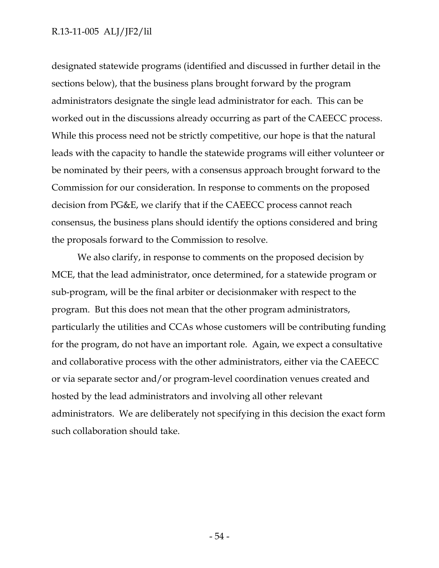designated statewide programs (identified and discussed in further detail in the sections below), that the business plans brought forward by the program administrators designate the single lead administrator for each. This can be worked out in the discussions already occurring as part of the CAEECC process. While this process need not be strictly competitive, our hope is that the natural leads with the capacity to handle the statewide programs will either volunteer or be nominated by their peers, with a consensus approach brought forward to the Commission for our consideration. In response to comments on the proposed decision from PG&E, we clarify that if the CAEECC process cannot reach consensus, the business plans should identify the options considered and bring the proposals forward to the Commission to resolve.

We also clarify, in response to comments on the proposed decision by MCE, that the lead administrator, once determined, for a statewide program or sub-program, will be the final arbiter or decisionmaker with respect to the program. But this does not mean that the other program administrators, particularly the utilities and CCAs whose customers will be contributing funding for the program, do not have an important role. Again, we expect a consultative and collaborative process with the other administrators, either via the CAEECC or via separate sector and/or program-level coordination venues created and hosted by the lead administrators and involving all other relevant administrators. We are deliberately not specifying in this decision the exact form such collaboration should take.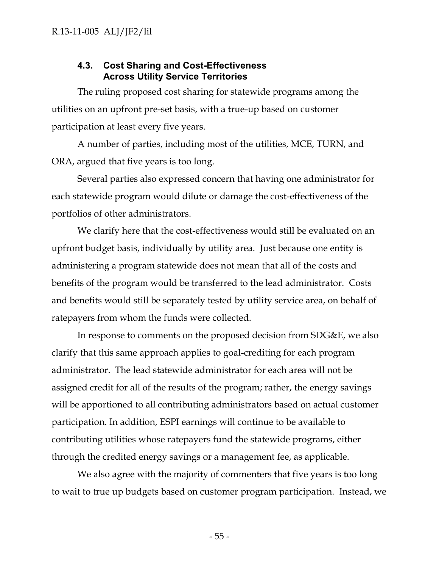# **4.3. Cost Sharing and Cost-Effectiveness Across Utility Service Territories**

The ruling proposed cost sharing for statewide programs among the utilities on an upfront pre-set basis, with a true-up based on customer participation at least every five years.

A number of parties, including most of the utilities, MCE, TURN, and ORA, argued that five years is too long.

Several parties also expressed concern that having one administrator for each statewide program would dilute or damage the cost-effectiveness of the portfolios of other administrators.

We clarify here that the cost-effectiveness would still be evaluated on an upfront budget basis, individually by utility area. Just because one entity is administering a program statewide does not mean that all of the costs and benefits of the program would be transferred to the lead administrator. Costs and benefits would still be separately tested by utility service area, on behalf of ratepayers from whom the funds were collected.

In response to comments on the proposed decision from SDG&E, we also clarify that this same approach applies to goal-crediting for each program administrator. The lead statewide administrator for each area will not be assigned credit for all of the results of the program; rather, the energy savings will be apportioned to all contributing administrators based on actual customer participation. In addition, ESPI earnings will continue to be available to contributing utilities whose ratepayers fund the statewide programs, either through the credited energy savings or a management fee, as applicable.

We also agree with the majority of commenters that five years is too long to wait to true up budgets based on customer program participation. Instead, we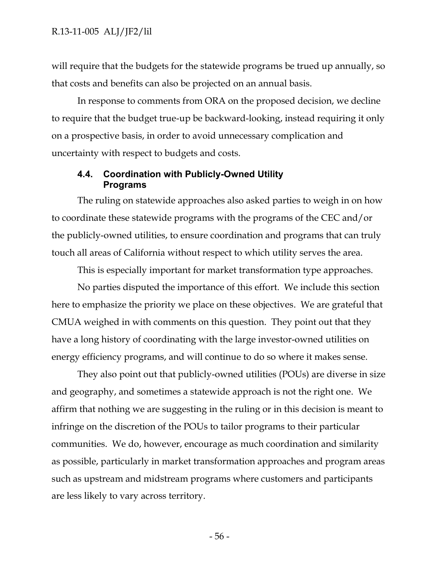will require that the budgets for the statewide programs be trued up annually, so that costs and benefits can also be projected on an annual basis.

In response to comments from ORA on the proposed decision, we decline to require that the budget true-up be backward-looking, instead requiring it only on a prospective basis, in order to avoid unnecessary complication and uncertainty with respect to budgets and costs.

## **4.4. Coordination with Publicly-Owned Utility Programs**

The ruling on statewide approaches also asked parties to weigh in on how to coordinate these statewide programs with the programs of the CEC and/or the publicly-owned utilities, to ensure coordination and programs that can truly touch all areas of California without respect to which utility serves the area.

This is especially important for market transformation type approaches.

No parties disputed the importance of this effort. We include this section here to emphasize the priority we place on these objectives. We are grateful that CMUA weighed in with comments on this question. They point out that they have a long history of coordinating with the large investor-owned utilities on energy efficiency programs, and will continue to do so where it makes sense.

They also point out that publicly-owned utilities (POUs) are diverse in size and geography, and sometimes a statewide approach is not the right one. We affirm that nothing we are suggesting in the ruling or in this decision is meant to infringe on the discretion of the POUs to tailor programs to their particular communities. We do, however, encourage as much coordination and similarity as possible, particularly in market transformation approaches and program areas such as upstream and midstream programs where customers and participants are less likely to vary across territory.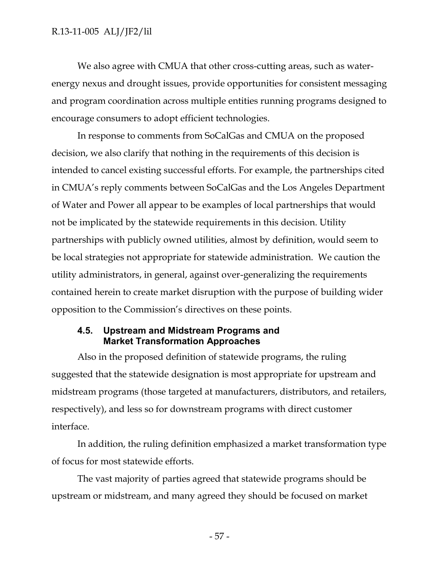We also agree with CMUA that other cross-cutting areas, such as waterenergy nexus and drought issues, provide opportunities for consistent messaging and program coordination across multiple entities running programs designed to encourage consumers to adopt efficient technologies.

In response to comments from SoCalGas and CMUA on the proposed decision, we also clarify that nothing in the requirements of this decision is intended to cancel existing successful efforts. For example, the partnerships cited in CMUA's reply comments between SoCalGas and the Los Angeles Department of Water and Power all appear to be examples of local partnerships that would not be implicated by the statewide requirements in this decision. Utility partnerships with publicly owned utilities, almost by definition, would seem to be local strategies not appropriate for statewide administration. We caution the utility administrators, in general, against over-generalizing the requirements contained herein to create market disruption with the purpose of building wider opposition to the Commission's directives on these points.

# **4.5. Upstream and Midstream Programs and Market Transformation Approaches**

Also in the proposed definition of statewide programs, the ruling suggested that the statewide designation is most appropriate for upstream and midstream programs (those targeted at manufacturers, distributors, and retailers, respectively), and less so for downstream programs with direct customer interface.

In addition, the ruling definition emphasized a market transformation type of focus for most statewide efforts.

The vast majority of parties agreed that statewide programs should be upstream or midstream, and many agreed they should be focused on market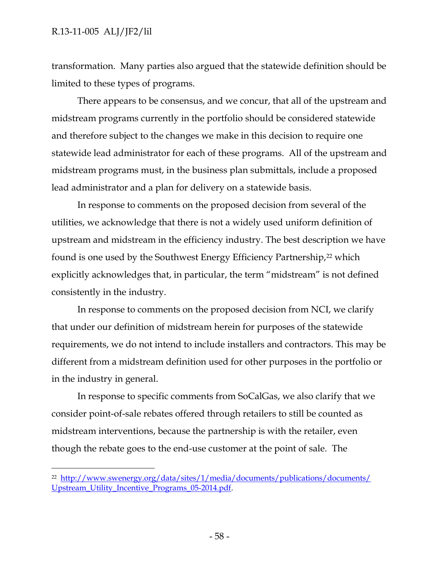$\overline{a}$ 

transformation. Many parties also argued that the statewide definition should be limited to these types of programs.

There appears to be consensus, and we concur, that all of the upstream and midstream programs currently in the portfolio should be considered statewide and therefore subject to the changes we make in this decision to require one statewide lead administrator for each of these programs. All of the upstream and midstream programs must, in the business plan submittals, include a proposed lead administrator and a plan for delivery on a statewide basis.

In response to comments on the proposed decision from several of the utilities, we acknowledge that there is not a widely used uniform definition of upstream and midstream in the efficiency industry. The best description we have found is one used by the Southwest Energy Efficiency Partnership,<sup>22</sup> which explicitly acknowledges that, in particular, the term "midstream" is not defined consistently in the industry.

In response to comments on the proposed decision from NCI, we clarify that under our definition of midstream herein for purposes of the statewide requirements, we do not intend to include installers and contractors. This may be different from a midstream definition used for other purposes in the portfolio or in the industry in general.

In response to specific comments from SoCalGas, we also clarify that we consider point-of-sale rebates offered through retailers to still be counted as midstream interventions, because the partnership is with the retailer, even though the rebate goes to the end-use customer at the point of sale. The

<sup>22</sup> [http://www.swenergy.org/data/sites/1/media/documents/publications/documents/](http://www.swenergy.org/data/sites/1/media/documents/publications/documents/Upstream_Utility_Incentive_Programs_05-2014.pdf) [Upstream\\_Utility\\_Incentive\\_Programs\\_05-2014.pdf.](http://www.swenergy.org/data/sites/1/media/documents/publications/documents/Upstream_Utility_Incentive_Programs_05-2014.pdf)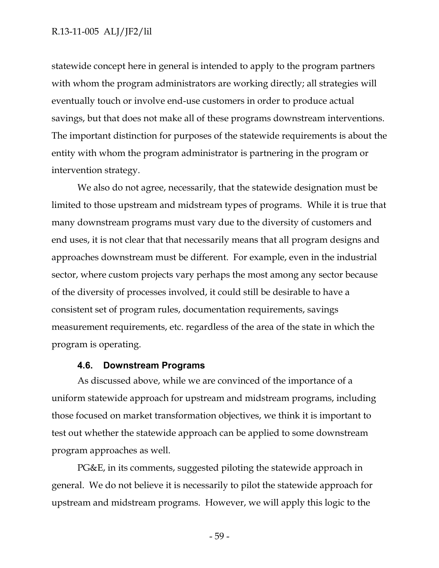statewide concept here in general is intended to apply to the program partners with whom the program administrators are working directly; all strategies will eventually touch or involve end-use customers in order to produce actual savings, but that does not make all of these programs downstream interventions. The important distinction for purposes of the statewide requirements is about the entity with whom the program administrator is partnering in the program or intervention strategy.

We also do not agree, necessarily, that the statewide designation must be limited to those upstream and midstream types of programs. While it is true that many downstream programs must vary due to the diversity of customers and end uses, it is not clear that that necessarily means that all program designs and approaches downstream must be different. For example, even in the industrial sector, where custom projects vary perhaps the most among any sector because of the diversity of processes involved, it could still be desirable to have a consistent set of program rules, documentation requirements, savings measurement requirements, etc. regardless of the area of the state in which the program is operating.

#### **4.6. Downstream Programs**

As discussed above, while we are convinced of the importance of a uniform statewide approach for upstream and midstream programs, including those focused on market transformation objectives, we think it is important to test out whether the statewide approach can be applied to some downstream program approaches as well.

PG&E, in its comments, suggested piloting the statewide approach in general. We do not believe it is necessarily to pilot the statewide approach for upstream and midstream programs. However, we will apply this logic to the

- 59 -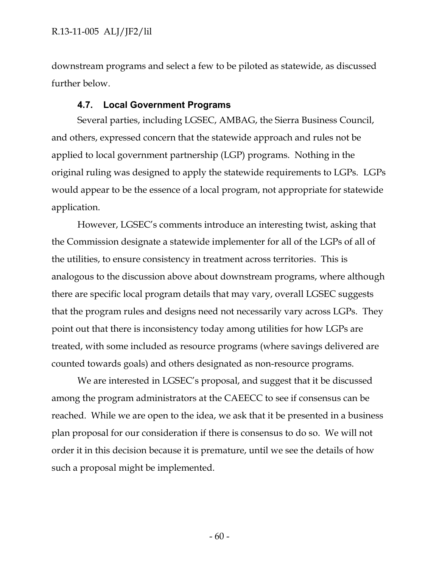downstream programs and select a few to be piloted as statewide, as discussed further below.

#### **4.7. Local Government Programs**

Several parties, including LGSEC, AMBAG, the Sierra Business Council, and others, expressed concern that the statewide approach and rules not be applied to local government partnership (LGP) programs. Nothing in the original ruling was designed to apply the statewide requirements to LGPs. LGPs would appear to be the essence of a local program, not appropriate for statewide application.

However, LGSEC's comments introduce an interesting twist, asking that the Commission designate a statewide implementer for all of the LGPs of all of the utilities, to ensure consistency in treatment across territories. This is analogous to the discussion above about downstream programs, where although there are specific local program details that may vary, overall LGSEC suggests that the program rules and designs need not necessarily vary across LGPs. They point out that there is inconsistency today among utilities for how LGPs are treated, with some included as resource programs (where savings delivered are counted towards goals) and others designated as non-resource programs.

We are interested in LGSEC's proposal, and suggest that it be discussed among the program administrators at the CAEECC to see if consensus can be reached. While we are open to the idea, we ask that it be presented in a business plan proposal for our consideration if there is consensus to do so. We will not order it in this decision because it is premature, until we see the details of how such a proposal might be implemented.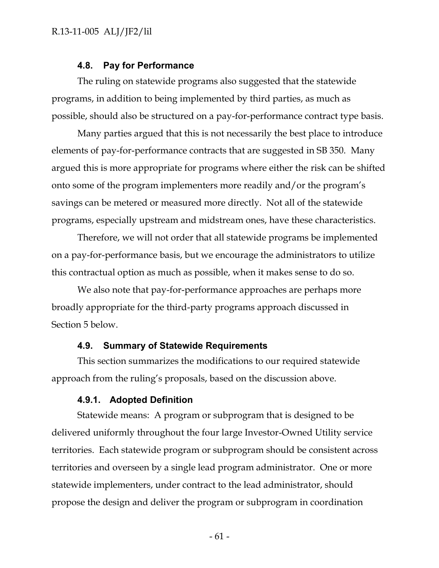#### **4.8. Pay for Performance**

The ruling on statewide programs also suggested that the statewide programs, in addition to being implemented by third parties, as much as possible, should also be structured on a pay-for-performance contract type basis.

Many parties argued that this is not necessarily the best place to introduce elements of pay-for-performance contracts that are suggested in SB 350. Many argued this is more appropriate for programs where either the risk can be shifted onto some of the program implementers more readily and/or the program's savings can be metered or measured more directly. Not all of the statewide programs, especially upstream and midstream ones, have these characteristics.

Therefore, we will not order that all statewide programs be implemented on a pay-for-performance basis, but we encourage the administrators to utilize this contractual option as much as possible, when it makes sense to do so.

We also note that pay-for-performance approaches are perhaps more broadly appropriate for the third-party programs approach discussed in Section 5 below.

#### **4.9. Summary of Statewide Requirements**

This section summarizes the modifications to our required statewide approach from the ruling's proposals, based on the discussion above.

#### **4.9.1. Adopted Definition**

Statewide means: A program or subprogram that is designed to be delivered uniformly throughout the four large Investor-Owned Utility service territories. Each statewide program or subprogram should be consistent across territories and overseen by a single lead program administrator. One or more statewide implementers, under contract to the lead administrator, should propose the design and deliver the program or subprogram in coordination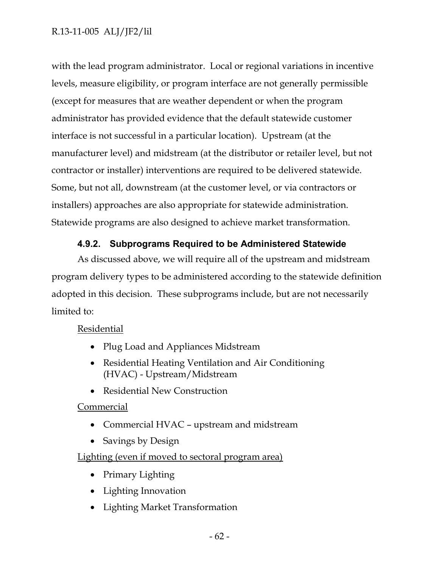with the lead program administrator. Local or regional variations in incentive levels, measure eligibility, or program interface are not generally permissible (except for measures that are weather dependent or when the program administrator has provided evidence that the default statewide customer interface is not successful in a particular location). Upstream (at the manufacturer level) and midstream (at the distributor or retailer level, but not contractor or installer) interventions are required to be delivered statewide. Some, but not all, downstream (at the customer level, or via contractors or installers) approaches are also appropriate for statewide administration. Statewide programs are also designed to achieve market transformation.

# **4.9.2. Subprograms Required to be Administered Statewide**

As discussed above, we will require all of the upstream and midstream program delivery types to be administered according to the statewide definition adopted in this decision. These subprograms include, but are not necessarily limited to:

# Residential

- Plug Load and Appliances Midstream
- Residential Heating Ventilation and Air Conditioning (HVAC) - Upstream/Midstream
- Residential New Construction

# Commercial

- Commercial HVAC upstream and midstream
- Savings by Design

# Lighting (even if moved to sectoral program area)

- Primary Lighting
- Lighting Innovation
- Lighting Market Transformation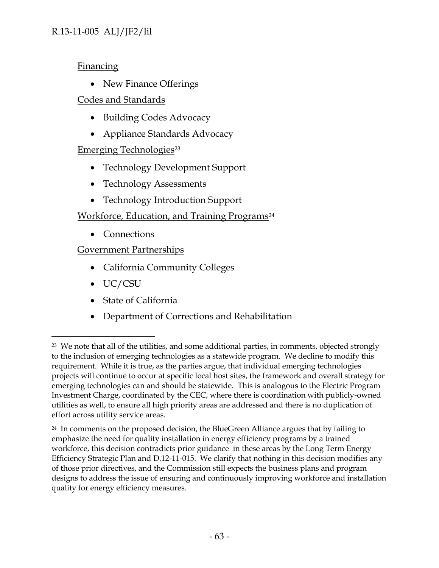**Financing** 

• New Finance Offerings

Codes and Standards

- Building Codes Advocacy
- Appliance Standards Advocacy

# Emerging Technologies<sup>23</sup>

- Technology Development Support
- Technology Assessments
- Technology Introduction Support

# Workforce, Education, and Training Programs<sup>24</sup>

• Connections

Government Partnerships

- California Community Colleges
- UC/CSU

 $\overline{a}$ 

- State of California
- Department of Corrections and Rehabilitation

<sup>&</sup>lt;sup>23</sup> We note that all of the utilities, and some additional parties, in comments, objected strongly to the inclusion of emerging technologies as a statewide program. We decline to modify this requirement. While it is true, as the parties argue, that individual emerging technologies projects will continue to occur at specific local host sites, the framework and overall strategy for emerging technologies can and should be statewide. This is analogous to the Electric Program Investment Charge, coordinated by the CEC, where there is coordination with publicly-owned utilities as well, to ensure all high priority areas are addressed and there is no duplication of effort across utility service areas.

<sup>&</sup>lt;sup>24</sup> In comments on the proposed decision, the BlueGreen Alliance argues that by failing to emphasize the need for quality installation in energy efficiency programs by a trained workforce, this decision contradicts prior guidance in these areas by the Long Term Energy Efficiency Strategic Plan and D.12-11-015. We clarify that nothing in this decision modifies any of those prior directives, and the Commission still expects the business plans and program designs to address the issue of ensuring and continuously improving workforce and installation quality for energy efficiency measures.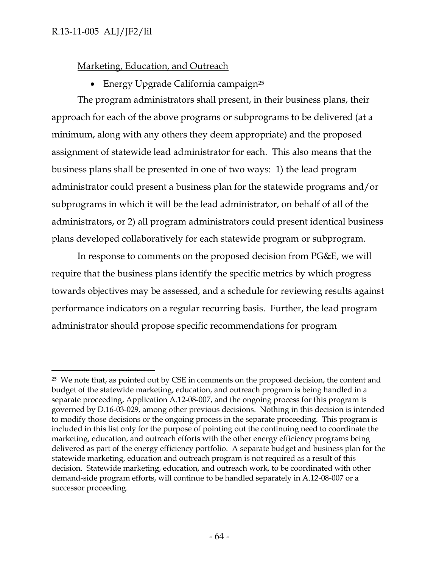# Marketing, Education, and Outreach

• Energy Upgrade California campaign<sup>25</sup>

The program administrators shall present, in their business plans, their approach for each of the above programs or subprograms to be delivered (at a minimum, along with any others they deem appropriate) and the proposed assignment of statewide lead administrator for each. This also means that the business plans shall be presented in one of two ways: 1) the lead program administrator could present a business plan for the statewide programs and/or subprograms in which it will be the lead administrator, on behalf of all of the administrators, or 2) all program administrators could present identical business plans developed collaboratively for each statewide program or subprogram.

In response to comments on the proposed decision from PG&E, we will require that the business plans identify the specific metrics by which progress towards objectives may be assessed, and a schedule for reviewing results against performance indicators on a regular recurring basis. Further, the lead program administrator should propose specific recommendations for program

 $\overline{a}$ <sup>25</sup> We note that, as pointed out by CSE in comments on the proposed decision, the content and budget of the statewide marketing, education, and outreach program is being handled in a separate proceeding, Application A.12-08-007, and the ongoing process for this program is governed by D.16-03-029, among other previous decisions. Nothing in this decision is intended to modify those decisions or the ongoing process in the separate proceeding. This program is included in this list only for the purpose of pointing out the continuing need to coordinate the marketing, education, and outreach efforts with the other energy efficiency programs being delivered as part of the energy efficiency portfolio. A separate budget and business plan for the statewide marketing, education and outreach program is not required as a result of this decision. Statewide marketing, education, and outreach work, to be coordinated with other demand-side program efforts, will continue to be handled separately in A.12-08-007 or a successor proceeding.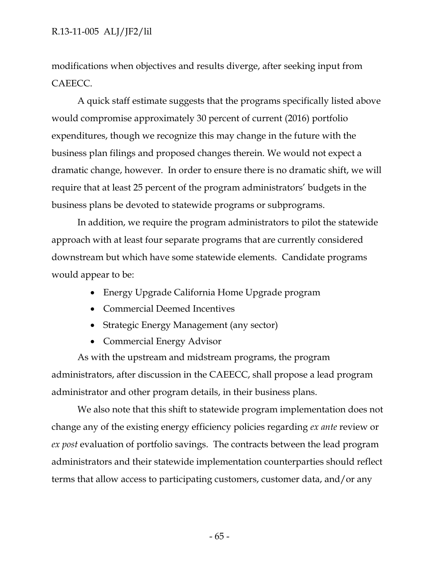modifications when objectives and results diverge, after seeking input from CAEECC.

A quick staff estimate suggests that the programs specifically listed above would compromise approximately 30 percent of current (2016) portfolio expenditures, though we recognize this may change in the future with the business plan filings and proposed changes therein. We would not expect a dramatic change, however. In order to ensure there is no dramatic shift, we will require that at least 25 percent of the program administrators' budgets in the business plans be devoted to statewide programs or subprograms.

In addition, we require the program administrators to pilot the statewide approach with at least four separate programs that are currently considered downstream but which have some statewide elements. Candidate programs would appear to be:

- Energy Upgrade California Home Upgrade program
- Commercial Deemed Incentives
- Strategic Energy Management (any sector)
- Commercial Energy Advisor

As with the upstream and midstream programs, the program administrators, after discussion in the CAEECC, shall propose a lead program administrator and other program details, in their business plans.

We also note that this shift to statewide program implementation does not change any of the existing energy efficiency policies regarding *ex ante* review or *ex post* evaluation of portfolio savings. The contracts between the lead program administrators and their statewide implementation counterparties should reflect terms that allow access to participating customers, customer data, and/or any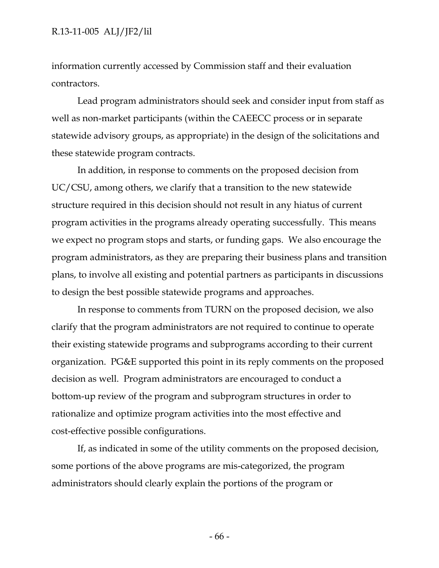information currently accessed by Commission staff and their evaluation contractors.

Lead program administrators should seek and consider input from staff as well as non-market participants (within the CAEECC process or in separate statewide advisory groups, as appropriate) in the design of the solicitations and these statewide program contracts.

In addition, in response to comments on the proposed decision from UC/CSU, among others, we clarify that a transition to the new statewide structure required in this decision should not result in any hiatus of current program activities in the programs already operating successfully. This means we expect no program stops and starts, or funding gaps. We also encourage the program administrators, as they are preparing their business plans and transition plans, to involve all existing and potential partners as participants in discussions to design the best possible statewide programs and approaches.

In response to comments from TURN on the proposed decision, we also clarify that the program administrators are not required to continue to operate their existing statewide programs and subprograms according to their current organization. PG&E supported this point in its reply comments on the proposed decision as well. Program administrators are encouraged to conduct a bottom-up review of the program and subprogram structures in order to rationalize and optimize program activities into the most effective and cost-effective possible configurations.

If, as indicated in some of the utility comments on the proposed decision, some portions of the above programs are mis-categorized, the program administrators should clearly explain the portions of the program or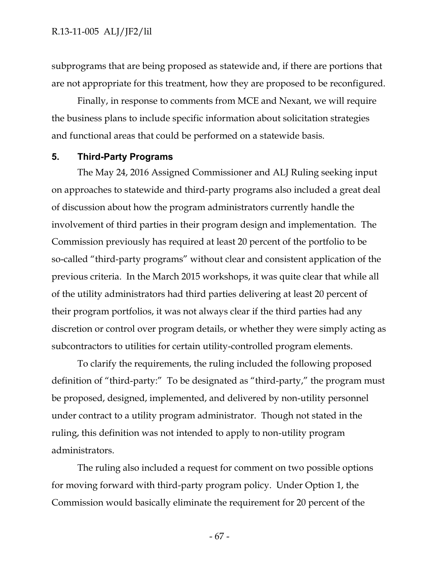subprograms that are being proposed as statewide and, if there are portions that are not appropriate for this treatment, how they are proposed to be reconfigured.

Finally, in response to comments from MCE and Nexant, we will require the business plans to include specific information about solicitation strategies and functional areas that could be performed on a statewide basis.

### **5. Third-Party Programs**

The May 24, 2016 Assigned Commissioner and ALJ Ruling seeking input on approaches to statewide and third-party programs also included a great deal of discussion about how the program administrators currently handle the involvement of third parties in their program design and implementation. The Commission previously has required at least 20 percent of the portfolio to be so-called "third-party programs" without clear and consistent application of the previous criteria. In the March 2015 workshops, it was quite clear that while all of the utility administrators had third parties delivering at least 20 percent of their program portfolios, it was not always clear if the third parties had any discretion or control over program details, or whether they were simply acting as subcontractors to utilities for certain utility-controlled program elements.

To clarify the requirements, the ruling included the following proposed definition of "third-party:" To be designated as "third-party," the program must be proposed, designed, implemented, and delivered by non-utility personnel under contract to a utility program administrator. Though not stated in the ruling, this definition was not intended to apply to non-utility program administrators.

The ruling also included a request for comment on two possible options for moving forward with third-party program policy. Under Option 1, the Commission would basically eliminate the requirement for 20 percent of the

- 67 -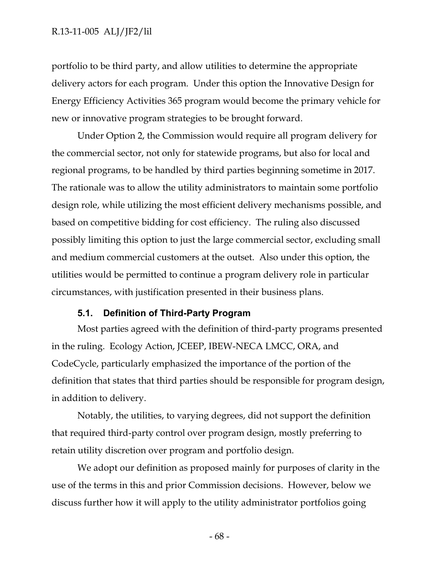portfolio to be third party, and allow utilities to determine the appropriate delivery actors for each program. Under this option the Innovative Design for Energy Efficiency Activities 365 program would become the primary vehicle for new or innovative program strategies to be brought forward.

Under Option 2, the Commission would require all program delivery for the commercial sector, not only for statewide programs, but also for local and regional programs, to be handled by third parties beginning sometime in 2017. The rationale was to allow the utility administrators to maintain some portfolio design role, while utilizing the most efficient delivery mechanisms possible, and based on competitive bidding for cost efficiency. The ruling also discussed possibly limiting this option to just the large commercial sector, excluding small and medium commercial customers at the outset. Also under this option, the utilities would be permitted to continue a program delivery role in particular circumstances, with justification presented in their business plans.

## **5.1. Definition of Third-Party Program**

Most parties agreed with the definition of third-party programs presented in the ruling. Ecology Action, JCEEP, IBEW-NECA LMCC, ORA, and CodeCycle, particularly emphasized the importance of the portion of the definition that states that third parties should be responsible for program design, in addition to delivery.

Notably, the utilities, to varying degrees, did not support the definition that required third-party control over program design, mostly preferring to retain utility discretion over program and portfolio design.

We adopt our definition as proposed mainly for purposes of clarity in the use of the terms in this and prior Commission decisions. However, below we discuss further how it will apply to the utility administrator portfolios going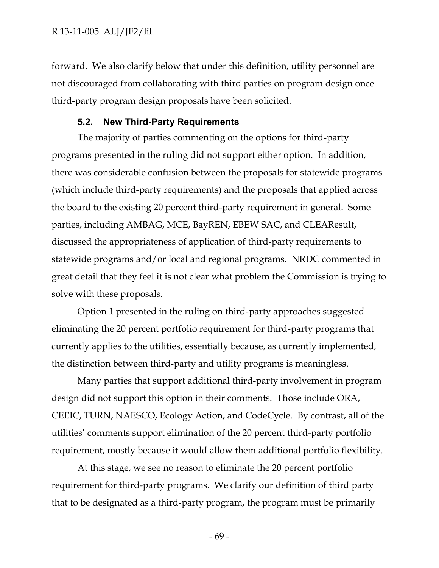forward. We also clarify below that under this definition, utility personnel are not discouraged from collaborating with third parties on program design once third-party program design proposals have been solicited.

#### **5.2. New Third-Party Requirements**

The majority of parties commenting on the options for third-party programs presented in the ruling did not support either option. In addition, there was considerable confusion between the proposals for statewide programs (which include third-party requirements) and the proposals that applied across the board to the existing 20 percent third-party requirement in general. Some parties, including AMBAG, MCE, BayREN, EBEW SAC, and CLEAResult, discussed the appropriateness of application of third-party requirements to statewide programs and/or local and regional programs. NRDC commented in great detail that they feel it is not clear what problem the Commission is trying to solve with these proposals.

Option 1 presented in the ruling on third-party approaches suggested eliminating the 20 percent portfolio requirement for third-party programs that currently applies to the utilities, essentially because, as currently implemented, the distinction between third-party and utility programs is meaningless.

Many parties that support additional third-party involvement in program design did not support this option in their comments. Those include ORA, CEEIC, TURN, NAESCO, Ecology Action, and CodeCycle. By contrast, all of the utilities' comments support elimination of the 20 percent third-party portfolio requirement, mostly because it would allow them additional portfolio flexibility.

At this stage, we see no reason to eliminate the 20 percent portfolio requirement for third-party programs. We clarify our definition of third party that to be designated as a third-party program, the program must be primarily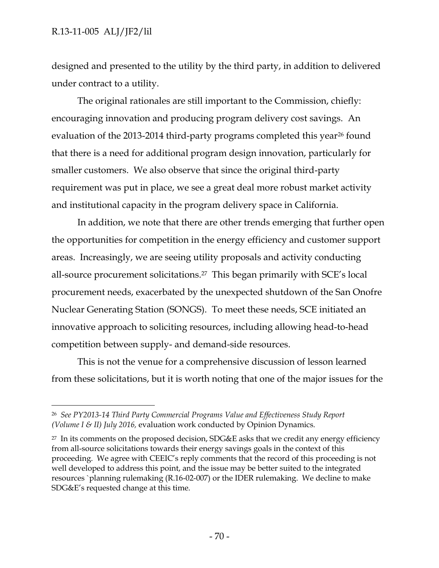$\overline{a}$ 

designed and presented to the utility by the third party, in addition to delivered under contract to a utility.

The original rationales are still important to the Commission, chiefly: encouraging innovation and producing program delivery cost savings. An evaluation of the 2013-2014 third-party programs completed this year<sup>26</sup> found that there is a need for additional program design innovation, particularly for smaller customers. We also observe that since the original third-party requirement was put in place, we see a great deal more robust market activity and institutional capacity in the program delivery space in California.

In addition, we note that there are other trends emerging that further open the opportunities for competition in the energy efficiency and customer support areas. Increasingly, we are seeing utility proposals and activity conducting all-source procurement solicitations.<sup>27</sup> This began primarily with SCE's local procurement needs, exacerbated by the unexpected shutdown of the San Onofre Nuclear Generating Station (SONGS). To meet these needs, SCE initiated an innovative approach to soliciting resources, including allowing head-to-head competition between supply- and demand-side resources.

This is not the venue for a comprehensive discussion of lesson learned from these solicitations, but it is worth noting that one of the major issues for the

<sup>26</sup> *See PY2013-14 Third Party Commercial Programs Value and Effectiveness Study Report (Volume I & II) July 2016,* evaluation work conducted by Opinion Dynamics.

 $27$  In its comments on the proposed decision, SDG&E asks that we credit any energy efficiency from all-source solicitations towards their energy savings goals in the context of this proceeding. We agree with CEEIC's reply comments that the record of this proceeding is not well developed to address this point, and the issue may be better suited to the integrated resources `planning rulemaking (R.16-02-007) or the IDER rulemaking. We decline to make SDG&E's requested change at this time.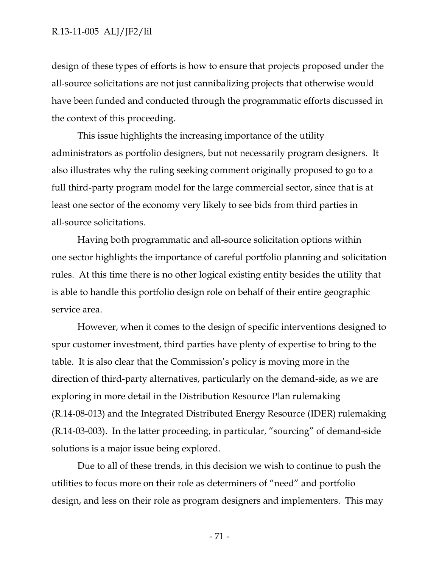design of these types of efforts is how to ensure that projects proposed under the all-source solicitations are not just cannibalizing projects that otherwise would have been funded and conducted through the programmatic efforts discussed in the context of this proceeding.

This issue highlights the increasing importance of the utility administrators as portfolio designers, but not necessarily program designers. It also illustrates why the ruling seeking comment originally proposed to go to a full third-party program model for the large commercial sector, since that is at least one sector of the economy very likely to see bids from third parties in all-source solicitations.

Having both programmatic and all-source solicitation options within one sector highlights the importance of careful portfolio planning and solicitation rules. At this time there is no other logical existing entity besides the utility that is able to handle this portfolio design role on behalf of their entire geographic service area.

However, when it comes to the design of specific interventions designed to spur customer investment, third parties have plenty of expertise to bring to the table. It is also clear that the Commission's policy is moving more in the direction of third-party alternatives, particularly on the demand-side, as we are exploring in more detail in the Distribution Resource Plan rulemaking (R.14-08-013) and the Integrated Distributed Energy Resource (IDER) rulemaking (R.14-03-003). In the latter proceeding, in particular, "sourcing" of demand-side solutions is a major issue being explored.

Due to all of these trends, in this decision we wish to continue to push the utilities to focus more on their role as determiners of "need" and portfolio design, and less on their role as program designers and implementers. This may

- 71 -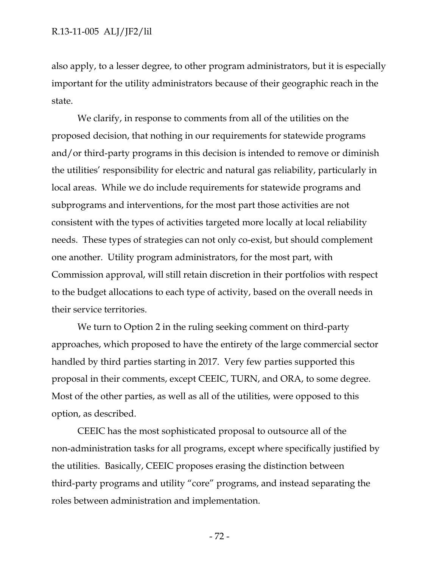also apply, to a lesser degree, to other program administrators, but it is especially important for the utility administrators because of their geographic reach in the state.

We clarify, in response to comments from all of the utilities on the proposed decision, that nothing in our requirements for statewide programs and/or third-party programs in this decision is intended to remove or diminish the utilities' responsibility for electric and natural gas reliability, particularly in local areas. While we do include requirements for statewide programs and subprograms and interventions, for the most part those activities are not consistent with the types of activities targeted more locally at local reliability needs. These types of strategies can not only co-exist, but should complement one another. Utility program administrators, for the most part, with Commission approval, will still retain discretion in their portfolios with respect to the budget allocations to each type of activity, based on the overall needs in their service territories.

We turn to Option 2 in the ruling seeking comment on third-party approaches, which proposed to have the entirety of the large commercial sector handled by third parties starting in 2017. Very few parties supported this proposal in their comments, except CEEIC, TURN, and ORA, to some degree. Most of the other parties, as well as all of the utilities, were opposed to this option, as described.

CEEIC has the most sophisticated proposal to outsource all of the non-administration tasks for all programs, except where specifically justified by the utilities. Basically, CEEIC proposes erasing the distinction between third-party programs and utility "core" programs, and instead separating the roles between administration and implementation.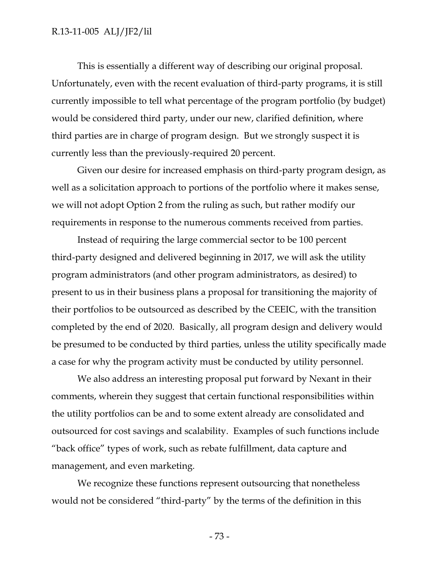This is essentially a different way of describing our original proposal. Unfortunately, even with the recent evaluation of third-party programs, it is still currently impossible to tell what percentage of the program portfolio (by budget) would be considered third party, under our new, clarified definition, where third parties are in charge of program design. But we strongly suspect it is currently less than the previously-required 20 percent.

Given our desire for increased emphasis on third-party program design, as well as a solicitation approach to portions of the portfolio where it makes sense, we will not adopt Option 2 from the ruling as such, but rather modify our requirements in response to the numerous comments received from parties.

Instead of requiring the large commercial sector to be 100 percent third-party designed and delivered beginning in 2017, we will ask the utility program administrators (and other program administrators, as desired) to present to us in their business plans a proposal for transitioning the majority of their portfolios to be outsourced as described by the CEEIC, with the transition completed by the end of 2020. Basically, all program design and delivery would be presumed to be conducted by third parties, unless the utility specifically made a case for why the program activity must be conducted by utility personnel.

We also address an interesting proposal put forward by Nexant in their comments, wherein they suggest that certain functional responsibilities within the utility portfolios can be and to some extent already are consolidated and outsourced for cost savings and scalability. Examples of such functions include "back office" types of work, such as rebate fulfillment, data capture and management, and even marketing.

We recognize these functions represent outsourcing that nonetheless would not be considered "third-party" by the terms of the definition in this

- 73 -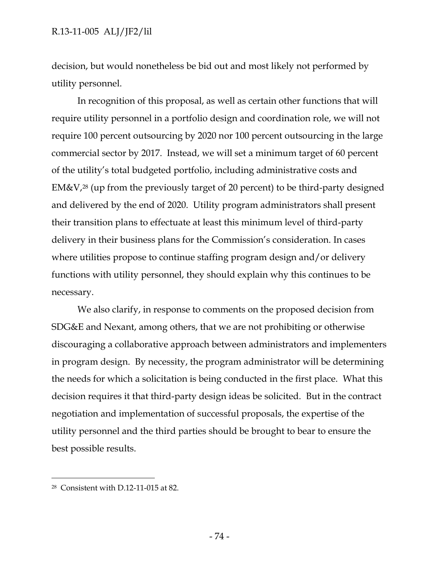decision, but would nonetheless be bid out and most likely not performed by utility personnel.

In recognition of this proposal, as well as certain other functions that will require utility personnel in a portfolio design and coordination role, we will not require 100 percent outsourcing by 2020 nor 100 percent outsourcing in the large commercial sector by 2017. Instead, we will set a minimum target of 60 percent of the utility's total budgeted portfolio, including administrative costs and EM&V,<sup>28</sup> (up from the previously target of 20 percent) to be third-party designed and delivered by the end of 2020. Utility program administrators shall present their transition plans to effectuate at least this minimum level of third-party delivery in their business plans for the Commission's consideration. In cases where utilities propose to continue staffing program design and/or delivery functions with utility personnel, they should explain why this continues to be necessary.

We also clarify, in response to comments on the proposed decision from SDG&E and Nexant, among others, that we are not prohibiting or otherwise discouraging a collaborative approach between administrators and implementers in program design. By necessity, the program administrator will be determining the needs for which a solicitation is being conducted in the first place. What this decision requires it that third-party design ideas be solicited. But in the contract negotiation and implementation of successful proposals, the expertise of the utility personnel and the third parties should be brought to bear to ensure the best possible results.

 $\overline{a}$ 

<sup>28</sup> Consistent with D.12-11-015 at 82.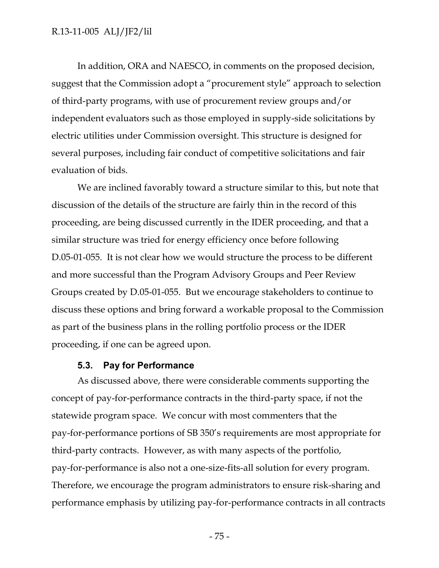In addition, ORA and NAESCO, in comments on the proposed decision, suggest that the Commission adopt a "procurement style" approach to selection of third-party programs, with use of procurement review groups and/or independent evaluators such as those employed in supply-side solicitations by electric utilities under Commission oversight. This structure is designed for several purposes, including fair conduct of competitive solicitations and fair evaluation of bids.

We are inclined favorably toward a structure similar to this, but note that discussion of the details of the structure are fairly thin in the record of this proceeding, are being discussed currently in the IDER proceeding, and that a similar structure was tried for energy efficiency once before following D.05-01-055. It is not clear how we would structure the process to be different and more successful than the Program Advisory Groups and Peer Review Groups created by D.05-01-055. But we encourage stakeholders to continue to discuss these options and bring forward a workable proposal to the Commission as part of the business plans in the rolling portfolio process or the IDER proceeding, if one can be agreed upon.

#### **5.3. Pay for Performance**

As discussed above, there were considerable comments supporting the concept of pay-for-performance contracts in the third-party space, if not the statewide program space. We concur with most commenters that the pay-for-performance portions of SB 350's requirements are most appropriate for third-party contracts. However, as with many aspects of the portfolio, pay-for-performance is also not a one-size-fits-all solution for every program. Therefore, we encourage the program administrators to ensure risk-sharing and performance emphasis by utilizing pay-for-performance contracts in all contracts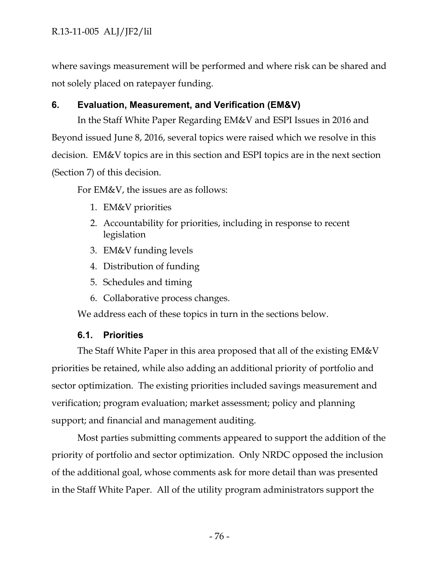where savings measurement will be performed and where risk can be shared and not solely placed on ratepayer funding.

# **6. Evaluation, Measurement, and Verification (EM&V)**

In the Staff White Paper Regarding EM&V and ESPI Issues in 2016 and Beyond issued June 8, 2016, several topics were raised which we resolve in this decision. EM&V topics are in this section and ESPI topics are in the next section (Section 7) of this decision.

For EM&V, the issues are as follows:

- 1. EM&V priorities
- 2. Accountability for priorities, including in response to recent legislation
- 3. EM&V funding levels
- 4. Distribution of funding
- 5. Schedules and timing
- 6. Collaborative process changes.

We address each of these topics in turn in the sections below.

# **6.1. Priorities**

The Staff White Paper in this area proposed that all of the existing EM&V priorities be retained, while also adding an additional priority of portfolio and sector optimization. The existing priorities included savings measurement and verification; program evaluation; market assessment; policy and planning support; and financial and management auditing.

Most parties submitting comments appeared to support the addition of the priority of portfolio and sector optimization. Only NRDC opposed the inclusion of the additional goal, whose comments ask for more detail than was presented in the Staff White Paper. All of the utility program administrators support the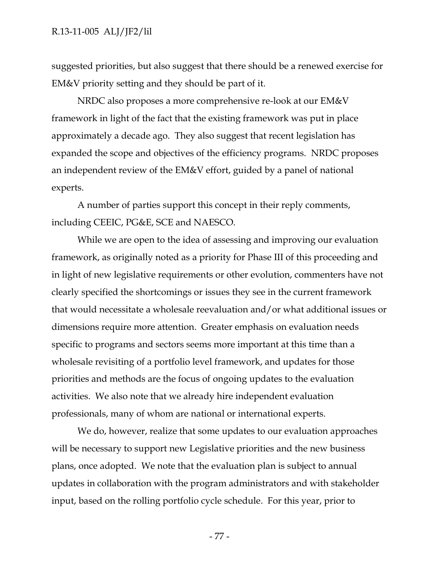suggested priorities, but also suggest that there should be a renewed exercise for EM&V priority setting and they should be part of it.

NRDC also proposes a more comprehensive re-look at our EM&V framework in light of the fact that the existing framework was put in place approximately a decade ago. They also suggest that recent legislation has expanded the scope and objectives of the efficiency programs. NRDC proposes an independent review of the EM&V effort, guided by a panel of national experts.

A number of parties support this concept in their reply comments, including CEEIC, PG&E, SCE and NAESCO.

While we are open to the idea of assessing and improving our evaluation framework, as originally noted as a priority for Phase III of this proceeding and in light of new legislative requirements or other evolution, commenters have not clearly specified the shortcomings or issues they see in the current framework that would necessitate a wholesale reevaluation and/or what additional issues or dimensions require more attention. Greater emphasis on evaluation needs specific to programs and sectors seems more important at this time than a wholesale revisiting of a portfolio level framework, and updates for those priorities and methods are the focus of ongoing updates to the evaluation activities. We also note that we already hire independent evaluation professionals, many of whom are national or international experts.

We do, however, realize that some updates to our evaluation approaches will be necessary to support new Legislative priorities and the new business plans, once adopted. We note that the evaluation plan is subject to annual updates in collaboration with the program administrators and with stakeholder input, based on the rolling portfolio cycle schedule. For this year, prior to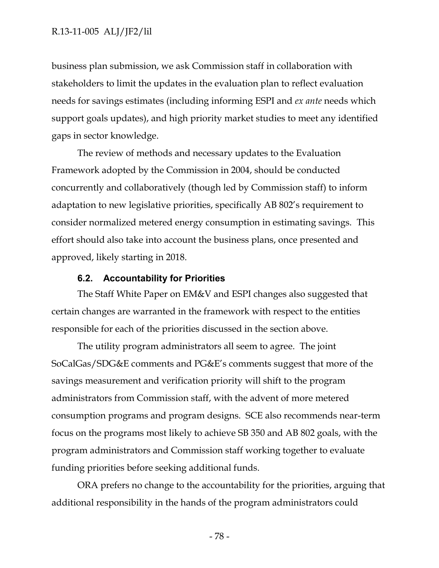business plan submission, we ask Commission staff in collaboration with stakeholders to limit the updates in the evaluation plan to reflect evaluation needs for savings estimates (including informing ESPI and *ex ante* needs which support goals updates), and high priority market studies to meet any identified gaps in sector knowledge.

The review of methods and necessary updates to the Evaluation Framework adopted by the Commission in 2004, should be conducted concurrently and collaboratively (though led by Commission staff) to inform adaptation to new legislative priorities, specifically AB 802's requirement to consider normalized metered energy consumption in estimating savings. This effort should also take into account the business plans, once presented and approved, likely starting in 2018.

#### **6.2. Accountability for Priorities**

The Staff White Paper on EM&V and ESPI changes also suggested that certain changes are warranted in the framework with respect to the entities responsible for each of the priorities discussed in the section above.

The utility program administrators all seem to agree. The joint SoCalGas/SDG&E comments and PG&E's comments suggest that more of the savings measurement and verification priority will shift to the program administrators from Commission staff, with the advent of more metered consumption programs and program designs. SCE also recommends near-term focus on the programs most likely to achieve SB 350 and AB 802 goals, with the program administrators and Commission staff working together to evaluate funding priorities before seeking additional funds.

ORA prefers no change to the accountability for the priorities, arguing that additional responsibility in the hands of the program administrators could

- 78 -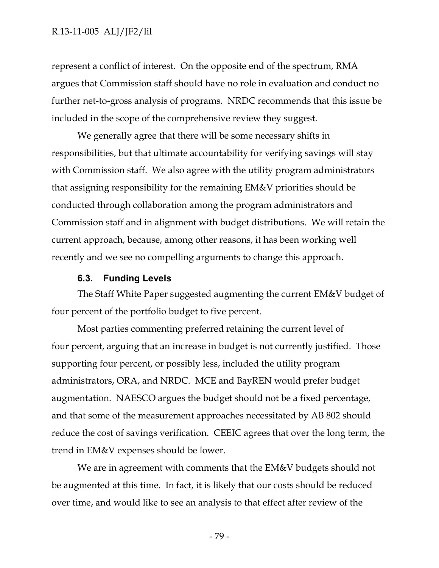represent a conflict of interest. On the opposite end of the spectrum, RMA argues that Commission staff should have no role in evaluation and conduct no further net-to-gross analysis of programs. NRDC recommends that this issue be included in the scope of the comprehensive review they suggest.

We generally agree that there will be some necessary shifts in responsibilities, but that ultimate accountability for verifying savings will stay with Commission staff. We also agree with the utility program administrators that assigning responsibility for the remaining EM&V priorities should be conducted through collaboration among the program administrators and Commission staff and in alignment with budget distributions. We will retain the current approach, because, among other reasons, it has been working well recently and we see no compelling arguments to change this approach.

#### **6.3. Funding Levels**

The Staff White Paper suggested augmenting the current EM&V budget of four percent of the portfolio budget to five percent.

Most parties commenting preferred retaining the current level of four percent, arguing that an increase in budget is not currently justified. Those supporting four percent, or possibly less, included the utility program administrators, ORA, and NRDC. MCE and BayREN would prefer budget augmentation. NAESCO argues the budget should not be a fixed percentage, and that some of the measurement approaches necessitated by AB 802 should reduce the cost of savings verification. CEEIC agrees that over the long term, the trend in EM&V expenses should be lower.

We are in agreement with comments that the EM&V budgets should not be augmented at this time. In fact, it is likely that our costs should be reduced over time, and would like to see an analysis to that effect after review of the

- 79 -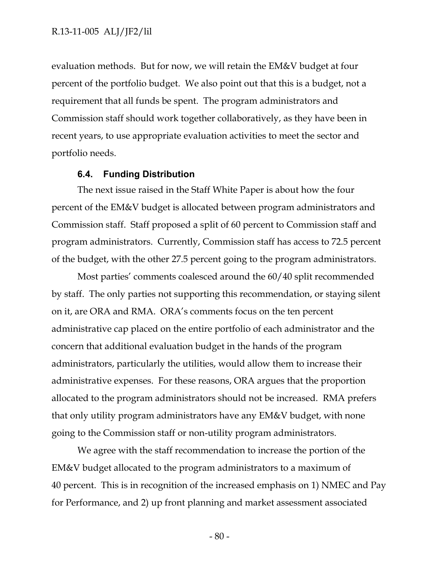#### R.13-11-005 ALJ/JF2/lil

evaluation methods. But for now, we will retain the EM&V budget at four percent of the portfolio budget. We also point out that this is a budget, not a requirement that all funds be spent. The program administrators and Commission staff should work together collaboratively, as they have been in recent years, to use appropriate evaluation activities to meet the sector and portfolio needs.

#### **6.4. Funding Distribution**

The next issue raised in the Staff White Paper is about how the four percent of the EM&V budget is allocated between program administrators and Commission staff. Staff proposed a split of 60 percent to Commission staff and program administrators. Currently, Commission staff has access to 72.5 percent of the budget, with the other 27.5 percent going to the program administrators.

Most parties' comments coalesced around the 60/40 split recommended by staff. The only parties not supporting this recommendation, or staying silent on it, are ORA and RMA. ORA's comments focus on the ten percent administrative cap placed on the entire portfolio of each administrator and the concern that additional evaluation budget in the hands of the program administrators, particularly the utilities, would allow them to increase their administrative expenses. For these reasons, ORA argues that the proportion allocated to the program administrators should not be increased. RMA prefers that only utility program administrators have any EM&V budget, with none going to the Commission staff or non-utility program administrators.

We agree with the staff recommendation to increase the portion of the EM&V budget allocated to the program administrators to a maximum of 40 percent. This is in recognition of the increased emphasis on 1) NMEC and Pay for Performance, and 2) up front planning and market assessment associated

- 80 -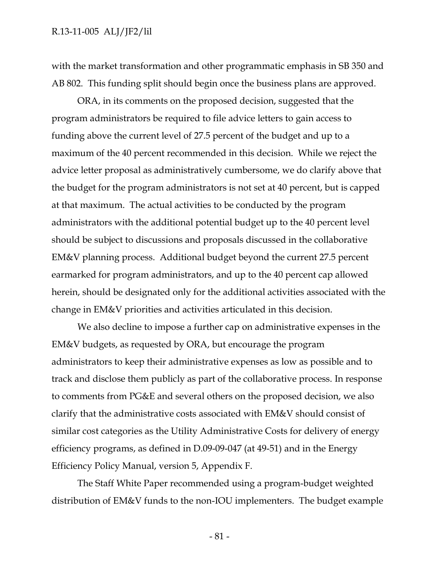with the market transformation and other programmatic emphasis in SB 350 and AB 802. This funding split should begin once the business plans are approved.

ORA, in its comments on the proposed decision, suggested that the program administrators be required to file advice letters to gain access to funding above the current level of 27.5 percent of the budget and up to a maximum of the 40 percent recommended in this decision. While we reject the advice letter proposal as administratively cumbersome, we do clarify above that the budget for the program administrators is not set at 40 percent, but is capped at that maximum. The actual activities to be conducted by the program administrators with the additional potential budget up to the 40 percent level should be subject to discussions and proposals discussed in the collaborative EM&V planning process. Additional budget beyond the current 27.5 percent earmarked for program administrators, and up to the 40 percent cap allowed herein, should be designated only for the additional activities associated with the change in EM&V priorities and activities articulated in this decision.

We also decline to impose a further cap on administrative expenses in the EM&V budgets, as requested by ORA, but encourage the program administrators to keep their administrative expenses as low as possible and to track and disclose them publicly as part of the collaborative process. In response to comments from PG&E and several others on the proposed decision, we also clarify that the administrative costs associated with EM&V should consist of similar cost categories as the Utility Administrative Costs for delivery of energy efficiency programs, as defined in D.09-09-047 (at 49-51) and in the Energy Efficiency Policy Manual, version 5, Appendix F.

The Staff White Paper recommended using a program-budget weighted distribution of EM&V funds to the non-IOU implementers. The budget example

- 81 -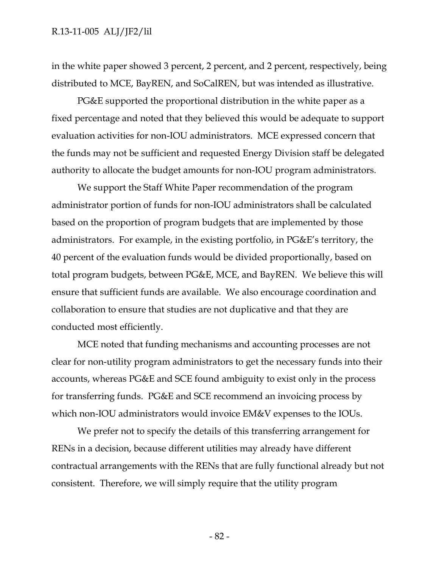in the white paper showed 3 percent, 2 percent, and 2 percent, respectively, being distributed to MCE, BayREN, and SoCalREN, but was intended as illustrative.

PG&E supported the proportional distribution in the white paper as a fixed percentage and noted that they believed this would be adequate to support evaluation activities for non-IOU administrators. MCE expressed concern that the funds may not be sufficient and requested Energy Division staff be delegated authority to allocate the budget amounts for non-IOU program administrators.

We support the Staff White Paper recommendation of the program administrator portion of funds for non-IOU administrators shall be calculated based on the proportion of program budgets that are implemented by those administrators. For example, in the existing portfolio, in PG&E's territory, the 40 percent of the evaluation funds would be divided proportionally, based on total program budgets, between PG&E, MCE, and BayREN. We believe this will ensure that sufficient funds are available. We also encourage coordination and collaboration to ensure that studies are not duplicative and that they are conducted most efficiently.

MCE noted that funding mechanisms and accounting processes are not clear for non-utility program administrators to get the necessary funds into their accounts, whereas PG&E and SCE found ambiguity to exist only in the process for transferring funds. PG&E and SCE recommend an invoicing process by which non-IOU administrators would invoice EM&V expenses to the IOUs.

We prefer not to specify the details of this transferring arrangement for RENs in a decision, because different utilities may already have different contractual arrangements with the RENs that are fully functional already but not consistent. Therefore, we will simply require that the utility program

- 82 -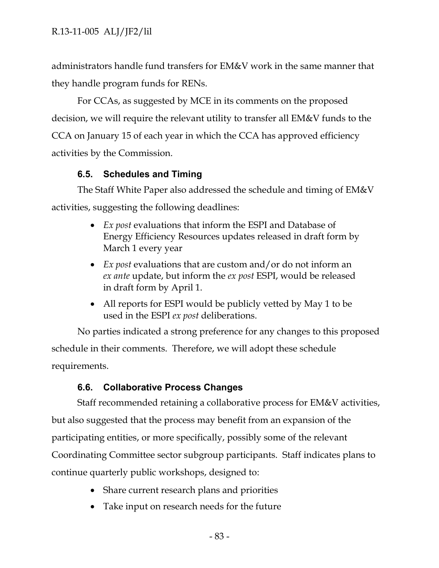administrators handle fund transfers for EM&V work in the same manner that they handle program funds for RENs.

For CCAs, as suggested by MCE in its comments on the proposed decision, we will require the relevant utility to transfer all EM&V funds to the CCA on January 15 of each year in which the CCA has approved efficiency activities by the Commission.

## **6.5. Schedules and Timing**

The Staff White Paper also addressed the schedule and timing of EM&V activities, suggesting the following deadlines:

- *Ex post* evaluations that inform the ESPI and Database of Energy Efficiency Resources updates released in draft form by March 1 every year
- *Ex post* evaluations that are custom and/or do not inform an *ex ante* update, but inform the *ex post* ESPI, would be released in draft form by April 1.
- All reports for ESPI would be publicly vetted by May 1 to be used in the ESPI *ex post* deliberations.

No parties indicated a strong preference for any changes to this proposed schedule in their comments. Therefore, we will adopt these schedule requirements.

# **6.6. Collaborative Process Changes**

Staff recommended retaining a collaborative process for EM&V activities, but also suggested that the process may benefit from an expansion of the participating entities, or more specifically, possibly some of the relevant Coordinating Committee sector subgroup participants. Staff indicates plans to continue quarterly public workshops, designed to:

- Share current research plans and priorities
- Take input on research needs for the future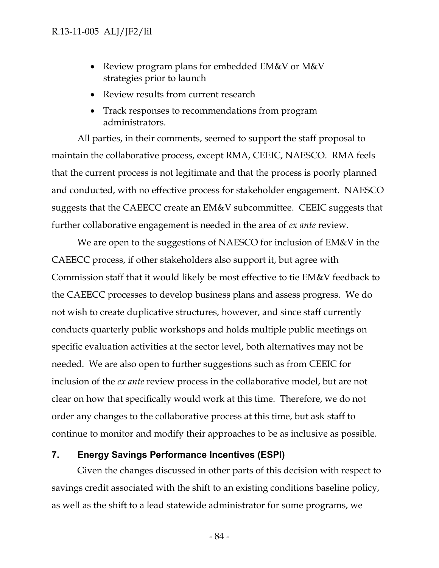- Review program plans for embedded EM&V or M&V strategies prior to launch
- Review results from current research
- Track responses to recommendations from program administrators.

All parties, in their comments, seemed to support the staff proposal to maintain the collaborative process, except RMA, CEEIC, NAESCO. RMA feels that the current process is not legitimate and that the process is poorly planned and conducted, with no effective process for stakeholder engagement. NAESCO suggests that the CAEECC create an EM&V subcommittee. CEEIC suggests that further collaborative engagement is needed in the area of *ex ante* review.

We are open to the suggestions of NAESCO for inclusion of EM&V in the CAEECC process, if other stakeholders also support it, but agree with Commission staff that it would likely be most effective to tie EM&V feedback to the CAEECC processes to develop business plans and assess progress. We do not wish to create duplicative structures, however, and since staff currently conducts quarterly public workshops and holds multiple public meetings on specific evaluation activities at the sector level, both alternatives may not be needed. We are also open to further suggestions such as from CEEIC for inclusion of the *ex ante* review process in the collaborative model, but are not clear on how that specifically would work at this time. Therefore, we do not order any changes to the collaborative process at this time, but ask staff to continue to monitor and modify their approaches to be as inclusive as possible.

### **7. Energy Savings Performance Incentives (ESPI)**

Given the changes discussed in other parts of this decision with respect to savings credit associated with the shift to an existing conditions baseline policy, as well as the shift to a lead statewide administrator for some programs, we

- 84 -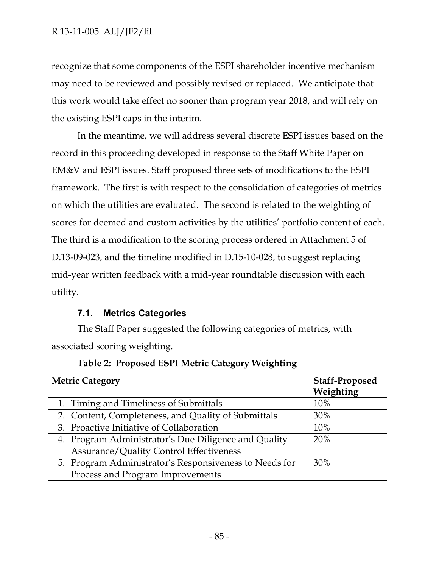recognize that some components of the ESPI shareholder incentive mechanism may need to be reviewed and possibly revised or replaced. We anticipate that this work would take effect no sooner than program year 2018, and will rely on the existing ESPI caps in the interim.

In the meantime, we will address several discrete ESPI issues based on the record in this proceeding developed in response to the Staff White Paper on EM&V and ESPI issues. Staff proposed three sets of modifications to the ESPI framework. The first is with respect to the consolidation of categories of metrics on which the utilities are evaluated. The second is related to the weighting of scores for deemed and custom activities by the utilities' portfolio content of each. The third is a modification to the scoring process ordered in Attachment 5 of D.13-09-023, and the timeline modified in D.15-10-028, to suggest replacing mid-year written feedback with a mid-year roundtable discussion with each utility.

# **7.1. Metrics Categories**

The Staff Paper suggested the following categories of metrics, with associated scoring weighting.

| <b>Metric Category</b>                                 | <b>Staff-Proposed</b><br>Weighting |
|--------------------------------------------------------|------------------------------------|
| 1. Timing and Timeliness of Submittals                 | 10%                                |
| 2. Content, Completeness, and Quality of Submittals    | 30%                                |
| 3. Proactive Initiative of Collaboration               | 10%                                |
| 4. Program Administrator's Due Diligence and Quality   | 20%                                |
| <b>Assurance/Quality Control Effectiveness</b>         |                                    |
| 5. Program Administrator's Responsiveness to Needs for | 30%                                |
| Process and Program Improvements                       |                                    |

# **Table 2: Proposed ESPI Metric Category Weighting**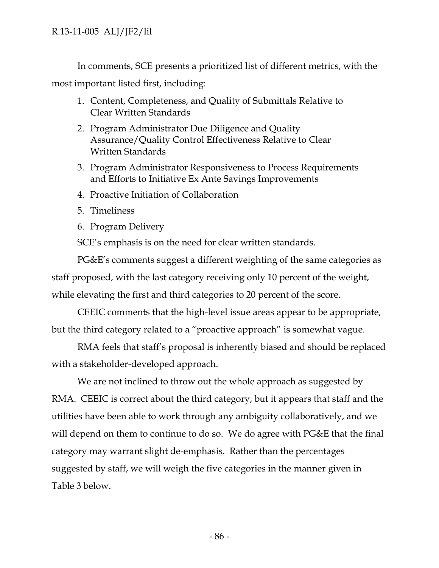In comments, SCE presents a prioritized list of different metrics, with the most important listed first, including:

- 1. Content, Completeness, and Quality of Submittals Relative to Clear Written Standards
- 2. Program Administrator Due Diligence and Quality Assurance/Quality Control Effectiveness Relative to Clear Written Standards
- 3. Program Administrator Responsiveness to Process Requirements and Efforts to Initiative Ex Ante Savings Improvements
- 4. Proactive Initiation of Collaboration
- 5. Timeliness
- 6. Program Delivery

SCE's emphasis is on the need for clear written standards.

PG&E's comments suggest a different weighting of the same categories as staff proposed, with the last category receiving only 10 percent of the weight, while elevating the first and third categories to 20 percent of the score.

CEEIC comments that the high-level issue areas appear to be appropriate, but the third category related to a "proactive approach" is somewhat vague.

RMA feels that staff's proposal is inherently biased and should be replaced with a stakeholder-developed approach.

We are not inclined to throw out the whole approach as suggested by RMA. CEEIC is correct about the third category, but it appears that staff and the utilities have been able to work through any ambiguity collaboratively, and we will depend on them to continue to do so. We do agree with PG&E that the final category may warrant slight de-emphasis. Rather than the percentages suggested by staff, we will weigh the five categories in the manner given in Table 3 below.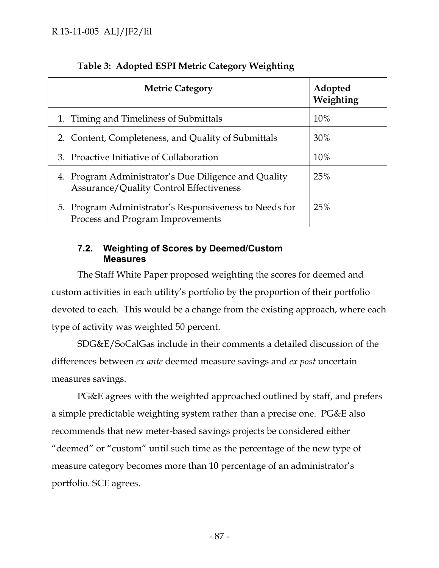| <b>Metric Category</b>                                                                                 | Adopted<br>Weighting |
|--------------------------------------------------------------------------------------------------------|----------------------|
| 1. Timing and Timeliness of Submittals                                                                 | 10%                  |
| 2. Content, Completeness, and Quality of Submittals                                                    | 30%                  |
| 3. Proactive Initiative of Collaboration                                                               | 10%                  |
| 4. Program Administrator's Due Diligence and Quality<br><b>Assurance/Quality Control Effectiveness</b> | 25%                  |
| 5. Program Administrator's Responsiveness to Needs for<br>Process and Program Improvements             | 25%                  |

# **Table 3: Adopted ESPI Metric Category Weighting**

### **7.2. Weighting of Scores by Deemed/Custom Measures**

The Staff White Paper proposed weighting the scores for deemed and custom activities in each utility's portfolio by the proportion of their portfolio devoted to each. This would be a change from the existing approach, where each type of activity was weighted 50 percent.

SDG&E/SoCalGas include in their comments a detailed discussion of the differences between *ex ante* deemed measure savings and *ex post* uncertain measures savings.

PG&E agrees with the weighted approached outlined by staff, and prefers a simple predictable weighting system rather than a precise one. PG&E also recommends that new meter-based savings projects be considered either "deemed" or "custom" until such time as the percentage of the new type of measure category becomes more than 10 percentage of an administrator's portfolio. SCE agrees.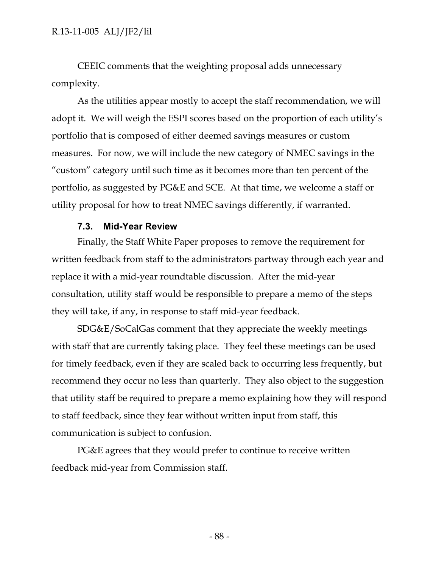CEEIC comments that the weighting proposal adds unnecessary complexity.

As the utilities appear mostly to accept the staff recommendation, we will adopt it. We will weigh the ESPI scores based on the proportion of each utility's portfolio that is composed of either deemed savings measures or custom measures. For now, we will include the new category of NMEC savings in the "custom" category until such time as it becomes more than ten percent of the portfolio, as suggested by PG&E and SCE. At that time, we welcome a staff or utility proposal for how to treat NMEC savings differently, if warranted.

### **7.3. Mid-Year Review**

Finally, the Staff White Paper proposes to remove the requirement for written feedback from staff to the administrators partway through each year and replace it with a mid-year roundtable discussion. After the mid-year consultation, utility staff would be responsible to prepare a memo of the steps they will take, if any, in response to staff mid-year feedback.

SDG&E/SoCalGas comment that they appreciate the weekly meetings with staff that are currently taking place. They feel these meetings can be used for timely feedback, even if they are scaled back to occurring less frequently, but recommend they occur no less than quarterly. They also object to the suggestion that utility staff be required to prepare a memo explaining how they will respond to staff feedback, since they fear without written input from staff, this communication is subject to confusion.

PG&E agrees that they would prefer to continue to receive written feedback mid-year from Commission staff.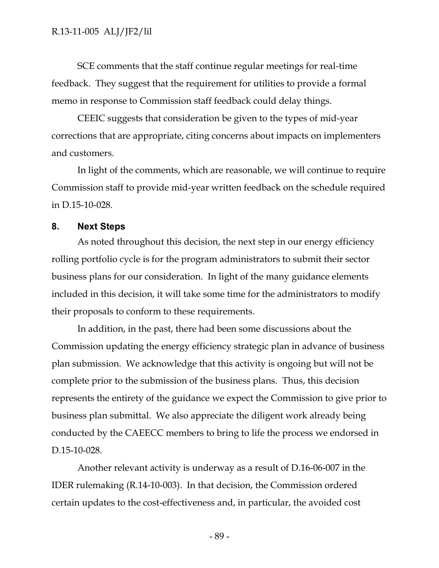SCE comments that the staff continue regular meetings for real-time feedback. They suggest that the requirement for utilities to provide a formal memo in response to Commission staff feedback could delay things.

CEEIC suggests that consideration be given to the types of mid-year corrections that are appropriate, citing concerns about impacts on implementers and customers.

In light of the comments, which are reasonable, we will continue to require Commission staff to provide mid-year written feedback on the schedule required in D.15-10-028.

### **8. Next Steps**

As noted throughout this decision, the next step in our energy efficiency rolling portfolio cycle is for the program administrators to submit their sector business plans for our consideration. In light of the many guidance elements included in this decision, it will take some time for the administrators to modify their proposals to conform to these requirements.

In addition, in the past, there had been some discussions about the Commission updating the energy efficiency strategic plan in advance of business plan submission. We acknowledge that this activity is ongoing but will not be complete prior to the submission of the business plans. Thus, this decision represents the entirety of the guidance we expect the Commission to give prior to business plan submittal. We also appreciate the diligent work already being conducted by the CAEECC members to bring to life the process we endorsed in D.15-10-028.

Another relevant activity is underway as a result of D.16-06-007 in the IDER rulemaking (R.14-10-003). In that decision, the Commission ordered certain updates to the cost-effectiveness and, in particular, the avoided cost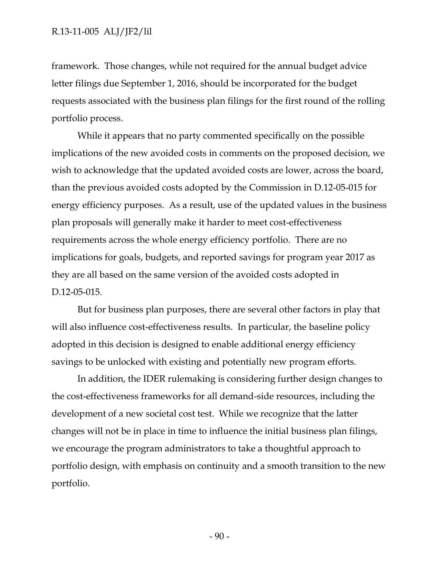framework. Those changes, while not required for the annual budget advice letter filings due September 1, 2016, should be incorporated for the budget requests associated with the business plan filings for the first round of the rolling portfolio process.

While it appears that no party commented specifically on the possible implications of the new avoided costs in comments on the proposed decision, we wish to acknowledge that the updated avoided costs are lower, across the board, than the previous avoided costs adopted by the Commission in D.12-05-015 for energy efficiency purposes. As a result, use of the updated values in the business plan proposals will generally make it harder to meet cost-effectiveness requirements across the whole energy efficiency portfolio. There are no implications for goals, budgets, and reported savings for program year 2017 as they are all based on the same version of the avoided costs adopted in D.12-05-015.

But for business plan purposes, there are several other factors in play that will also influence cost-effectiveness results. In particular, the baseline policy adopted in this decision is designed to enable additional energy efficiency savings to be unlocked with existing and potentially new program efforts.

In addition, the IDER rulemaking is considering further design changes to the cost-effectiveness frameworks for all demand-side resources, including the development of a new societal cost test. While we recognize that the latter changes will not be in place in time to influence the initial business plan filings, we encourage the program administrators to take a thoughtful approach to portfolio design, with emphasis on continuity and a smooth transition to the new portfolio.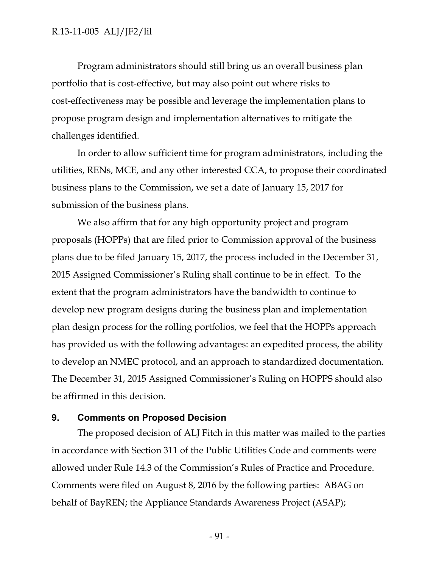Program administrators should still bring us an overall business plan portfolio that is cost-effective, but may also point out where risks to cost-effectiveness may be possible and leverage the implementation plans to propose program design and implementation alternatives to mitigate the challenges identified.

In order to allow sufficient time for program administrators, including the utilities, RENs, MCE, and any other interested CCA, to propose their coordinated business plans to the Commission, we set a date of January 15, 2017 for submission of the business plans.

We also affirm that for any high opportunity project and program proposals (HOPPs) that are filed prior to Commission approval of the business plans due to be filed January 15, 2017, the process included in the December 31, 2015 Assigned Commissioner's Ruling shall continue to be in effect. To the extent that the program administrators have the bandwidth to continue to develop new program designs during the business plan and implementation plan design process for the rolling portfolios, we feel that the HOPPs approach has provided us with the following advantages: an expedited process, the ability to develop an NMEC protocol, and an approach to standardized documentation. The December 31, 2015 Assigned Commissioner's Ruling on HOPPS should also be affirmed in this decision.

#### **9. Comments on Proposed Decision**

The proposed decision of ALJ Fitch in this matter was mailed to the parties in accordance with Section 311 of the Public Utilities Code and comments were allowed under Rule 14.3 of the Commission's Rules of Practice and Procedure. Comments were filed on August 8, 2016 by the following parties: ABAG on behalf of BayREN; the Appliance Standards Awareness Project (ASAP);

- 91 -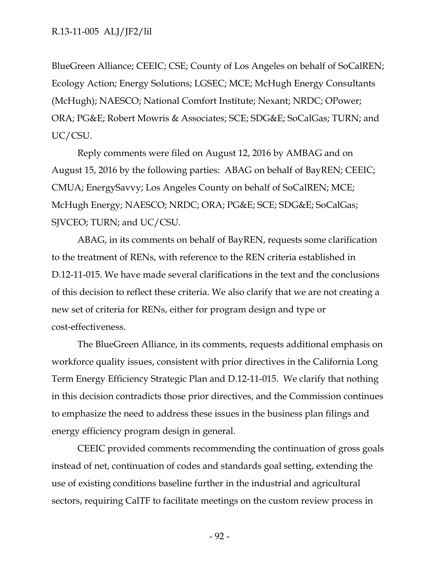BlueGreen Alliance; CEEIC; CSE; County of Los Angeles on behalf of SoCalREN; Ecology Action; Energy Solutions; LGSEC; MCE; McHugh Energy Consultants (McHugh); NAESCO; National Comfort Institute; Nexant; NRDC; OPower; ORA; PG&E; Robert Mowris & Associates; SCE; SDG&E; SoCalGas; TURN; and UC/CSU.

Reply comments were filed on August 12, 2016 by AMBAG and on August 15, 2016 by the following parties: ABAG on behalf of BayREN; CEEIC; CMUA; EnergySavvy; Los Angeles County on behalf of SoCalREN; MCE; McHugh Energy; NAESCO; NRDC; ORA; PG&E; SCE; SDG&E; SoCalGas; SJVCEO; TURN; and UC/CSU.

ABAG, in its comments on behalf of BayREN, requests some clarification to the treatment of RENs, with reference to the REN criteria established in D.12-11-015. We have made several clarifications in the text and the conclusions of this decision to reflect these criteria. We also clarify that we are not creating a new set of criteria for RENs, either for program design and type or cost-effectiveness.

The BlueGreen Alliance, in its comments, requests additional emphasis on workforce quality issues, consistent with prior directives in the California Long Term Energy Efficiency Strategic Plan and D.12-11-015. We clarify that nothing in this decision contradicts those prior directives, and the Commission continues to emphasize the need to address these issues in the business plan filings and energy efficiency program design in general.

CEEIC provided comments recommending the continuation of gross goals instead of net, continuation of codes and standards goal setting, extending the use of existing conditions baseline further in the industrial and agricultural sectors, requiring CalTF to facilitate meetings on the custom review process in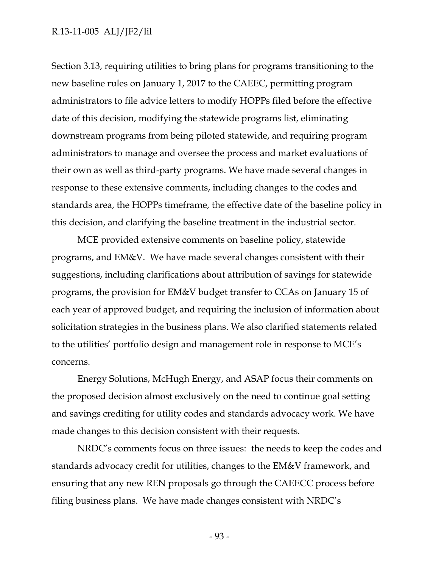Section 3.13, requiring utilities to bring plans for programs transitioning to the new baseline rules on January 1, 2017 to the CAEEC, permitting program administrators to file advice letters to modify HOPPs filed before the effective date of this decision, modifying the statewide programs list, eliminating downstream programs from being piloted statewide, and requiring program administrators to manage and oversee the process and market evaluations of their own as well as third-party programs. We have made several changes in response to these extensive comments, including changes to the codes and standards area, the HOPPs timeframe, the effective date of the baseline policy in this decision, and clarifying the baseline treatment in the industrial sector.

MCE provided extensive comments on baseline policy, statewide programs, and EM&V. We have made several changes consistent with their suggestions, including clarifications about attribution of savings for statewide programs, the provision for EM&V budget transfer to CCAs on January 15 of each year of approved budget, and requiring the inclusion of information about solicitation strategies in the business plans. We also clarified statements related to the utilities' portfolio design and management role in response to MCE's concerns.

Energy Solutions, McHugh Energy, and ASAP focus their comments on the proposed decision almost exclusively on the need to continue goal setting and savings crediting for utility codes and standards advocacy work. We have made changes to this decision consistent with their requests.

NRDC's comments focus on three issues: the needs to keep the codes and standards advocacy credit for utilities, changes to the EM&V framework, and ensuring that any new REN proposals go through the CAEECC process before filing business plans. We have made changes consistent with NRDC's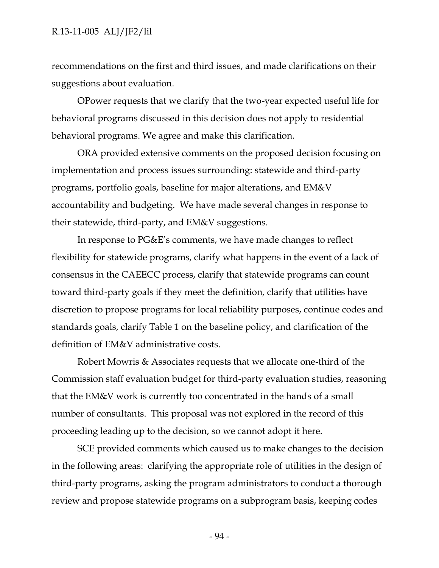recommendations on the first and third issues, and made clarifications on their suggestions about evaluation.

OPower requests that we clarify that the two-year expected useful life for behavioral programs discussed in this decision does not apply to residential behavioral programs. We agree and make this clarification.

ORA provided extensive comments on the proposed decision focusing on implementation and process issues surrounding: statewide and third-party programs, portfolio goals, baseline for major alterations, and EM&V accountability and budgeting. We have made several changes in response to their statewide, third-party, and EM&V suggestions.

In response to PG&E's comments, we have made changes to reflect flexibility for statewide programs, clarify what happens in the event of a lack of consensus in the CAEECC process, clarify that statewide programs can count toward third-party goals if they meet the definition, clarify that utilities have discretion to propose programs for local reliability purposes, continue codes and standards goals, clarify Table 1 on the baseline policy, and clarification of the definition of EM&V administrative costs.

Robert Mowris & Associates requests that we allocate one-third of the Commission staff evaluation budget for third-party evaluation studies, reasoning that the EM&V work is currently too concentrated in the hands of a small number of consultants. This proposal was not explored in the record of this proceeding leading up to the decision, so we cannot adopt it here.

SCE provided comments which caused us to make changes to the decision in the following areas: clarifying the appropriate role of utilities in the design of third-party programs, asking the program administrators to conduct a thorough review and propose statewide programs on a subprogram basis, keeping codes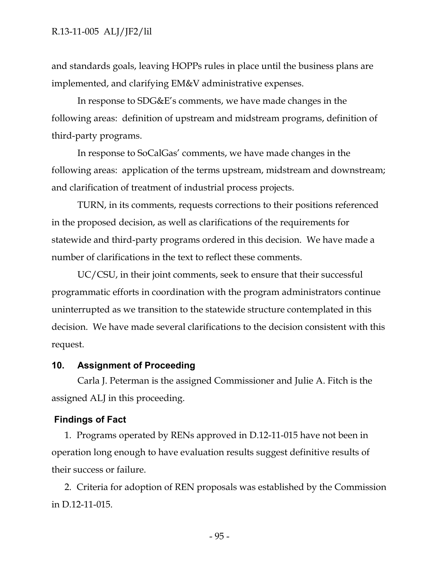and standards goals, leaving HOPPs rules in place until the business plans are implemented, and clarifying EM&V administrative expenses.

In response to SDG&E's comments, we have made changes in the following areas: definition of upstream and midstream programs, definition of third-party programs.

In response to SoCalGas' comments, we have made changes in the following areas: application of the terms upstream, midstream and downstream; and clarification of treatment of industrial process projects.

TURN, in its comments, requests corrections to their positions referenced in the proposed decision, as well as clarifications of the requirements for statewide and third-party programs ordered in this decision. We have made a number of clarifications in the text to reflect these comments.

UC/CSU, in their joint comments, seek to ensure that their successful programmatic efforts in coordination with the program administrators continue uninterrupted as we transition to the statewide structure contemplated in this decision. We have made several clarifications to the decision consistent with this request.

### **10. Assignment of Proceeding**

Carla J. Peterman is the assigned Commissioner and Julie A. Fitch is the assigned ALJ in this proceeding.

### **Findings of Fact**

1. Programs operated by RENs approved in D.12-11-015 have not been in operation long enough to have evaluation results suggest definitive results of their success or failure.

2. Criteria for adoption of REN proposals was established by the Commission in D.12-11-015.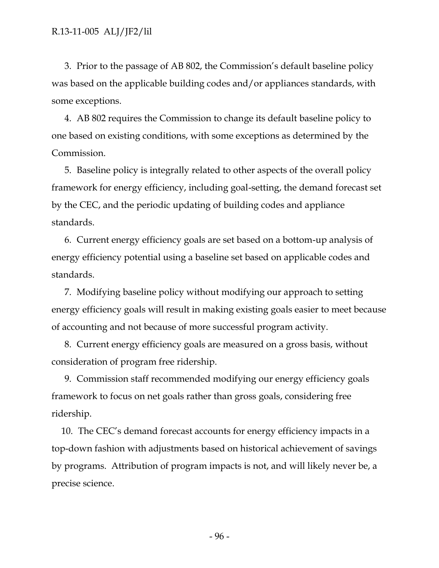3. Prior to the passage of AB 802, the Commission's default baseline policy was based on the applicable building codes and/or appliances standards, with some exceptions.

4. AB 802 requires the Commission to change its default baseline policy to one based on existing conditions, with some exceptions as determined by the Commission.

5. Baseline policy is integrally related to other aspects of the overall policy framework for energy efficiency, including goal-setting, the demand forecast set by the CEC, and the periodic updating of building codes and appliance standards.

6. Current energy efficiency goals are set based on a bottom-up analysis of energy efficiency potential using a baseline set based on applicable codes and standards.

7. Modifying baseline policy without modifying our approach to setting energy efficiency goals will result in making existing goals easier to meet because of accounting and not because of more successful program activity.

8. Current energy efficiency goals are measured on a gross basis, without consideration of program free ridership.

9. Commission staff recommended modifying our energy efficiency goals framework to focus on net goals rather than gross goals, considering free ridership.

10. The CEC's demand forecast accounts for energy efficiency impacts in a top-down fashion with adjustments based on historical achievement of savings by programs. Attribution of program impacts is not, and will likely never be, a precise science.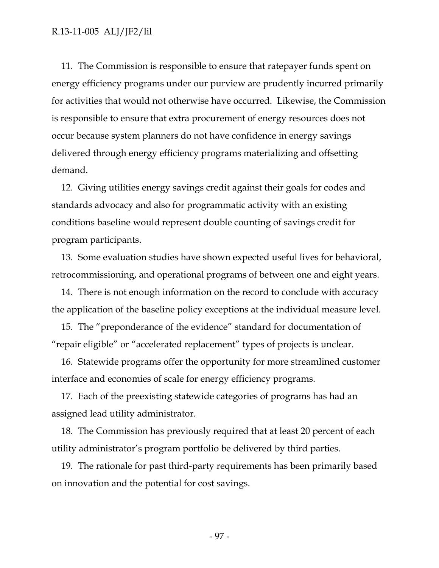11. The Commission is responsible to ensure that ratepayer funds spent on energy efficiency programs under our purview are prudently incurred primarily for activities that would not otherwise have occurred. Likewise, the Commission is responsible to ensure that extra procurement of energy resources does not occur because system planners do not have confidence in energy savings delivered through energy efficiency programs materializing and offsetting demand.

12. Giving utilities energy savings credit against their goals for codes and standards advocacy and also for programmatic activity with an existing conditions baseline would represent double counting of savings credit for program participants.

13. Some evaluation studies have shown expected useful lives for behavioral, retrocommissioning, and operational programs of between one and eight years.

14. There is not enough information on the record to conclude with accuracy the application of the baseline policy exceptions at the individual measure level.

15. The "preponderance of the evidence" standard for documentation of "repair eligible" or "accelerated replacement" types of projects is unclear.

16. Statewide programs offer the opportunity for more streamlined customer interface and economies of scale for energy efficiency programs.

17. Each of the preexisting statewide categories of programs has had an assigned lead utility administrator.

18. The Commission has previously required that at least 20 percent of each utility administrator's program portfolio be delivered by third parties.

19. The rationale for past third-party requirements has been primarily based on innovation and the potential for cost savings.

- 97 -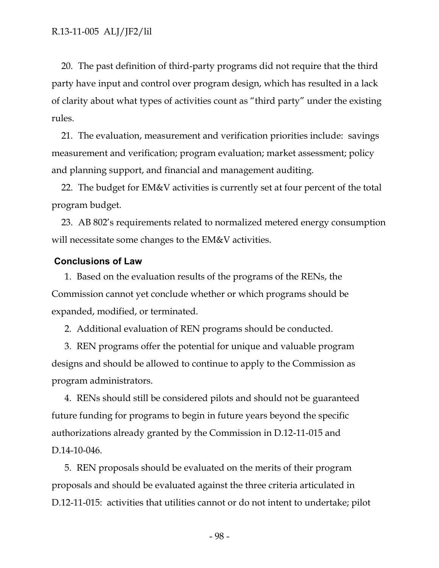20. The past definition of third-party programs did not require that the third party have input and control over program design, which has resulted in a lack of clarity about what types of activities count as "third party" under the existing rules.

21. The evaluation, measurement and verification priorities include: savings measurement and verification; program evaluation; market assessment; policy and planning support, and financial and management auditing.

22. The budget for EM&V activities is currently set at four percent of the total program budget.

23. AB 802's requirements related to normalized metered energy consumption will necessitate some changes to the EM&V activities.

#### **Conclusions of Law**

1. Based on the evaluation results of the programs of the RENs, the Commission cannot yet conclude whether or which programs should be expanded, modified, or terminated.

2. Additional evaluation of REN programs should be conducted.

3. REN programs offer the potential for unique and valuable program designs and should be allowed to continue to apply to the Commission as program administrators.

4. RENs should still be considered pilots and should not be guaranteed future funding for programs to begin in future years beyond the specific authorizations already granted by the Commission in D.12-11-015 and D.14-10-046.

5. REN proposals should be evaluated on the merits of their program proposals and should be evaluated against the three criteria articulated in D.12-11-015: activities that utilities cannot or do not intent to undertake; pilot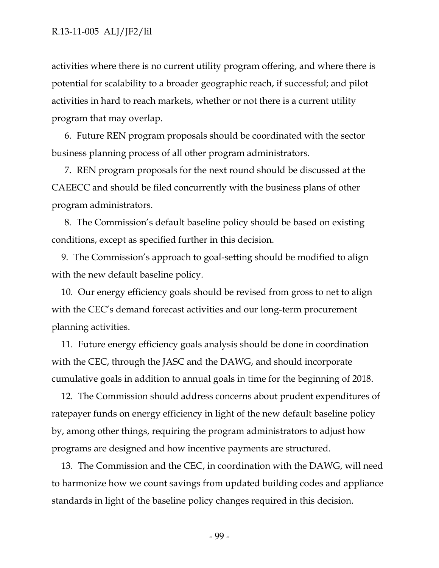activities where there is no current utility program offering, and where there is potential for scalability to a broader geographic reach, if successful; and pilot activities in hard to reach markets, whether or not there is a current utility program that may overlap.

6. Future REN program proposals should be coordinated with the sector business planning process of all other program administrators.

7. REN program proposals for the next round should be discussed at the CAEECC and should be filed concurrently with the business plans of other program administrators.

8. The Commission's default baseline policy should be based on existing conditions, except as specified further in this decision.

9. The Commission's approach to goal-setting should be modified to align with the new default baseline policy.

10. Our energy efficiency goals should be revised from gross to net to align with the CEC's demand forecast activities and our long-term procurement planning activities.

11. Future energy efficiency goals analysis should be done in coordination with the CEC, through the JASC and the DAWG, and should incorporate cumulative goals in addition to annual goals in time for the beginning of 2018.

12. The Commission should address concerns about prudent expenditures of ratepayer funds on energy efficiency in light of the new default baseline policy by, among other things, requiring the program administrators to adjust how programs are designed and how incentive payments are structured.

13. The Commission and the CEC, in coordination with the DAWG, will need to harmonize how we count savings from updated building codes and appliance standards in light of the baseline policy changes required in this decision.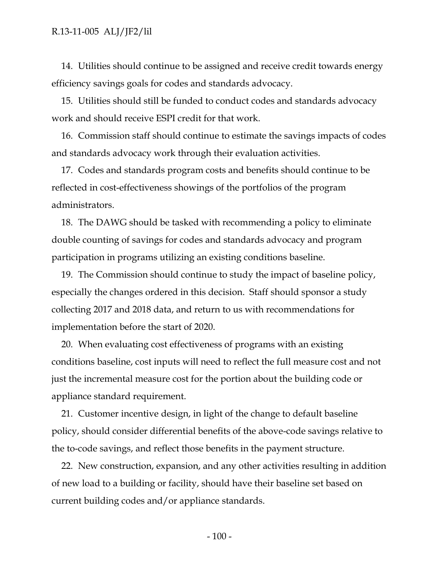14. Utilities should continue to be assigned and receive credit towards energy efficiency savings goals for codes and standards advocacy.

15. Utilities should still be funded to conduct codes and standards advocacy work and should receive ESPI credit for that work.

16. Commission staff should continue to estimate the savings impacts of codes and standards advocacy work through their evaluation activities.

17. Codes and standards program costs and benefits should continue to be reflected in cost-effectiveness showings of the portfolios of the program administrators.

18. The DAWG should be tasked with recommending a policy to eliminate double counting of savings for codes and standards advocacy and program participation in programs utilizing an existing conditions baseline.

19. The Commission should continue to study the impact of baseline policy, especially the changes ordered in this decision. Staff should sponsor a study collecting 2017 and 2018 data, and return to us with recommendations for implementation before the start of 2020.

20. When evaluating cost effectiveness of programs with an existing conditions baseline, cost inputs will need to reflect the full measure cost and not just the incremental measure cost for the portion about the building code or appliance standard requirement.

21. Customer incentive design, in light of the change to default baseline policy, should consider differential benefits of the above-code savings relative to the to-code savings, and reflect those benefits in the payment structure.

22. New construction, expansion, and any other activities resulting in addition of new load to a building or facility, should have their baseline set based on current building codes and/or appliance standards.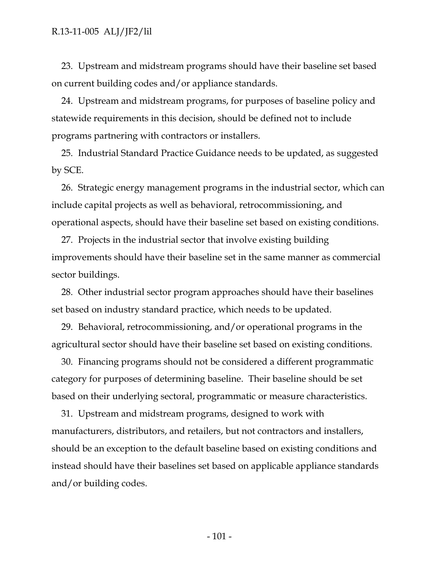23. Upstream and midstream programs should have their baseline set based on current building codes and/or appliance standards.

24. Upstream and midstream programs, for purposes of baseline policy and statewide requirements in this decision, should be defined not to include programs partnering with contractors or installers.

25. Industrial Standard Practice Guidance needs to be updated, as suggested by SCE.

26. Strategic energy management programs in the industrial sector, which can include capital projects as well as behavioral, retrocommissioning, and operational aspects, should have their baseline set based on existing conditions.

27. Projects in the industrial sector that involve existing building improvements should have their baseline set in the same manner as commercial sector buildings.

28. Other industrial sector program approaches should have their baselines set based on industry standard practice, which needs to be updated.

29. Behavioral, retrocommissioning, and/or operational programs in the agricultural sector should have their baseline set based on existing conditions.

30. Financing programs should not be considered a different programmatic category for purposes of determining baseline. Their baseline should be set based on their underlying sectoral, programmatic or measure characteristics.

31. Upstream and midstream programs, designed to work with manufacturers, distributors, and retailers, but not contractors and installers, should be an exception to the default baseline based on existing conditions and instead should have their baselines set based on applicable appliance standards and/or building codes.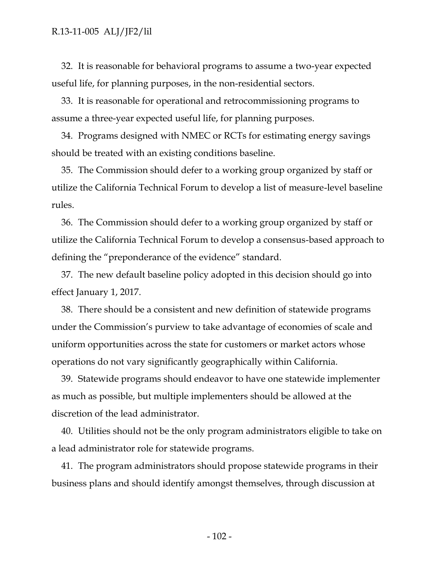32. It is reasonable for behavioral programs to assume a two-year expected useful life, for planning purposes, in the non-residential sectors.

33. It is reasonable for operational and retrocommissioning programs to assume a three-year expected useful life, for planning purposes.

34. Programs designed with NMEC or RCTs for estimating energy savings should be treated with an existing conditions baseline.

35. The Commission should defer to a working group organized by staff or utilize the California Technical Forum to develop a list of measure-level baseline rules.

36. The Commission should defer to a working group organized by staff or utilize the California Technical Forum to develop a consensus-based approach to defining the "preponderance of the evidence" standard.

37. The new default baseline policy adopted in this decision should go into effect January 1, 2017.

38. There should be a consistent and new definition of statewide programs under the Commission's purview to take advantage of economies of scale and uniform opportunities across the state for customers or market actors whose operations do not vary significantly geographically within California.

39. Statewide programs should endeavor to have one statewide implementer as much as possible, but multiple implementers should be allowed at the discretion of the lead administrator.

40. Utilities should not be the only program administrators eligible to take on a lead administrator role for statewide programs.

41. The program administrators should propose statewide programs in their business plans and should identify amongst themselves, through discussion at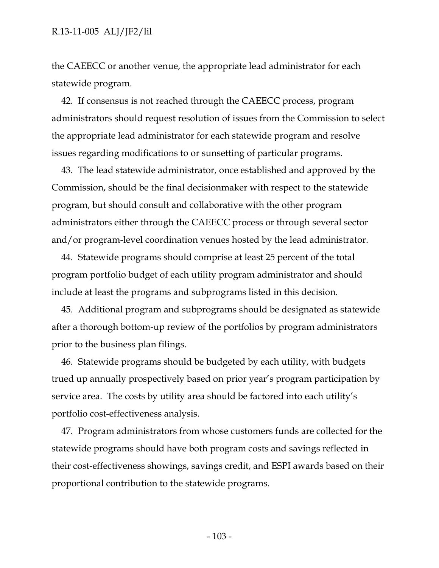the CAEECC or another venue, the appropriate lead administrator for each statewide program.

42. If consensus is not reached through the CAEECC process, program administrators should request resolution of issues from the Commission to select the appropriate lead administrator for each statewide program and resolve issues regarding modifications to or sunsetting of particular programs.

43. The lead statewide administrator, once established and approved by the Commission, should be the final decisionmaker with respect to the statewide program, but should consult and collaborative with the other program administrators either through the CAEECC process or through several sector and/or program-level coordination venues hosted by the lead administrator.

44. Statewide programs should comprise at least 25 percent of the total program portfolio budget of each utility program administrator and should include at least the programs and subprograms listed in this decision.

45. Additional program and subprograms should be designated as statewide after a thorough bottom-up review of the portfolios by program administrators prior to the business plan filings.

46. Statewide programs should be budgeted by each utility, with budgets trued up annually prospectively based on prior year's program participation by service area. The costs by utility area should be factored into each utility's portfolio cost-effectiveness analysis.

47. Program administrators from whose customers funds are collected for the statewide programs should have both program costs and savings reflected in their cost-effectiveness showings, savings credit, and ESPI awards based on their proportional contribution to the statewide programs.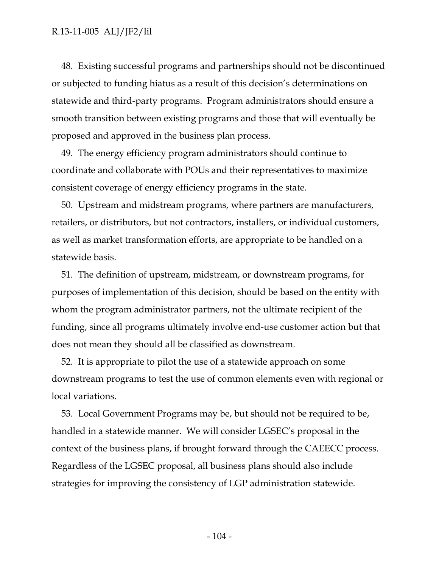48. Existing successful programs and partnerships should not be discontinued or subjected to funding hiatus as a result of this decision's determinations on statewide and third-party programs. Program administrators should ensure a smooth transition between existing programs and those that will eventually be proposed and approved in the business plan process.

49. The energy efficiency program administrators should continue to coordinate and collaborate with POUs and their representatives to maximize consistent coverage of energy efficiency programs in the state.

50. Upstream and midstream programs, where partners are manufacturers, retailers, or distributors, but not contractors, installers, or individual customers, as well as market transformation efforts, are appropriate to be handled on a statewide basis.

51. The definition of upstream, midstream, or downstream programs, for purposes of implementation of this decision, should be based on the entity with whom the program administrator partners, not the ultimate recipient of the funding, since all programs ultimately involve end-use customer action but that does not mean they should all be classified as downstream.

52. It is appropriate to pilot the use of a statewide approach on some downstream programs to test the use of common elements even with regional or local variations.

53. Local Government Programs may be, but should not be required to be, handled in a statewide manner. We will consider LGSEC's proposal in the context of the business plans, if brought forward through the CAEECC process. Regardless of the LGSEC proposal, all business plans should also include strategies for improving the consistency of LGP administration statewide.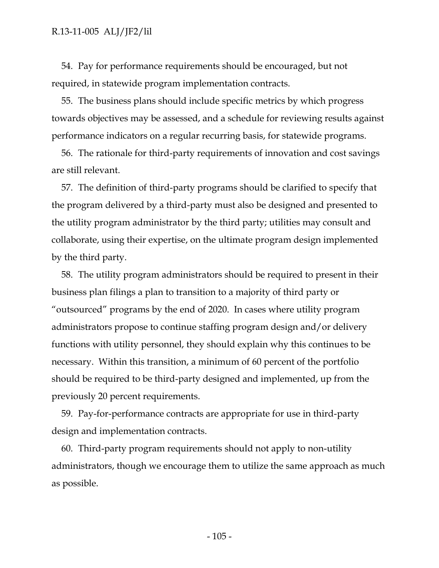54. Pay for performance requirements should be encouraged, but not required, in statewide program implementation contracts.

55. The business plans should include specific metrics by which progress towards objectives may be assessed, and a schedule for reviewing results against performance indicators on a regular recurring basis, for statewide programs.

56. The rationale for third-party requirements of innovation and cost savings are still relevant.

57. The definition of third-party programs should be clarified to specify that the program delivered by a third-party must also be designed and presented to the utility program administrator by the third party; utilities may consult and collaborate, using their expertise, on the ultimate program design implemented by the third party.

58. The utility program administrators should be required to present in their business plan filings a plan to transition to a majority of third party or "outsourced" programs by the end of 2020. In cases where utility program administrators propose to continue staffing program design and/or delivery functions with utility personnel, they should explain why this continues to be necessary. Within this transition, a minimum of 60 percent of the portfolio should be required to be third-party designed and implemented, up from the previously 20 percent requirements.

59. Pay-for-performance contracts are appropriate for use in third-party design and implementation contracts.

60. Third-party program requirements should not apply to non-utility administrators, though we encourage them to utilize the same approach as much as possible.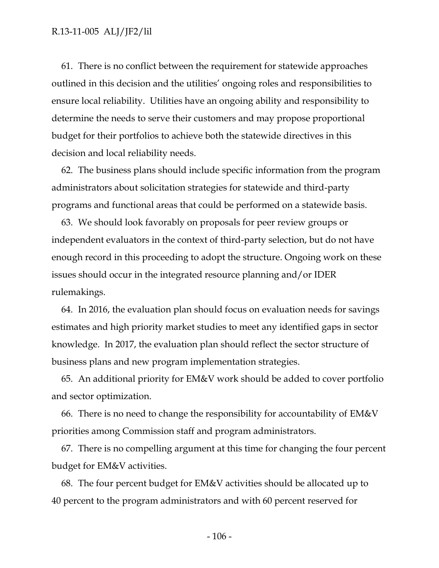61. There is no conflict between the requirement for statewide approaches outlined in this decision and the utilities' ongoing roles and responsibilities to ensure local reliability. Utilities have an ongoing ability and responsibility to determine the needs to serve their customers and may propose proportional budget for their portfolios to achieve both the statewide directives in this decision and local reliability needs.

62. The business plans should include specific information from the program administrators about solicitation strategies for statewide and third-party programs and functional areas that could be performed on a statewide basis.

63. We should look favorably on proposals for peer review groups or independent evaluators in the context of third-party selection, but do not have enough record in this proceeding to adopt the structure. Ongoing work on these issues should occur in the integrated resource planning and/or IDER rulemakings.

64. In 2016, the evaluation plan should focus on evaluation needs for savings estimates and high priority market studies to meet any identified gaps in sector knowledge. In 2017, the evaluation plan should reflect the sector structure of business plans and new program implementation strategies.

65. An additional priority for EM&V work should be added to cover portfolio and sector optimization.

66. There is no need to change the responsibility for accountability of EM&V priorities among Commission staff and program administrators.

67. There is no compelling argument at this time for changing the four percent budget for EM&V activities.

68. The four percent budget for EM&V activities should be allocated up to 40 percent to the program administrators and with 60 percent reserved for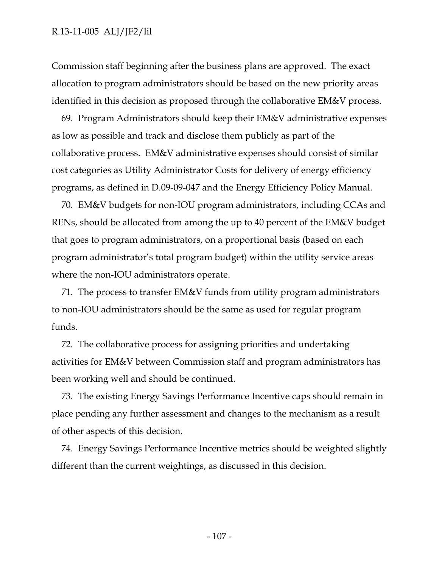Commission staff beginning after the business plans are approved. The exact allocation to program administrators should be based on the new priority areas identified in this decision as proposed through the collaborative EM&V process.

69. Program Administrators should keep their EM&V administrative expenses as low as possible and track and disclose them publicly as part of the collaborative process. EM&V administrative expenses should consist of similar cost categories as Utility Administrator Costs for delivery of energy efficiency programs, as defined in D.09-09-047 and the Energy Efficiency Policy Manual.

70. EM&V budgets for non-IOU program administrators, including CCAs and RENs, should be allocated from among the up to 40 percent of the EM&V budget that goes to program administrators, on a proportional basis (based on each program administrator's total program budget) within the utility service areas where the non-IOU administrators operate.

71. The process to transfer EM&V funds from utility program administrators to non-IOU administrators should be the same as used for regular program funds.

72. The collaborative process for assigning priorities and undertaking activities for EM&V between Commission staff and program administrators has been working well and should be continued.

73. The existing Energy Savings Performance Incentive caps should remain in place pending any further assessment and changes to the mechanism as a result of other aspects of this decision.

74. Energy Savings Performance Incentive metrics should be weighted slightly different than the current weightings, as discussed in this decision.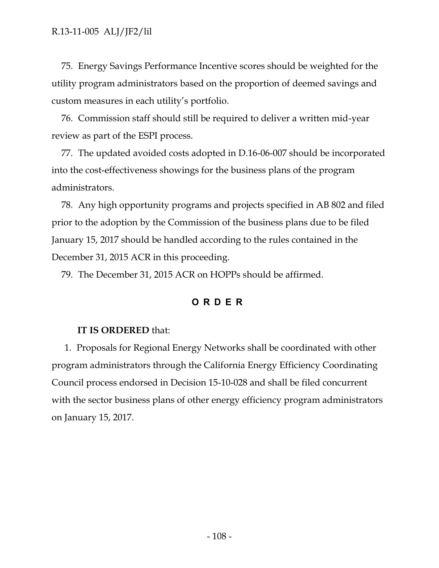75. Energy Savings Performance Incentive scores should be weighted for the utility program administrators based on the proportion of deemed savings and custom measures in each utility's portfolio.

76. Commission staff should still be required to deliver a written mid-year review as part of the ESPI process.

77. The updated avoided costs adopted in D.16-06-007 should be incorporated into the cost-effectiveness showings for the business plans of the program administrators.

78. Any high opportunity programs and projects specified in AB 802 and filed prior to the adoption by the Commission of the business plans due to be filed January 15, 2017 should be handled according to the rules contained in the December 31, 2015 ACR in this proceeding.

79. The December 31, 2015 ACR on HOPPs should be affirmed.

## **ORDER**

## **IT IS ORDERED** that:

1. Proposals for Regional Energy Networks shall be coordinated with other program administrators through the California Energy Efficiency Coordinating Council process endorsed in Decision 15-10-028 and shall be filed concurrent with the sector business plans of other energy efficiency program administrators on January 15, 2017.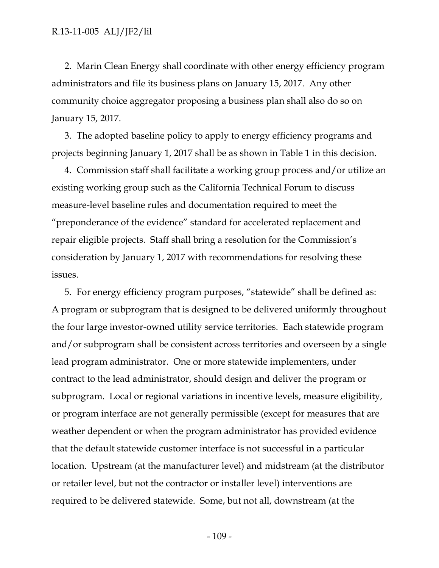2. Marin Clean Energy shall coordinate with other energy efficiency program administrators and file its business plans on January 15, 2017. Any other community choice aggregator proposing a business plan shall also do so on January 15, 2017.

3. The adopted baseline policy to apply to energy efficiency programs and projects beginning January 1, 2017 shall be as shown in Table 1 in this decision.

4. Commission staff shall facilitate a working group process and/or utilize an existing working group such as the California Technical Forum to discuss measure-level baseline rules and documentation required to meet the "preponderance of the evidence" standard for accelerated replacement and repair eligible projects. Staff shall bring a resolution for the Commission's consideration by January 1, 2017 with recommendations for resolving these issues.

5. For energy efficiency program purposes, "statewide" shall be defined as: A program or subprogram that is designed to be delivered uniformly throughout the four large investor-owned utility service territories. Each statewide program and/or subprogram shall be consistent across territories and overseen by a single lead program administrator. One or more statewide implementers, under contract to the lead administrator, should design and deliver the program or subprogram. Local or regional variations in incentive levels, measure eligibility, or program interface are not generally permissible (except for measures that are weather dependent or when the program administrator has provided evidence that the default statewide customer interface is not successful in a particular location. Upstream (at the manufacturer level) and midstream (at the distributor or retailer level, but not the contractor or installer level) interventions are required to be delivered statewide. Some, but not all, downstream (at the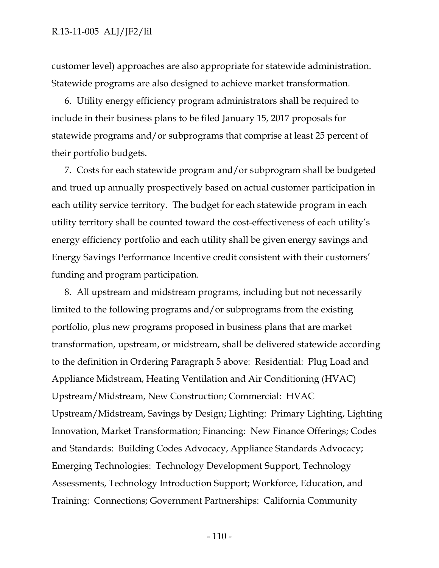customer level) approaches are also appropriate for statewide administration. Statewide programs are also designed to achieve market transformation.

6. Utility energy efficiency program administrators shall be required to include in their business plans to be filed January 15, 2017 proposals for statewide programs and/or subprograms that comprise at least 25 percent of their portfolio budgets.

7. Costs for each statewide program and/or subprogram shall be budgeted and trued up annually prospectively based on actual customer participation in each utility service territory. The budget for each statewide program in each utility territory shall be counted toward the cost-effectiveness of each utility's energy efficiency portfolio and each utility shall be given energy savings and Energy Savings Performance Incentive credit consistent with their customers' funding and program participation.

8. All upstream and midstream programs, including but not necessarily limited to the following programs and/or subprograms from the existing portfolio, plus new programs proposed in business plans that are market transformation, upstream, or midstream, shall be delivered statewide according to the definition in Ordering Paragraph 5 above: Residential: Plug Load and Appliance Midstream, Heating Ventilation and Air Conditioning (HVAC) Upstream/Midstream, New Construction; Commercial: HVAC Upstream/Midstream, Savings by Design; Lighting: Primary Lighting, Lighting Innovation, Market Transformation; Financing: New Finance Offerings; Codes and Standards: Building Codes Advocacy, Appliance Standards Advocacy; Emerging Technologies: Technology Development Support, Technology Assessments, Technology Introduction Support; Workforce, Education, and Training: Connections; Government Partnerships: California Community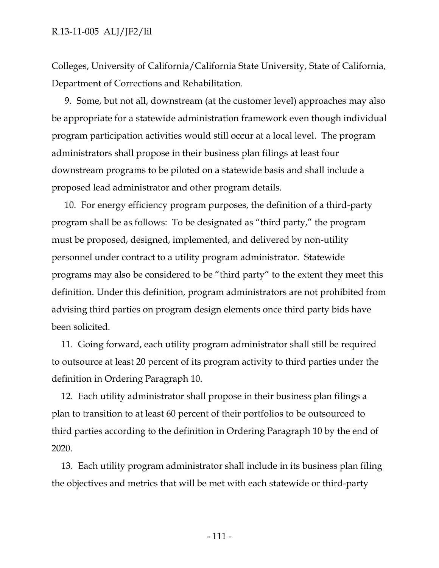Colleges, University of California/California State University, State of California, Department of Corrections and Rehabilitation.

9. Some, but not all, downstream (at the customer level) approaches may also be appropriate for a statewide administration framework even though individual program participation activities would still occur at a local level. The program administrators shall propose in their business plan filings at least four downstream programs to be piloted on a statewide basis and shall include a proposed lead administrator and other program details.

10. For energy efficiency program purposes, the definition of a third-party program shall be as follows: To be designated as "third party," the program must be proposed, designed, implemented, and delivered by non-utility personnel under contract to a utility program administrator. Statewide programs may also be considered to be "third party" to the extent they meet this definition. Under this definition, program administrators are not prohibited from advising third parties on program design elements once third party bids have been solicited.

11. Going forward, each utility program administrator shall still be required to outsource at least 20 percent of its program activity to third parties under the definition in Ordering Paragraph 10.

12. Each utility administrator shall propose in their business plan filings a plan to transition to at least 60 percent of their portfolios to be outsourced to third parties according to the definition in Ordering Paragraph 10 by the end of 2020.

13. Each utility program administrator shall include in its business plan filing the objectives and metrics that will be met with each statewide or third-party

- 111 -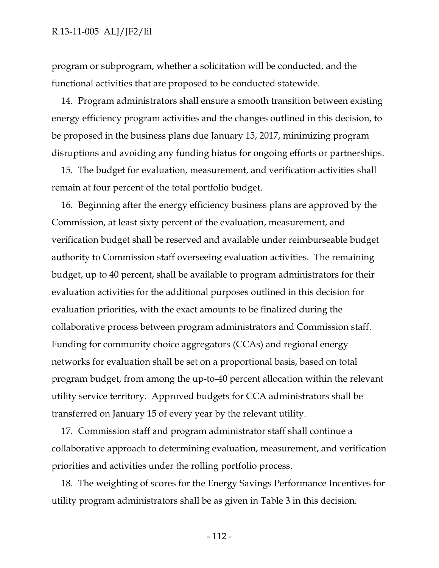## R.13-11-005 ALJ/JF2/lil

program or subprogram, whether a solicitation will be conducted, and the functional activities that are proposed to be conducted statewide.

14. Program administrators shall ensure a smooth transition between existing energy efficiency program activities and the changes outlined in this decision, to be proposed in the business plans due January 15, 2017, minimizing program disruptions and avoiding any funding hiatus for ongoing efforts or partnerships.

15. The budget for evaluation, measurement, and verification activities shall remain at four percent of the total portfolio budget.

16. Beginning after the energy efficiency business plans are approved by the Commission, at least sixty percent of the evaluation, measurement, and verification budget shall be reserved and available under reimburseable budget authority to Commission staff overseeing evaluation activities. The remaining budget, up to 40 percent, shall be available to program administrators for their evaluation activities for the additional purposes outlined in this decision for evaluation priorities, with the exact amounts to be finalized during the collaborative process between program administrators and Commission staff. Funding for community choice aggregators (CCAs) and regional energy networks for evaluation shall be set on a proportional basis, based on total program budget, from among the up-to-40 percent allocation within the relevant utility service territory. Approved budgets for CCA administrators shall be transferred on January 15 of every year by the relevant utility.

17. Commission staff and program administrator staff shall continue a collaborative approach to determining evaluation, measurement, and verification priorities and activities under the rolling portfolio process.

18. The weighting of scores for the Energy Savings Performance Incentives for utility program administrators shall be as given in Table 3 in this decision.